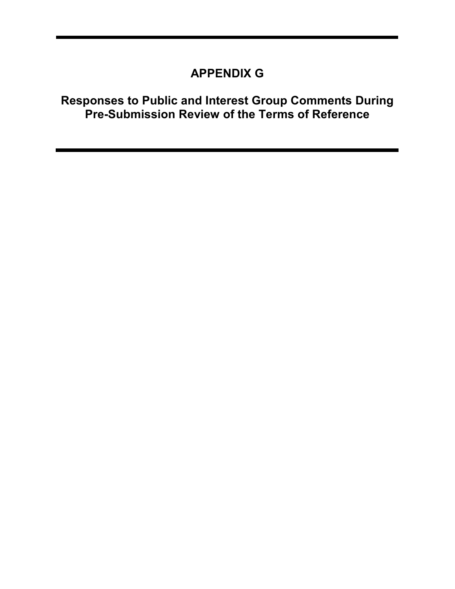## APPENDIX G

## Responses to Public and Interest Group Comments During Pre-Submission Review of the Terms of Reference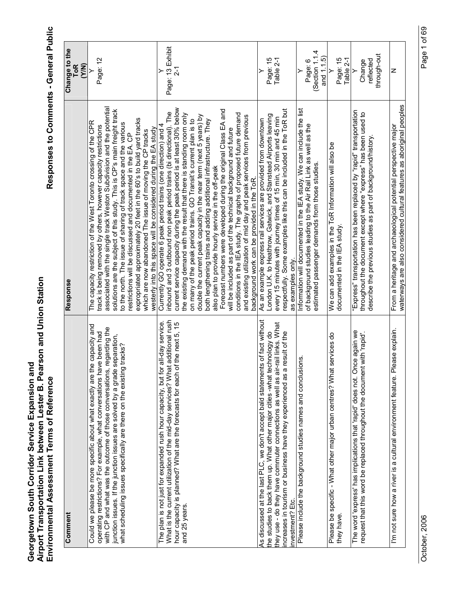| Comment                                                                                                                                                                                                                                                                                                                                                                                           | Response                                                                                                                                                                                                                                                                                                                                                                                                                                                                                                                                                                                                                                                                                                                                                                                                                                                                                            | Change to the<br><b>ToR</b><br>(Y/N)        |
|---------------------------------------------------------------------------------------------------------------------------------------------------------------------------------------------------------------------------------------------------------------------------------------------------------------------------------------------------------------------------------------------------|-----------------------------------------------------------------------------------------------------------------------------------------------------------------------------------------------------------------------------------------------------------------------------------------------------------------------------------------------------------------------------------------------------------------------------------------------------------------------------------------------------------------------------------------------------------------------------------------------------------------------------------------------------------------------------------------------------------------------------------------------------------------------------------------------------------------------------------------------------------------------------------------------------|---------------------------------------------|
| Could we please be more specific about what exactly are the capacity and<br>regarding the<br>e been had<br>separation,<br>tracks?<br>operating restrictions? For example, what conversations have<br>junction issues. If the junction issues are solved by a grade :<br>with CP and what was the outcome of those conversations,<br>what scheduling issues specifically are there on the existing | associated with the single track Weston Subdivision and the potential<br>solutions are the subject of this study. This is CP's main freight track<br>expropriated approximately 20 feet in the 60's to build yard tracks<br>The capacity restriction of the West Toronto crossing of the CPR<br>to the north. The issue of sharing of track space and the various<br>track is being removed by others, however capacity restrictions<br>westerly into this space will be considered during the EA study<br>which are now abandoned The issue of moving the CP tracks<br>restrictions will be discussed and documented in the EA. CP                                                                                                                                                                                                                                                                 | Page: 12                                    |
| additional rush<br>all-day service.<br>the next 5, 15<br>What is the current utilization of the mid-day services? What<br>hour capacity is planned? What are the forecasts for each of<br>The plan is not just for expanded rush hour capacity, but for<br>and 25 years.                                                                                                                          | current service capacity during the peak period is at least 30% below<br>Forecast numbers were developed during the original Class EA and<br>inbound and 3 outbound non peak period trains (bi directional). The<br>the existing demand with the result that there is standing room only<br>conditions in the IEA study. The graphs of proposed future demand<br>double the current peak capacity in the near term (next 5 years) by<br>and existing utilization of mid day and peak services from previous<br>on many of the peak period trains. GO Transit's current plan is to<br>both lengthening trains and adding additional infrastructure. They<br>Currently GO operate 6 peak period trains (one direction) and 4<br>will be included as part of the technical background and future<br>also plan to provide hourly service in the off-peak<br>background work can be provided in the ToR. | Page: 13 Exhibit                            |
| As discussed at the last PLC, we don't accept bald statements of fact without<br>they use - do they have commuter connections as well as air-rail links. What<br>the studies to back them up. What other major cities -what technology do<br>esult of the<br>ncreases in tourism or business have they experienced as a r<br>investment? Etc.                                                     | respectfully. Some examples like this can be included in the ToR but<br>London U.K. to Heathrow, Gatwick, and Stanstead Airports leaving<br>every 15 minutes with journey times of 15 min, 30 min and 45 min<br>As an example express rail services are provided from downtown<br>as examples only.                                                                                                                                                                                                                                                                                                                                                                                                                                                                                                                                                                                                 | Page: 15<br>Table 2-1                       |
| Please include the background studies names and conclusions.                                                                                                                                                                                                                                                                                                                                      | Information will documented in the IEA study. We can include the list<br>of background studies leading to the Air Rail Link as well as the<br>estimated passenger demands from those studies.                                                                                                                                                                                                                                                                                                                                                                                                                                                                                                                                                                                                                                                                                                       | Section 1.1.4<br>and 1.1.5)<br>Page: 6<br>≻ |
| services do<br>Please be specific - What other major urban centres? What<br>they have                                                                                                                                                                                                                                                                                                             | We can add examples in the ToR Information will also be<br>documented in the IEA study                                                                                                                                                                                                                                                                                                                                                                                                                                                                                                                                                                                                                                                                                                                                                                                                              | Page: 15<br>Table 2-1<br>≻                  |
| The word 'express' has implications that 'rapid' does not. Once again we<br>with 'rapid'.<br>request that this word be replaced throughout the document                                                                                                                                                                                                                                           | "Express" transportation has been replaced by "rapid" transportation<br>throughout the document except where "express" has been used to<br>describe the previous studies as part of background/history                                                                                                                                                                                                                                                                                                                                                                                                                                                                                                                                                                                                                                                                                              | through-out<br>reflected<br>Change          |
| I'm not sure how a river is a cultural environment feature. Please explain.                                                                                                                                                                                                                                                                                                                       | waterways are also considered cultural features as aboriginal peoples<br>From a heritage and archaeological potential perspective major                                                                                                                                                                                                                                                                                                                                                                                                                                                                                                                                                                                                                                                                                                                                                             | z                                           |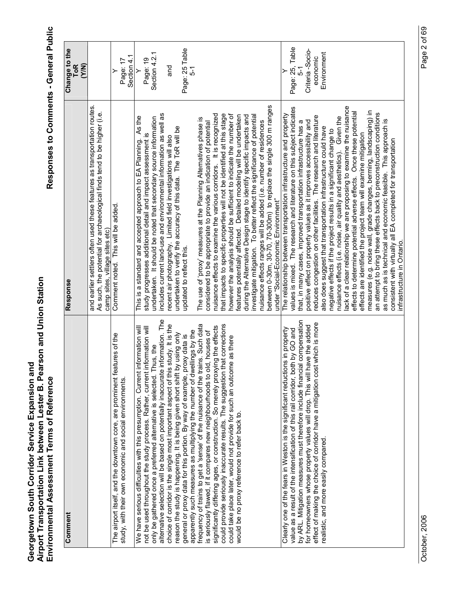Responses to Comments - General Public

| Comment                                                                                                                                                                                                                                                                                                                                                                                                                                                                                                                                                                                                                                                                                       | Response                                                                                                                                                                                                                                                                                                                                                                                                                                                                                                                                                                                                                                                                                                                                                                                                                                                                                                                                                                                                                                                                                                             | Change to the<br>ToR<br><b>EXA</b>                                     |
|-----------------------------------------------------------------------------------------------------------------------------------------------------------------------------------------------------------------------------------------------------------------------------------------------------------------------------------------------------------------------------------------------------------------------------------------------------------------------------------------------------------------------------------------------------------------------------------------------------------------------------------------------------------------------------------------------|----------------------------------------------------------------------------------------------------------------------------------------------------------------------------------------------------------------------------------------------------------------------------------------------------------------------------------------------------------------------------------------------------------------------------------------------------------------------------------------------------------------------------------------------------------------------------------------------------------------------------------------------------------------------------------------------------------------------------------------------------------------------------------------------------------------------------------------------------------------------------------------------------------------------------------------------------------------------------------------------------------------------------------------------------------------------------------------------------------------------|------------------------------------------------------------------------|
|                                                                                                                                                                                                                                                                                                                                                                                                                                                                                                                                                                                                                                                                                               | and earlier settlers often used these features as transportation routes.<br>As such, the potential for archaeological finds tend to be higher (i.e.<br>camp sites, village sites etc)                                                                                                                                                                                                                                                                                                                                                                                                                                                                                                                                                                                                                                                                                                                                                                                                                                                                                                                                |                                                                        |
| The airport itself, and the downtown core, are prominent features of the<br>study, with their own economic and social environments.                                                                                                                                                                                                                                                                                                                                                                                                                                                                                                                                                           | Comment noted. This will be added.                                                                                                                                                                                                                                                                                                                                                                                                                                                                                                                                                                                                                                                                                                                                                                                                                                                                                                                                                                                                                                                                                   | Section 4.1<br>Page: 17                                                |
| alternative selection will be based on potentially inaccurate information. The<br>study. It is the<br>nformation will<br>not be used throughout the study process. Rather, current information will<br>only be gathered once a preferred alternative is selected. Thus, the<br>choice of corridor is the single most important aspect of this<br>We have serious difficulties with this presumption. Current i                                                                                                                                                                                                                                                                                | includes current land-use and environmental information as well as<br>As the<br>undertaken. It should be noted that secondary source information<br>study progresses additional detail and impact assessment is<br>recent air photography. Limited field investigations will also<br>This is a standard and accepted approach to EA Planning.                                                                                                                                                                                                                                                                                                                                                                                                                                                                                                                                                                                                                                                                                                                                                                        | Section 4.2.1<br>Page: 19<br>ng<br>Ta<br>≻                             |
| could provide seriously inaccurate results. The suggestion that corrections<br>frequency of trains to get a 'sense' of the nuisance of the trains. Such data<br>significantly differing ages, or construction. So merely proxying the effects<br>apparently such measures as multiplying the number of dwellings by the<br>is seriously flawed, if it compares new neighbourhoods to old, houses of<br>reason the study is happening. It is being given short shift by using only<br>general or proxy data for this portion. By way of example, proxy data is<br>ne as there<br>could take place later, would not provide for such an outcor<br>would be no proxy reference to refer back to. | between 0-30m, 30-70, 70-300m) to replace the single 300 m ranges<br>under "Social-Economic Environment"<br>nuisance effects to examine the various corridors. It is recognized<br>that impacts to specific properties will not be identified at this stage<br>however the analysis should be sufficient to indicate the number of<br>features potentially affected. Detailed modeling will be undertaken<br>during the Alternative Design stage to identify specific impacts and<br>investigate mitigation. To better reflect the significance of potential<br>The use of 'proxy' measures at the Planning Alternatives phase is<br>nuisance effects ranges will be added (i.e. number of residences<br>considered to be appropriate to provide an indication of potential<br>undertaken to verify the accuracy of this data. The ToR will be<br>updated to reflect this.                                                                                                                                                                                                                                           | Page: 25 Table<br>5-1                                                  |
| by ARL. Mitigation measures must therefore include financial compensation<br>effect of making the choice of corridor have a mitigation cost which is more<br>for homeowners whose property values will drop. This will have the added<br>Clearly one of the fears in Weston is the significant reductions in property<br>value as a result of the intensification of this rail corridor, both by GO and<br>realistic, and more easily compared.                                                                                                                                                                                                                                               | ack of a clear relationship we are proposing to examine the nuisance<br>values is mixed. The research and literature on this subject indicates<br>measures (e.g. noise wall, grade changes, berming, landscaping) in<br>effects to determine potential adverse effects. Once these potential<br>an attempt to bring these effects back to preconstruction conditions<br>The relationship between transportation infrastructure and property<br>reduces congestion on other facilities. The research and literature<br>nuisance effects (i.e. noise, air quality and aesthetics). Given the<br>as much as is technical and economic feasible. This approach is<br>positive effect on property values as it improves accessibility and<br>that, in many cases, improved transportation infrastructure has a<br>also does suggest that transportation infrastructure could have<br>negative effects if the project results in a significant change to<br>effects are identified the project team will examine mitigation<br>consistent with virtually all EA completed for transportation<br>infrastructure in Ontario. | Page: 25, Table<br>Criteria-Socio-<br>Environment<br>economic<br>$5-1$ |

Page 2 of 69 October, 2006 Page 2 of 69

October, 2006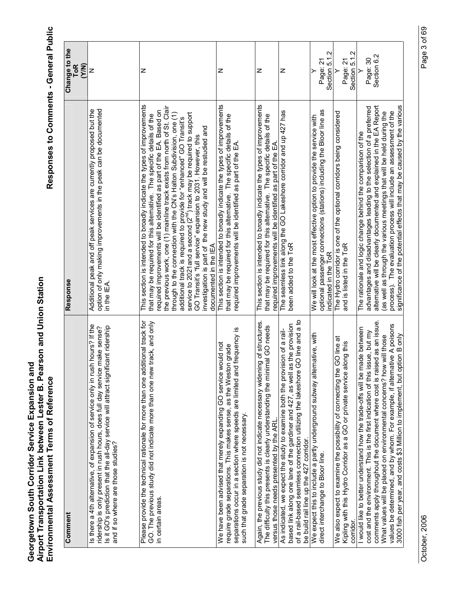| Comment                                                                                                                                                                                                                                                                                                                                                                                      | Response                                                                                                                                                                                                                                                                                                                                                                                                                                                                                                                                                                                                                                                                                           | Change to the                       |
|----------------------------------------------------------------------------------------------------------------------------------------------------------------------------------------------------------------------------------------------------------------------------------------------------------------------------------------------------------------------------------------------|----------------------------------------------------------------------------------------------------------------------------------------------------------------------------------------------------------------------------------------------------------------------------------------------------------------------------------------------------------------------------------------------------------------------------------------------------------------------------------------------------------------------------------------------------------------------------------------------------------------------------------------------------------------------------------------------------|-------------------------------------|
|                                                                                                                                                                                                                                                                                                                                                                                              |                                                                                                                                                                                                                                                                                                                                                                                                                                                                                                                                                                                                                                                                                                    | <b>ToR</b><br>(Y/N)                 |
| Is there a 4th alternative, of expansion of service only in rush hours? If the<br>Is it GO's prediction that the all-day service will attract significant ridership<br>ridership is only present in rush hours, does full day service make sense?<br>and if so where are those studies?                                                                                                      | option of only making improvements in the peak can be documented<br>Additional peak and off peak services are currently proposed but the<br>in the IEA                                                                                                                                                                                                                                                                                                                                                                                                                                                                                                                                             | z                                   |
| Please provide the technical rationale for more than one additional track for<br>GO. The previous study did not indicate more than one new track, and only<br>in certain areas.                                                                                                                                                                                                              | This section is intended to broadly indicate the types of improvements<br>the previous work, one (1) mainline track exists from north of St. Clair<br>required improvements will be identified as part of the EA. Based on<br>service to 2021and a second (2 <sup>nd</sup> ) track may be required to support<br>through to the connection with the CN's Halton Subdivision, one (1)<br>that may be required for this alternative. The specific details of the<br>additional track is required to provide for "enhanced" GO Transit's<br>investigation is part of the new study and will be restudied and<br>GO Transit's "full service" expansion to 2031. However, this<br>documented in the IEA | z                                   |
| separations occur in a section where speeds are limited and frequency is<br>would not<br>require grade separations. This makes sense, as the Weston grade<br>We have been advised that merely expanding GO service<br>such that grade separation is not necessary.                                                                                                                           | This section is intended to broadly indicate the types of improvements<br>that may be required for this alternative. The specific details of the<br>required improvements will be identified as part of the EA                                                                                                                                                                                                                                                                                                                                                                                                                                                                                     | z                                   |
| Again, the previous study did not indicate necessary widening of structures.<br>The difficulty this presents is clearly understanding the minimal GO needs<br>versus those needs presented by the ARL                                                                                                                                                                                        | This section is intended to broadly indicate the types of improvements<br>that may be required for this alternative. The specific details of the<br>required improvements will be identified as part of the EA                                                                                                                                                                                                                                                                                                                                                                                                                                                                                     | z                                   |
| GO line and a to<br>based link along one lane of the gardiner and 427, as well as the provision<br>As indicated, we expect the study to examine both the provision of a rail-<br>of a rail-based seamless connection utilizing the lakeshore<br>be build rail line up the 427 corridor.                                                                                                      | The seamless link along the GO Lakeshore corridor and up 427 has<br>been added to the ToR                                                                                                                                                                                                                                                                                                                                                                                                                                                                                                                                                                                                          | z                                   |
| We expect this to include a partly underground subway alternative, with<br>direct interchange to Bloor line.                                                                                                                                                                                                                                                                                 | optional passenger connections (stations) including the Bloor line as<br>We will look at the most effective option to provide the service with<br>indicated in the ToR                                                                                                                                                                                                                                                                                                                                                                                                                                                                                                                             | Section 5.1.2<br>Page: 21           |
| We also expect to examine the possibility of connecting the GO line at<br>Kipling with this Hydro Corridor as a GO or private service along this<br>corridor.                                                                                                                                                                                                                                | The Hydro corridor is one of the optional corridors being considered<br>and is listed in the ToR                                                                                                                                                                                                                                                                                                                                                                                                                                                                                                                                                                                                   | Section 5.1.2<br>Page: 21<br>$\geq$ |
| comments apply throughout the document where cost is raised as an issue.<br>values be determined, and by whom. For example, if alternative A poisons<br>made between<br>cost and the environment. This is the first indication of this issue, but my<br>What values will be placed on environmental concerns? how will those<br>I would like to better understand how the trade-offs will be | alternative will be clearly documented and explained in the EA Report<br>advantages and disadvantages leading to the selection of a preferred<br>process). The evaluation process will include an assessment of the<br>(as well as through the various meetings that will be held during the<br>The rationale and logic change behind the comparison of the                                                                                                                                                                                                                                                                                                                                        | Section 6.2<br>Page: 30             |
| 3000 fish per year, and costs \$3 Million to implement, but option B only                                                                                                                                                                                                                                                                                                                    | significance of the potential effects that may be caused by the various                                                                                                                                                                                                                                                                                                                                                                                                                                                                                                                                                                                                                            |                                     |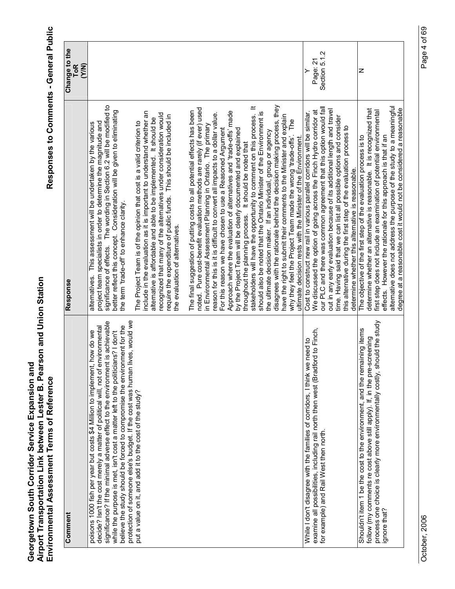| Comment                                                                                                                                                                                                                                                                                                                                                                                                                                                                                                                                              | Response                                                                                                                                                                                                                                                                                                                                                                                                                                                                                                                                                                                                                                                                                                                                                                                                                                                                                                                                                                                                                                                                | Change to the<br><b>ToR</b><br>(Y/N) |
|------------------------------------------------------------------------------------------------------------------------------------------------------------------------------------------------------------------------------------------------------------------------------------------------------------------------------------------------------------------------------------------------------------------------------------------------------------------------------------------------------------------------------------------------------|-------------------------------------------------------------------------------------------------------------------------------------------------------------------------------------------------------------------------------------------------------------------------------------------------------------------------------------------------------------------------------------------------------------------------------------------------------------------------------------------------------------------------------------------------------------------------------------------------------------------------------------------------------------------------------------------------------------------------------------------------------------------------------------------------------------------------------------------------------------------------------------------------------------------------------------------------------------------------------------------------------------------------------------------------------------------------|--------------------------------------|
| protection of someone else's budget. If the cost was human lives, would we<br>significance? If the minimal adverse effect to the environment is achievable<br>believe the study should be forced to compromise the environment for the<br>decide? Isn't the cost merely a matter of political will, not of environmental<br>while the purpose is met, isn't cost a matter left to the politicians? I don't<br>how do we<br>poisons 1000 fish per year but costs \$4 Million to implement,<br>put a value on it, and add it to the cost of the study? | significance of effects. The wording in Section 6.2 will be modified to<br>better reflect this concept. Consideration will be given to eliminating<br>include in the evaluation as it is important to understand whether an<br>recognized that many of the alternatives under consideration would<br>require the expenditure of public funds. This should be included in<br>alternative is affordable and able to be implemented. It should be<br>project team specialists in order to determine the magnitude and<br>The Project Team is of the opinion that cost is a valid criterion to<br>alternatives. This assessment will be undertaken by the various<br>the term 'trade-off' to enhance clarity.<br>the evaluation of alternatives.                                                                                                                                                                                                                                                                                                                            |                                      |
|                                                                                                                                                                                                                                                                                                                                                                                                                                                                                                                                                      | disagrees with the rationale behind the decision making process, they<br>stakeholders will have the opportunity to comment on this process. It<br>noted. Pure cost-benefit evaluation methods are rarely (if ever) used<br>The final suggestion of putting costs to all potential effects has been<br>Approach where the evaluation of alternatives and 'trade-offs' made<br>should also be noted that the Ontario Minister of the Environment is<br>reason for this is it is difficult to convert all impacts to a dollar value.<br>have the right to submit their comments to the Minister and explain<br>why they feel the Project Team made the wrong 'trade-offs'. The<br>in Environmental Assessment Planning in Ontario. The primary<br>For this reason we have chosen to use a Reasoned Argument<br>by the Project Team will be clearly documented and explained<br>the ultimate decision maker. If an individual, group or agency<br>ultimate decision rests with the Minister of the Environment.<br>throughout the planning process. It should be noted that |                                      |
| examine all possibilities, including rail north then west (Bradford to Finch,<br>While I don't disagree with the families of corridors, I think we need to<br>for example) and Rail West then north.                                                                                                                                                                                                                                                                                                                                                 | our PLC and there was common agreement that this option would fall<br>out in any early evaluation because of its additional length and travel<br>We discussed the option of going across the Finch Hydro corridor at<br>Cost to construct new rail in various parallel corridors will be similar.<br>time. Having said that we can list all possible options and consider<br>this alternative during the first step of the evaluation process to<br>determine whether this alternative is reasonable.                                                                                                                                                                                                                                                                                                                                                                                                                                                                                                                                                                   | Section 5.1.2<br>Page: 21            |
| process one choice is clearly more environmentally costly, should the study<br>Shouldn't item 1 be the cost to the environment, and the remaining items<br>follow (my comments re cost above still apply). If, in the pre-screening<br>gnore that?                                                                                                                                                                                                                                                                                                   | alternative does not address the purpose of the study to a meaningful<br>determine whether an alternative is reasonable. It is recognized that<br>degree at a reasonable cost it would not be considered a reasonable<br>first step does not include an examination of potential environmental<br>effects. However the rationale for this approach is that if an<br>The objective of the first step of the evaluation process is to                                                                                                                                                                                                                                                                                                                                                                                                                                                                                                                                                                                                                                     | Z                                    |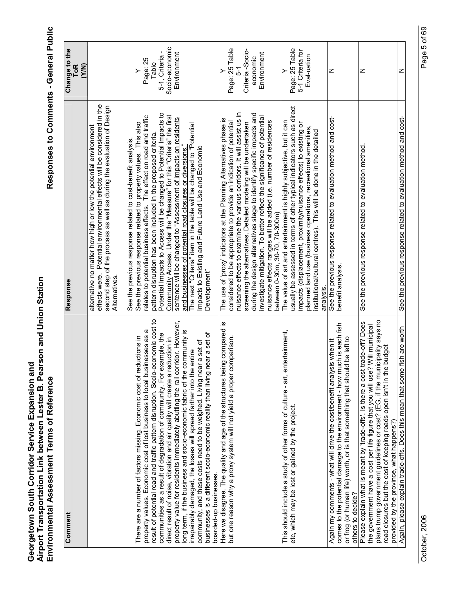| Comment                                                                                                                                                                                                                                                                                                                                                                                                                                                                                                                                                                                                                                                                                                                                                                                                           | Response                                                                                                                                                                                                                                                                                                                                                                                                                                                                                                                                                                                                                                | Change to the<br><b>ToR</b><br>(Y/N)                                  |
|-------------------------------------------------------------------------------------------------------------------------------------------------------------------------------------------------------------------------------------------------------------------------------------------------------------------------------------------------------------------------------------------------------------------------------------------------------------------------------------------------------------------------------------------------------------------------------------------------------------------------------------------------------------------------------------------------------------------------------------------------------------------------------------------------------------------|-----------------------------------------------------------------------------------------------------------------------------------------------------------------------------------------------------------------------------------------------------------------------------------------------------------------------------------------------------------------------------------------------------------------------------------------------------------------------------------------------------------------------------------------------------------------------------------------------------------------------------------------|-----------------------------------------------------------------------|
|                                                                                                                                                                                                                                                                                                                                                                                                                                                                                                                                                                                                                                                                                                                                                                                                                   | Potential environmental effects will be considered in the<br>second step of the process as well as during the evaluation of Design<br>alternative no matter how high or low the potential environment<br>See the previous response related to cost-benefit analysis.<br>effects were.<br>Alternatives.                                                                                                                                                                                                                                                                                                                                  |                                                                       |
| result of potential road and traffic pattern disruption. Socio-economic cost to<br>property value for residents immediately abutting the rail corridor. However,<br>property values. Economic cost of lost business to local businesses as a<br>long term, if the business and socio-economic fabric of the community is<br>businesses is a different socio-economic reality than living near a set of<br>communities as a result of degradation of community. For example, the<br>There are a number of factors missing. Economic cost of reductions in<br>direct result of noise, vibration and air quality will create a reduction in<br>community, and these costs need to be weighed. Living near a set of<br>irrepairably damaged, the losses will spread farther into the entire<br>boarded-up businesses. | Potential Impacts to Access will be changed to Potential Impacts to<br>Community Access. Under the "Measure" for this "Criteria" the first<br>relates to potential business effects. The effect on road and traffic<br>sentence will be changed to "Assessment of impacts on residents<br>See the previous response related to property values. This also<br>The next "Criteria" item in the table will be changed to "Potential<br>pattern disruption has been included in the proposed criteria.<br>and businesses of potential road closures or diversions."<br>Impacts to Existing and Future Land Use and Economic<br>Development" | Socio-economic<br>5-1, Criteria -<br>Environment<br>Page: 25<br>Table |
| Here we disagree. The quality and age of the structures being compared is<br>but one reason why a proxy system will not yield a proper comparison.                                                                                                                                                                                                                                                                                                                                                                                                                                                                                                                                                                                                                                                                | nuisance effects to examine the various corridors. It will assist us in<br>during the design alternatives stage to identify specific impacts and<br>investigate mitigation. To better reflect the significance of potential<br>The use of 'proxy' indicators at the Planning Alternatives phase is<br>nuisance effects ranges will be added (i.e. number of residences<br>considered to be appropriate to provide an indication of potential<br>screening the alternatives. Detailed modeling will be undertaken<br>between 0-30m, 30-70, 70-300m)                                                                                      | Page: 25 Table<br>Criteria-Socio-<br>Environment<br>economic<br>51    |
| This should include a study of other forms of culture - art, entertainment,<br>etc, which may be lost or gained by the project.                                                                                                                                                                                                                                                                                                                                                                                                                                                                                                                                                                                                                                                                                   | usually be assessed in terms of other typical indicators such as direct<br>The value of art and entertainment is highly subjective, but it can<br>impacts (displacement, proximity/nuisance effects) to existing or<br>planned land use (business operations, recreational amenities<br>institutional/cultural centres). This will be done in the detailed<br>analvsis.                                                                                                                                                                                                                                                                 | Page: 25 Table<br>5-1 Criteria for<br>Eval-uation                     |
| comes to the potential damage to the environment - how much is each fish<br>or frog (or human life) worth, or is that something that should be left to<br>is when it<br>Again my comments - what will drive the cost/benefit analys<br>others to decide?                                                                                                                                                                                                                                                                                                                                                                                                                                                                                                                                                          | See the previous response related to evaluation method and cost-<br>benefit analysis.                                                                                                                                                                                                                                                                                                                                                                                                                                                                                                                                                   | z                                                                     |
| icipality says no<br>trade-off? Does<br>the govemment have a cost per life figure that you will use? Will municipal<br>budget<br>plans trump government guidelines or cost? (EG, if the mun<br>road closures but the cost of keeping roads open isn't in the<br>Please explain what is meant by 'trade-offs'. Is there a cost<br>provided by the province, what happens?)                                                                                                                                                                                                                                                                                                                                                                                                                                         | See the previous response related to evaluation method                                                                                                                                                                                                                                                                                                                                                                                                                                                                                                                                                                                  | z                                                                     |
| Again, please explain trade-offs. Does this mean that some fish are worth                                                                                                                                                                                                                                                                                                                                                                                                                                                                                                                                                                                                                                                                                                                                         | See the previous response related to evaluation method and cost-                                                                                                                                                                                                                                                                                                                                                                                                                                                                                                                                                                        | Z                                                                     |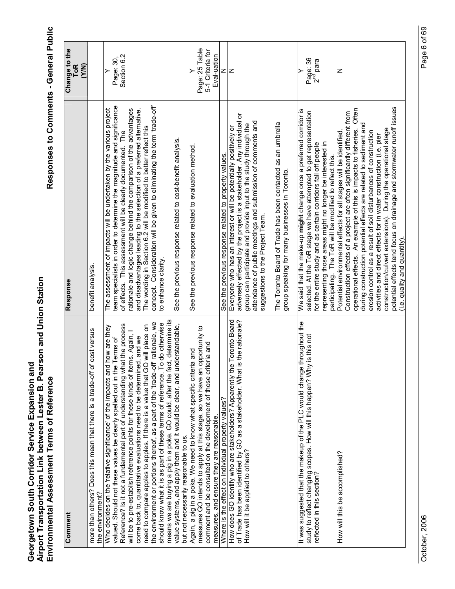| Comment                                                                                                                                                                                                                                                                                                                                                                                                                                                                                                                                                                                                                                                                                                                                                                                                                                          | Response                                                                                                                                                                                                                                                                                                                                                                                                                                                                                                                                                                                                         | Change to the<br><b>ToR</b>                       |
|--------------------------------------------------------------------------------------------------------------------------------------------------------------------------------------------------------------------------------------------------------------------------------------------------------------------------------------------------------------------------------------------------------------------------------------------------------------------------------------------------------------------------------------------------------------------------------------------------------------------------------------------------------------------------------------------------------------------------------------------------------------------------------------------------------------------------------------------------|------------------------------------------------------------------------------------------------------------------------------------------------------------------------------------------------------------------------------------------------------------------------------------------------------------------------------------------------------------------------------------------------------------------------------------------------------------------------------------------------------------------------------------------------------------------------------------------------------------------|---------------------------------------------------|
| more than others? Does this mean that there is a trade-off of cost versus<br>the environment?                                                                                                                                                                                                                                                                                                                                                                                                                                                                                                                                                                                                                                                                                                                                                    | benefit analysis.                                                                                                                                                                                                                                                                                                                                                                                                                                                                                                                                                                                                | (Y/N)                                             |
| means we are buying a pig in a poke. GO could, after the fact, determine its<br>the environment or portions thereof, as a part of the 'trade-off' rationale, we<br>To do otherwise<br>Reference? Is it not a fundamental part of understanding what the process<br>value systems, and apply them and it would be clear, and understandable,<br>need to compare apples to apples. If there is a value that GO will place on<br>Who decides on the 'relative significance' of the impacts and how are they<br>will be to pre-establish reference points for these kinds of items. Again,<br>come back to, quantitative evaluations need to be determined, and we<br>valued. Should not these values be clearly spelled out in the Terms of<br>should know what it is as part of these terms of reference.<br>but not necessarily reasonable to us. | concept. Consideration will be given to eliminating the term 'trade-off'<br>team specialists in order to determine the magnitude and significance<br>The assessment of impacts will be undertaken by the various project<br>rationale and logic change behind the comparison of the advantages<br>and disadvantages leading to the selection of a preferred alternative.<br>The wording in Section 6.2 will be modified to better reflect this<br>of effects. This assessment will be clearly documented. The<br>See the previous response related to cost-benefit analysis.<br>to enhance clarity.              | Section 6.2<br>Page: 30,<br>≻                     |
| measures GO intends to apply at this stage, so we have an opportunity to<br>comment and be consulted on the development of those criteria and<br>Again, a pig in a poke. We need to know what specific criteria and<br>measures, and ensure they are reasonable                                                                                                                                                                                                                                                                                                                                                                                                                                                                                                                                                                                  | See the previous response related to evaluation method                                                                                                                                                                                                                                                                                                                                                                                                                                                                                                                                                           | Page: 25 Table<br>5-1 Criteria for<br>Eval-uation |
| Where is the effect on individual property values?                                                                                                                                                                                                                                                                                                                                                                                                                                                                                                                                                                                                                                                                                                                                                                                               | See the previous response related to property values.                                                                                                                                                                                                                                                                                                                                                                                                                                                                                                                                                            | Z                                                 |
| How does GO identify who are stakeholders? Apparently the Toronto Board<br>is the rationale?<br>of Trade has been identified by GO as a stakeholder. What<br>How will it be applied to others?                                                                                                                                                                                                                                                                                                                                                                                                                                                                                                                                                                                                                                                   | adversely effected by the project is a stakeholder. Any individual or<br>attendance of public meetings and submission of comments and<br>The Toronto Board of Trade has been contacted as an umbrella<br>group can participate and provide input to the study through the<br>Everyone who has an interest or will be potentially positively or<br>group speaking for many businesses in Toronto.<br>suggestions to the Project Team.                                                                                                                                                                             | z                                                 |
| It was suggested that the makeup of the PLC would change throughout the<br>study to reflect changing scopes. How will this happen? Why is this not<br>reflected in this section?                                                                                                                                                                                                                                                                                                                                                                                                                                                                                                                                                                                                                                                                 | We said that the make-up might change once a preferred corridor is<br>selected. At the ToR stage we have attempted to get representation<br>representing those areas might no longer be interested in<br>for the entire study and as certain corridors fall off people<br>participating. The ToR will be modified to reflect this.                                                                                                                                                                                                                                                                               | Page: 36<br>2 <sup>nd</sup> para                  |
| How will this be accomplished?                                                                                                                                                                                                                                                                                                                                                                                                                                                                                                                                                                                                                                                                                                                                                                                                                   | potential effects tend focus on drainage and stormwater runoff issues<br>operational effects. An example of this is impacts to fisheries. Often<br>Construction effects of a project are often significantly different from<br>during construction potential effects are related to sediment and<br>construction/culvert extensions). During the operational stage<br>erosion control as a result of soil disturbances of construction<br>Potential environmental effects for all stages will be identified<br>activities and direct effects for in water construction (i.e. pier<br>(i.e. quality and quantity) | Z                                                 |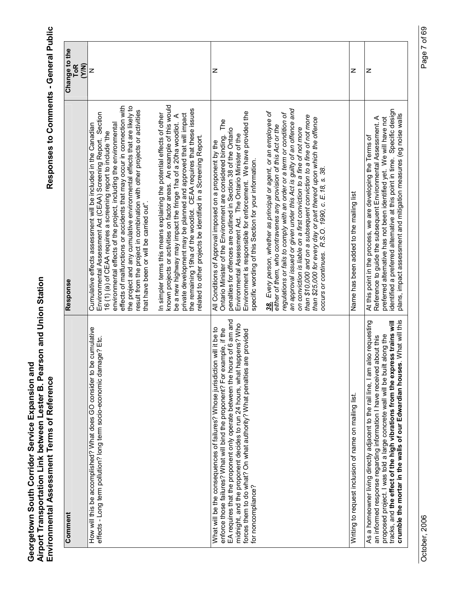| Comment                                                                                                                                                                                                                                                                                                                                                                                                         | Response                                                                                                                                                                                                                                                                                                                                                                                                                                                                                                                                                           | Change to the<br><b>ToR</b><br>(Y/N) |
|-----------------------------------------------------------------------------------------------------------------------------------------------------------------------------------------------------------------------------------------------------------------------------------------------------------------------------------------------------------------------------------------------------------------|--------------------------------------------------------------------------------------------------------------------------------------------------------------------------------------------------------------------------------------------------------------------------------------------------------------------------------------------------------------------------------------------------------------------------------------------------------------------------------------------------------------------------------------------------------------------|--------------------------------------|
| How will this be accomplished? What does GO consider to be cumulative<br>effects - Long term pollution? long term socio-economic damage? Etc.                                                                                                                                                                                                                                                                   | effects of malfunctions or accidents that may occur in connection with<br>the project and any cumulative environmental effects that are likely to<br>result from the project in combination with other projects or activities<br>Environmental Assessment Act (CEAA) Screening Report. Section<br>environmental effects of the project, including the environmental<br>Cumulative effects assessment will be included in the Canadian<br>16 (1) of CEAA requires a screening report to include 'the<br>that have been or will be carried out".                     | z                                    |
|                                                                                                                                                                                                                                                                                                                                                                                                                 | known projects or activities on factor areas. An example of this would<br>the remaining 19ha of the woodlot. CEAA requires that these issues<br>In simpler terms this means explaining the potential effects of other<br>private development may be planned and approved that will impact<br>be a new highway may impact the fringe 1ha of a 20ha woodlot. A<br>related to other projects be identified in a Screening Report.                                                                                                                                     |                                      |
| EA requires that the proponent only operate between the hours of 6 am and<br>midnight, and the proponent decides to run 24 hours, what happens? Who<br>What will be the consequences of failures? Whose jurisdiction will it be to<br>enforce those failures? What will bind the proponent? For example, if the<br>forces them to do what? On what authority? What penalties are provided<br>for noncompliance? | Environment is responsible for enforcement. We have provided the<br>Ontario Minister of the Environment are considered binding. The<br>penalties for offences are outlined in Section 38 of the Ontario<br>Environmental Assessment Act. The Ontario Minister of the<br>All Conditions of Approval imposed on a proponent by the<br>specific wording of this Section for your information.                                                                                                                                                                         | z                                    |
|                                                                                                                                                                                                                                                                                                                                                                                                                 | an approval issued or given under this Act is guilty of an offence and<br>38. Every person, whether as principal or agent, or an employee of<br>regulations or fails to comply with an order or a term or condition of<br>than \$10,000 and on a subsequent conviction to a fine of not more<br>than \$25,000 for every day or part thereof upon which the offence<br>either of them, who contravenes any provision of this Act or the<br>on conviction is liable on a first conviction to a fine of not more<br>occurs or continues. R.S.O. 1990, c. E.18, s. 38. |                                      |
| Writing to request inclusion of name on mailing list.                                                                                                                                                                                                                                                                                                                                                           | Name has been added to the mailing list                                                                                                                                                                                                                                                                                                                                                                                                                                                                                                                            | z                                    |
| crumble the mortar in the walls of our Edwardian houses. What will this<br>tracks, and the effect of the high vibrations from the express trains will<br>As a homeowner living directly adjacent to the rail line, I am also requesting<br>proposed project. I was told a large concrete wall will be built along the<br>an informed response regarding information I have received about this                  | identified a preferred alternative at this point in time. Specific design<br>plans, impact assessment and mitigation measures (eg noise walls<br>Reference to guide the subsequent Environmental Assessment. A<br>preferred alternative has not been identified yet. We will have not<br>At this point in the process, we are developing the Terms of                                                                                                                                                                                                              | Z                                    |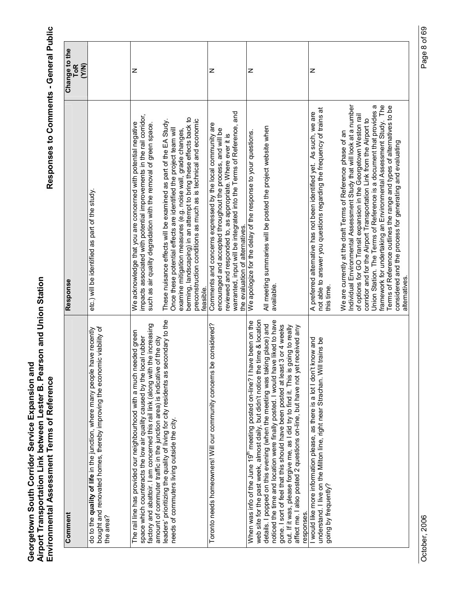| Comment                                                                                                                                                                                                                                                                                                                                                                                                                                                                                                                                                                                                    | Response                                                                                                                                                                                                                                                                                                                                                                                                                                                                                                                                                                                                                                                                                                                                          | Change to the<br><b>ToR</b><br>(Y/N) |
|------------------------------------------------------------------------------------------------------------------------------------------------------------------------------------------------------------------------------------------------------------------------------------------------------------------------------------------------------------------------------------------------------------------------------------------------------------------------------------------------------------------------------------------------------------------------------------------------------------|---------------------------------------------------------------------------------------------------------------------------------------------------------------------------------------------------------------------------------------------------------------------------------------------------------------------------------------------------------------------------------------------------------------------------------------------------------------------------------------------------------------------------------------------------------------------------------------------------------------------------------------------------------------------------------------------------------------------------------------------------|--------------------------------------|
| bought and renovated homes, thereby improving the economic viability of<br>have recently<br>do to the quality of life in the junction, where many people<br>the area?                                                                                                                                                                                                                                                                                                                                                                                                                                      | etc.) will be identified as part of the study.                                                                                                                                                                                                                                                                                                                                                                                                                                                                                                                                                                                                                                                                                                    |                                      |
| leaders' prioritizing the quality of living for city residents as secondary to the<br>the increasing<br>The rail line has provided our neighbourhood with a much needed green<br>space which counteracts the low air quality caused by the local rubber<br>amount of commuter traffic in the junction area) is indicative of the city<br>factory and abattoir. I am concerned this rail link (along with<br>needs of commuters living outside the city.                                                                                                                                                    | impacts associated with potential improvements in the rail corridor,<br>berming, landscaping) in an attempt to bring these effects back to<br>preconstruction conditions as much as is technical and economic<br>These nuisance effects will be examined as part of the EA Study.<br>We acknowledge that you are concerned with potential negative<br>such as air quality degradation with the removal of green space<br>Once these potential effects are identified the project team will<br>examine mitigation measures (e.g. noise wall, grade changes,<br>feasible.                                                                                                                                                                           | z                                    |
| be considered?<br>Toronto needs homeowners! Will our community concerns                                                                                                                                                                                                                                                                                                                                                                                                                                                                                                                                    | warranted, input will be integrated into the Terms of Reference, and<br>Comments and concerns expressed by the local community are<br>encouraged and accepted throughout the process, and will be<br>reviewed and responded to, as appropriate. Where ever it is<br>the evaluation of alternatives.                                                                                                                                                                                                                                                                                                                                                                                                                                               | z                                    |
| noticed the time and location were finally posted. I would have liked to have<br>web site for the past week, almost daily, but didn't notice the time & location<br>When was info of the June 19 <sup>th</sup> meeting posted on-line? I have been on the<br>details. I popped on this evening (when the meeting was taking place) and<br>gone. I sort of feel that this should have been posted at least 3 or 4 weeks<br>out. If it was, please forgive me, as I did try to find it. This is going to really<br>affect me. I also posted 2 questions on-line, but have not yet received any<br>responses. | All meeting summaries will be posted the project website when<br>We apologize for the delay of the response to your questions.<br>available.                                                                                                                                                                                                                                                                                                                                                                                                                                                                                                                                                                                                      | z                                    |
| I would like more information please, as there is a lot I don't know and<br>understand. I live on the Milton line, right near Strachan. Will trains be<br>going by frequently?                                                                                                                                                                                                                                                                                                                                                                                                                             | framework for undertaking an Environmental Assessment Study. The<br>Individual Environmental Assessment Study that will look at a number<br>Union Station. The Terms of Reference is a document that provides a<br>Terms of Reference outlines the range and types of alternatives to be<br>not able to answer you questions regarding the frequency of trains at<br>A preferred alternative has not been identified yet. As such, we are<br>of options for GO Transit expansion in the Georgetown Weston rail<br>corridor and for the Airport Transportation Link from the Airport to<br>We are currently at the draft Terms of Reference phase of an<br>considered and the process for generating and evaluating<br>alternatives.<br>this time. | z                                    |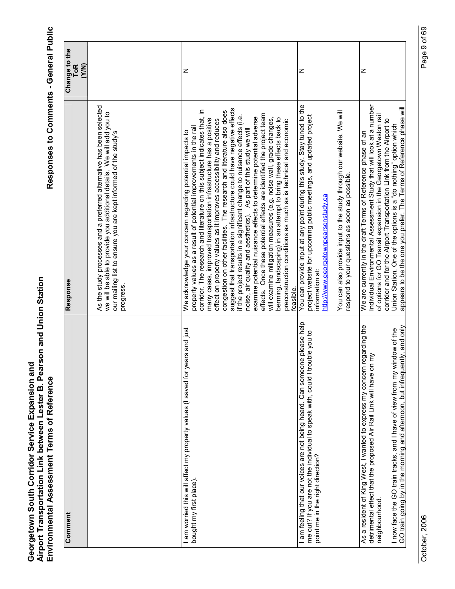| Comment                                                                                                                                                                                                                                                                                                                            | Response                                                                                                                                                                                                                                                                                                                                                                                                                                                                                                                                                                                                                                                                                                                                                                                                                                                                                                                                                                                                                            | Change to the<br>(Y/N)<br><b>ToR</b> |
|------------------------------------------------------------------------------------------------------------------------------------------------------------------------------------------------------------------------------------------------------------------------------------------------------------------------------------|-------------------------------------------------------------------------------------------------------------------------------------------------------------------------------------------------------------------------------------------------------------------------------------------------------------------------------------------------------------------------------------------------------------------------------------------------------------------------------------------------------------------------------------------------------------------------------------------------------------------------------------------------------------------------------------------------------------------------------------------------------------------------------------------------------------------------------------------------------------------------------------------------------------------------------------------------------------------------------------------------------------------------------------|--------------------------------------|
|                                                                                                                                                                                                                                                                                                                                    | As the study processes and a preferred alternative has been selected<br>we will be able to provide you additional details. We will add you to<br>our mailing list to ensure you are kept informed of the study's<br>progress.                                                                                                                                                                                                                                                                                                                                                                                                                                                                                                                                                                                                                                                                                                                                                                                                       |                                      |
| am worried this will affect my property values (I saved for years and just<br>bought my first place).                                                                                                                                                                                                                              | suggest that transportation infrastructure could have negative effects<br>corridor. The research and literature on this subject indicates that, in<br>congestion on other facilities. The research and literature also does<br>effects. Once these potential effects are identified the project team<br>if the project results in a significant change to nuisance effects (i.e.<br>examine potential nuisance effects to determine potential adverse<br>will examine mitigation measures (e.g. noise wall, grade changes,<br>berming, landscaping) in an attempt to bring these effects back to<br>many cases, improved transportation infrastructure has a positive<br>effect on property values as it improves accessibility and reduces<br>preconstruction conditions as much as is technical and economic<br>property values as a result of potential improvements in the rail<br>noise, air quality and aesthetics). As part of this study we will<br>We acknowledge your concern regarding potential impacts to<br>feasible. | z                                    |
| am feeling that our voices are not being heard. Can someone please help<br>me out? If you are not the individual to speak with, could I trouble you to<br>point me in the right direction?                                                                                                                                         | You can provide input at any point during this study. Stay tuned to the<br>You can also provide input to the study through our website. We will<br>project website for upcoming public meetings, and updated project<br>respond to your questions as soon as possible.<br>http://www.georgetownpearsonstudy.ca<br>information at:                                                                                                                                                                                                                                                                                                                                                                                                                                                                                                                                                                                                                                                                                                   | z                                    |
| egarding the<br>GO train going by in the morning and afternoon, but infrequently, and only<br>indow of the<br>ξ<br>detrimental effect that the proposed Air Rail Link will have on<br>I now face the GO train tracks, and I have of view from my wi<br>As a resident of King West, I wanted to express my concern<br>neighbourhood | Individual Environmental Assessment Study that will look at a number<br>appears to be the one you prefer. The Terms of Reference phase will<br>of options for GO Transit expansion in the Georgetown Weston rail<br>corridor and for the Airport Transportation Link from the Airport to<br>Union Station. One of the options is a "do nothing" option which<br>We are currently in the draft Terms of Reference phase of an                                                                                                                                                                                                                                                                                                                                                                                                                                                                                                                                                                                                        | z                                    |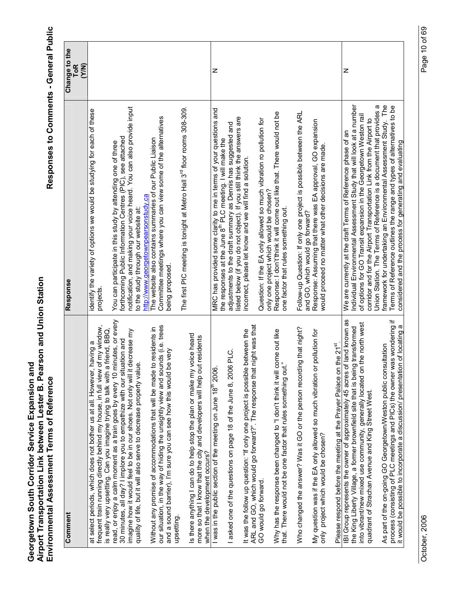| Comment                                                                                                                                                                                                                                                                                                       | Response                                                                                                                                                                                                                                   | Change to the<br><b>ToR</b> |
|---------------------------------------------------------------------------------------------------------------------------------------------------------------------------------------------------------------------------------------------------------------------------------------------------------------|--------------------------------------------------------------------------------------------------------------------------------------------------------------------------------------------------------------------------------------------|-----------------------------|
|                                                                                                                                                                                                                                                                                                               |                                                                                                                                                                                                                                            | (Y/N)                       |
| frequent train running directly behind my house, in full view of my window,<br>friend, BBQ,<br>at select periods, which does not bother us at all. However, having a<br>is really very upsetting. Can you imagine trying to talk with a                                                                       | identify the variety of options we would be studying for each of these<br>projects.                                                                                                                                                        |                             |
| inutes, or every<br>imagine how it would feel to be in our shoes. Not only will it decrease my<br>30 minutes, all day? I implore you to empathize with our situation and<br>quality of life, but it will also serve to decrease property value<br>read, or enjoy a calm moment as a train goes by every 10 mi | notification, and making your voice heard. You can also provide input<br>forthcoming Public Information Centres (PIC), see attached<br>You can participate in this study by attending one of three<br>to the study through our website at: |                             |
| our situation, in the way of hiding the unsightly view and sounds (i.e. trees<br>Without any promise of accommodations that will be made to residents in<br>and a sound barrier), I'm sure you can see how this would be very<br>upsetting.                                                                   | Committee meetings where you can view some of the alternatives<br>The website also contains summaries of our Public Liaison<br>http://www.georgetownpearsonstudy.ca<br>being proposed.                                                     |                             |
| Is there anything I can do to help stop the plan or make my voice heard<br>residents<br>more so that I know that the city and developers will help out<br>when the development occurs?                                                                                                                        | The first PIC meeting is tonight at Metro Hall 3 <sup>rd</sup> floor rooms 308-309.                                                                                                                                                        |                             |
| I was in the public section of the meeting on June 18 <sup>th</sup> 2006.                                                                                                                                                                                                                                     | MRC has provided some clarity to me in terms of your questions and<br>the responses at the June 8 <sup>th</sup> PLC meeting. I will make the                                                                                               | z                           |
| PLC.<br>asked one of the questions on page 18 of the June 8, 2006                                                                                                                                                                                                                                             | listed below (if you do not object). If you still think the answers are<br>adjustments to the draft summary as Dennis has suggested and                                                                                                    |                             |
| night was that<br>between the<br>ARL and GO, which would go forward?". The response that i<br>It was the follow up question: "If only one project is possible                                                                                                                                                 | incorrect, please let know and we will find a solution.                                                                                                                                                                                    |                             |
| GO would go forward.                                                                                                                                                                                                                                                                                          | Question: If the EA only allowed so much vibration ro pollution for                                                                                                                                                                        |                             |
| Why has the response been changed to "I don't think it will come out like<br>that. There would not be one factor that rules something out.'                                                                                                                                                                   | Response: I don't'think it will come out like that. There would not be<br>only one project which would be chosen?<br>one factor that rules something out.                                                                                  |                             |
| Who changed the answer? Was it GO or the person recording that night?                                                                                                                                                                                                                                         | Follow-up Question: If only one project is possible between the ARL<br>and GO, which would go forward?                                                                                                                                     |                             |
| pollution for<br>My question was if the EA only allowed so much vibration or<br>only project which would be chosen?                                                                                                                                                                                           | Response: Assuming that there was EA approval, GO expansion<br>would proceed no matter what other decisions are made.                                                                                                                      |                             |
| the $21^{st}$ .<br>Please respond before the meeting at the Prayer Palace on t                                                                                                                                                                                                                                |                                                                                                                                                                                                                                            |                             |
| IBI Group represents the owner of approximately 45 acres of land known as<br>the King Liberty Village, a former brownfield site that is being transformed                                                                                                                                                     | Individual Environmental Assessment Study that will look at a number<br>We are currently at the draft Terms of Reference phase of an                                                                                                       | Z                           |
| the north west<br>into vibrant/new mixed use community, generally located on                                                                                                                                                                                                                                  | of options for GO Transit expansion in the Georgetown Weston rail                                                                                                                                                                          |                             |
| quadrant of Strachan Avenue and King Street West.                                                                                                                                                                                                                                                             | Union Station. The Terms of Reference is a document that provides a<br>corridor and for the Airport Transportation Link from the Airport to                                                                                                |                             |
| process (consisting of PLC meetings and PICs) the owner was wondering if<br>As part of the on-going GO Georgetown/Weston public consultation                                                                                                                                                                  | framework for undertaking an Environmental Assessment Study. The<br>Terms of Reference outlines the range and types of alternatives to be                                                                                                  |                             |
| it would be possible to incorporate a discussion/ presentation of locating a                                                                                                                                                                                                                                  | considered and the process for generating and evaluating                                                                                                                                                                                   |                             |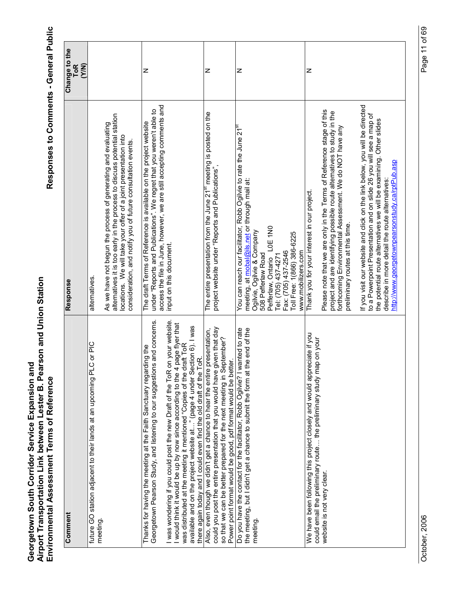Responses to Comments - General Public

| Comment                                                                                                                                                                                                                                                                                                                                                                                      | Response                                                                                                                                                                                                                                                                     | Change to the       |
|----------------------------------------------------------------------------------------------------------------------------------------------------------------------------------------------------------------------------------------------------------------------------------------------------------------------------------------------------------------------------------------------|------------------------------------------------------------------------------------------------------------------------------------------------------------------------------------------------------------------------------------------------------------------------------|---------------------|
|                                                                                                                                                                                                                                                                                                                                                                                              |                                                                                                                                                                                                                                                                              | <b>ToR</b><br>(Y/N) |
| C or PIC<br>future GO station adjacent to their lands at an upcoming PL<br>meeting.                                                                                                                                                                                                                                                                                                          | alternatives.                                                                                                                                                                                                                                                                |                     |
|                                                                                                                                                                                                                                                                                                                                                                                              | alternatives it is too early in the process to discuss potential station<br>As we have not begun the process of generating and evaluating<br>locations. We will take your offer of a joint presentation into<br>consideration, and notify you of future consultation events. |                     |
| is and concerns.<br>Thanks for having the meeting at the Faith Sanctuary regarding the<br>Georgetown Pearson Study, and listening to our suggestion                                                                                                                                                                                                                                          | access the file in June, however, we are still accepting comments and<br>under "Reports and Publications". We regret that you weren't able to<br>The draft Terms of Reference is available on the project website                                                            | z                   |
| I was wondering if you could post the new Draft of the ToR on your website.<br>page flyer that<br>available and on the project website at" (page 4 under Section 6). I was<br>was distributed at the meeting it mentioned "Copies of the draft ToR<br>rok.<br>I would think it would be up by now since according to the 4<br>there again today and I could even find the old draft of the T | input on this document.                                                                                                                                                                                                                                                      |                     |
| could you post the entire presentation that you would have given that day<br>Also, even though we didn't get a chance to hear the entire presentation,<br>so that we can be better prepared for the next meeting in September?<br>Power point format would be good, pdf format would be better.                                                                                              | The entire presentation from the June 21 <sup>st</sup> meeting is posted on the<br>project website under "Reports and Publications",                                                                                                                                         | z                   |
| Do you have the contact for the facilitator, Robb Ogilvie? I wanted to rate                                                                                                                                                                                                                                                                                                                  | You can reach our facilitator, Robb Ogilvie to rate the June 21 <sup>st</sup>                                                                                                                                                                                                | z                   |
| the end of the<br>the meeting, but I didn't get a chance to submit the form at                                                                                                                                                                                                                                                                                                               | meeting, at mobal@ils.net or through mail at:                                                                                                                                                                                                                                |                     |
| meeting.                                                                                                                                                                                                                                                                                                                                                                                     | Ogilvie, Ogilvie & Company<br>508 Pefferlaw Road                                                                                                                                                                                                                             |                     |
|                                                                                                                                                                                                                                                                                                                                                                                              | Pefferlaw, Ontario LOE 1N0                                                                                                                                                                                                                                                   |                     |
|                                                                                                                                                                                                                                                                                                                                                                                              | Tel: (705) 437-4271                                                                                                                                                                                                                                                          |                     |
|                                                                                                                                                                                                                                                                                                                                                                                              | Fax: (705) 437-2546                                                                                                                                                                                                                                                          |                     |
|                                                                                                                                                                                                                                                                                                                                                                                              | Toll Free: 1(866) 386-6225<br>www.mobilizers.com                                                                                                                                                                                                                             |                     |
| We have been following this project closely and would appreciate if you<br>could email the preliminary route the preliminary study map on your                                                                                                                                                                                                                                               | Thank you for your interest in our project.                                                                                                                                                                                                                                  | z                   |
| website is not very clear                                                                                                                                                                                                                                                                                                                                                                    | Please note that we are only in the Terms of Reference stage of this                                                                                                                                                                                                         |                     |
|                                                                                                                                                                                                                                                                                                                                                                                              | project and are identifying possible route alternatives to study in the<br>forthcoming Environmental Assessment. We do NOT have any                                                                                                                                          |                     |
|                                                                                                                                                                                                                                                                                                                                                                                              | preliminary routes at this time.                                                                                                                                                                                                                                             |                     |
|                                                                                                                                                                                                                                                                                                                                                                                              | If you visit our website and click on the link below, you will be directed<br>to a Powerpoint Presentation and on slide 26 you will see a map of<br>the potential route alternatives we will be examining. Other slides                                                      |                     |
|                                                                                                                                                                                                                                                                                                                                                                                              | http://www.georgetownpearsonstudy.ca/rptPub.asp<br>describe in more detail the route alternatives:                                                                                                                                                                           |                     |
|                                                                                                                                                                                                                                                                                                                                                                                              |                                                                                                                                                                                                                                                                              |                     |

October, 2006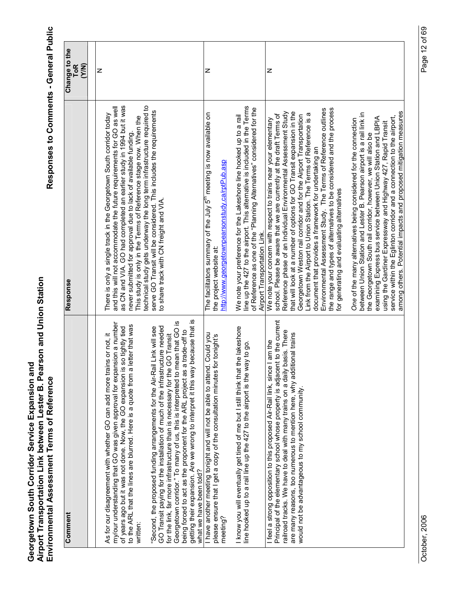| Comment                                                                                                                                                                                                                                                                                                                                                                                                                                                                                                             | Response                                                                                                                                                                                                                                                                                                                                                                                                                                                                                                                                                                                                                                                                                     | Change to the<br><b>ToR</b><br><b>EXA</b> |
|---------------------------------------------------------------------------------------------------------------------------------------------------------------------------------------------------------------------------------------------------------------------------------------------------------------------------------------------------------------------------------------------------------------------------------------------------------------------------------------------------------------------|----------------------------------------------------------------------------------------------------------------------------------------------------------------------------------------------------------------------------------------------------------------------------------------------------------------------------------------------------------------------------------------------------------------------------------------------------------------------------------------------------------------------------------------------------------------------------------------------------------------------------------------------------------------------------------------------|-------------------------------------------|
|                                                                                                                                                                                                                                                                                                                                                                                                                                                                                                                     |                                                                                                                                                                                                                                                                                                                                                                                                                                                                                                                                                                                                                                                                                              |                                           |
| my/our understanding that GO was given approval for expansion a number<br>letter that was<br>of years ago but it was not done. Now, the GO expansion is so tightly tied<br>As for our disagreement with whether GO can add more trains or not, it<br>to the ARL that the lines are blurred. Here is a quote from a<br>written:                                                                                                                                                                                      | as CN and VIA. GO had completed an earlier study in 1994 but it was<br>and this will not accommodate the future requirements for GO as well<br>There is only a single track in the Georgetown South corridor today<br>This study is only in the Terms of Reference stage now. When the<br>never submitted for approval due to lack of available funding.                                                                                                                                                                                                                                                                                                                                     | z                                         |
| because that is<br>Georgetown corridor." To many of us, this is interpreted to mean that GO is<br>"Second, the proposed funding arrangements for the Air-Rail Link will see<br>GO Transit paying for the installation of much of the infrastructure needed<br>being forced to act as the proponent for the ARL project as a trade-off to<br>for the link, far more infrastructure than is necessary for the GO Transit<br>getting their expansion. Are we wrong to interpret it this way<br>what we have been told? | technical study gets underway the long term infrastructure required to<br>serve GO Transit will be considered. This includes the requirements<br>to share track with CN freight and VIA.                                                                                                                                                                                                                                                                                                                                                                                                                                                                                                     |                                           |
| I. Could you<br>or tonight's<br>I have another meeting tonight and will not be able to attend<br>please ensure that I get a copy of the consultation minutes t<br>meeting?                                                                                                                                                                                                                                                                                                                                          | The facilitators summary of the July 5 <sup>th</sup> meeting is now available on<br>http://www.georgetownpearsonstudy.ca/rptPub.asp<br>the project website at:                                                                                                                                                                                                                                                                                                                                                                                                                                                                                                                               | z                                         |
| the lakeshore<br>line hooked up to a rail line up the 427 to the airport is the way to go<br>I know you will eventually get tired of me but I still think that                                                                                                                                                                                                                                                                                                                                                      | line up the 427 to the airport. This alternative is included in the Terms<br>of Reference as one of the "Planning Alternatives" considered for the<br>We note your preference for the Lakeshore line hooked up to a rail<br>Airport Transportation Link.                                                                                                                                                                                                                                                                                                                                                                                                                                     |                                           |
| Principal of the elementary school whose property is adjacent to the current<br>railroad tracks. We have to deal with many trains on a daily basis. There<br>are many reasons, too numerous to mention here, why additional trains<br>I feel a strong opposition to this proposed Air-Rail link, since I am the<br>would not be advantageous to my school community.                                                                                                                                                | the range and types of alternatives to be considered and the process<br>Environmental Assessment Study. The Terms of Reference outlines<br>that will look at a number of options for GO Transit expansion in the<br>Reference phase of an Individual Environmental Assessment Study<br>$\varpi$<br>school. Please be aware that we are currently at the draft Terms of<br>Georgetown Weston rail corridor and for the Airport Transportation<br>Link from the Airport to Union Station. The Terms of Reference is<br>We note your concern with respect to trains near your elementary<br>document that provides a framework for undertaking an<br>for generating and evaluating alternatives | z                                         |
|                                                                                                                                                                                                                                                                                                                                                                                                                                                                                                                     | among others. Potential impacts and proposed mitigation measures<br>between Union Station and Lester B. Pearson airport is a rail link in<br>service within the Eglinton corridor and a connection to the airport,<br>examining Express bus service between Union Station and LBPIA<br>One of the many alternatives being considered for the connection<br>using the Gardiner Expressway and Highway 427, Rapid Transit<br>the Georgetown South rail corridor, however, we will also be                                                                                                                                                                                                      |                                           |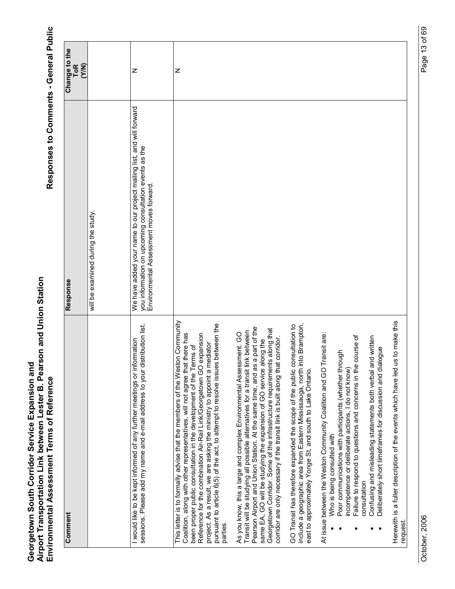| Comment                                                                                                                                                                                                                                                                                                                                                                                                                                                                      | Response                                                                                                                                                                   | Change to the       |
|------------------------------------------------------------------------------------------------------------------------------------------------------------------------------------------------------------------------------------------------------------------------------------------------------------------------------------------------------------------------------------------------------------------------------------------------------------------------------|----------------------------------------------------------------------------------------------------------------------------------------------------------------------------|---------------------|
|                                                                                                                                                                                                                                                                                                                                                                                                                                                                              |                                                                                                                                                                            | <b>ToR</b><br>(Y/N) |
|                                                                                                                                                                                                                                                                                                                                                                                                                                                                              | will be examined during the study                                                                                                                                          |                     |
| stribution list<br>I would like to be kept informed of any further meetings or information<br>sessions. Please add my name and e-mail address to your di                                                                                                                                                                                                                                                                                                                     | We have added your name to our project mailing list, and will forward<br>you information on upcoming consultation events as the<br>Environmental Assessment moves forward. | z                   |
| This letter is to formally advise that the members of the Weston Community<br>pursuant to article 6(5) of the act, to attempt to resolve issues between the<br>Coalition, along with other representatives, will not agree that there has<br>Reference for the combination Air-Rail Link/Georgetown GO expansion<br>project. As a result, we are asking the ministry to appoint a mediator<br>been proper public consultation in the development of the Terms of<br>parties. |                                                                                                                                                                            | Z                   |
| Pearson Airport and Union Station. At the same time, and as a part of the<br>Georgetown Corridor. Some of the infrastructure requirements along that<br>Transit will be studying all possible alternatives for a transit link between<br>As you know, this a large and complex Environmental Assessment. GO<br>corridor are only necessary if the transit link is built along that corridor.<br>same EA, GO will be studying the expansion of GO service along the           |                                                                                                                                                                            |                     |
| GO Transit has therefore expanded the scope of the public consultation to<br>include a geographic area from Eastern Mississauga, north into Brampton,<br>east to approximately Yonge St, and south to Lake Ontario.                                                                                                                                                                                                                                                          |                                                                                                                                                                            |                     |
| ransit are:<br>course of<br>Confusing and misleading statements both verbal and written<br>Poor communications with participants (whether through<br>Failure to respond to questions and concerns in the<br>At issue between the Weston Community Coalition and GO T<br>incompetence or deliberate actions, I do not know)<br>Who is being consulted with<br>consultation                                                                                                    |                                                                                                                                                                            |                     |
| is to make this<br>Deliberately short timeframes for discussion and dialogue<br>Herewith is a fuller description of the events which have led u<br>request.                                                                                                                                                                                                                                                                                                                  |                                                                                                                                                                            |                     |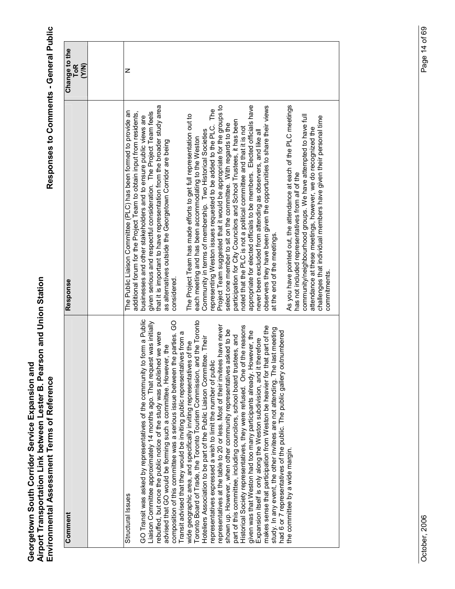| Comment                                                                                                                                                 | Response                                                                                                                                  | Change to the<br><b>ToR</b><br>(Y/N) |
|---------------------------------------------------------------------------------------------------------------------------------------------------------|-------------------------------------------------------------------------------------------------------------------------------------------|--------------------------------------|
|                                                                                                                                                         |                                                                                                                                           |                                      |
| Structural Issues                                                                                                                                       | The Public Liaison Committee (PLC) has been formed to provide an<br>additional forum for the Project Team to obtain input from residents, | z                                    |
| GO Transit was asked by representatives of the community to form a Public<br>Liaison Committee approximately 14 months ago. That request was initially  | given serious and respectful consideration. The Project Team feels<br>businesses and other stakeholders and to ensure public views are    |                                      |
| rebuffed, but once the public notice of the study was published we were                                                                                 | that it is important to have representation from the broader study area                                                                   |                                      |
| composition of this committee was a serious issue between the parties. GO<br>advised that GO would be forming such a committee. However, the            | as alternatives outside the Georgetown Corridor are being<br>considered.                                                                  |                                      |
| Transit advised that they would be inviting public representatives from a                                                                               |                                                                                                                                           |                                      |
| Toronto Board of Trade, the Toronto Tourism Commission, and the Toronto<br>wide geographic area, and specifically inviting representatives of the       | The Project Team has made efforts to get full representation out to<br>each meeting and has been accommodating to the Weston              |                                      |
| Hoteliers Association to be part of the Public Liaison Committee. Their                                                                                 | Community in terms of membership. Two Historical Societies                                                                                |                                      |
| representatives expressed a wish to limit the number of public                                                                                          | representing Weston issues requested to be added to the PLC. The                                                                          |                                      |
| representatives at the table to 20 or less. Most of their invitees have never                                                                           | Project Team suggested that it would be appropriate for the groups to                                                                     |                                      |
| shown up. However, when other community representatives asked to be<br>part of this committee, including councilors, school board trustees, and         | participation for City Councilors and School Trustees, it has been<br>select one member to sit on the committee. With regards to the      |                                      |
| Historical Society representatives, they were refused. One of the reasons                                                                               | noted that the PLC is not a political committee and that it is not                                                                        |                                      |
| given was that Weston had too many participants already. However, the                                                                                   | appropriate for elected officials to be members. Elected officials have                                                                   |                                      |
| makes sense that participation from Weston be heavier for that part of the<br>Expansion itself is only along the Weston subdivision, and it therefore   | observers they have been given the opportunities to share their views<br>never been excluded from attending as observers, and like all    |                                      |
| study. In any event, the other invitees are not attending. The last meeting<br>had 6 or 7 representatives of the public. The public gallery outnumbered | at the end of the meetings                                                                                                                |                                      |
| the committee by a wide margin.                                                                                                                         | As you have pointed out, the attendance at each of the PLC meetings<br>has not included representatives from all of the                   |                                      |
|                                                                                                                                                         | community/neighbourhood groups. We have attempted to have full                                                                            |                                      |
|                                                                                                                                                         | challenges that individual members have given their personal time<br>attendance at these meetings, however, we do recognized the          |                                      |
|                                                                                                                                                         | commitments.                                                                                                                              |                                      |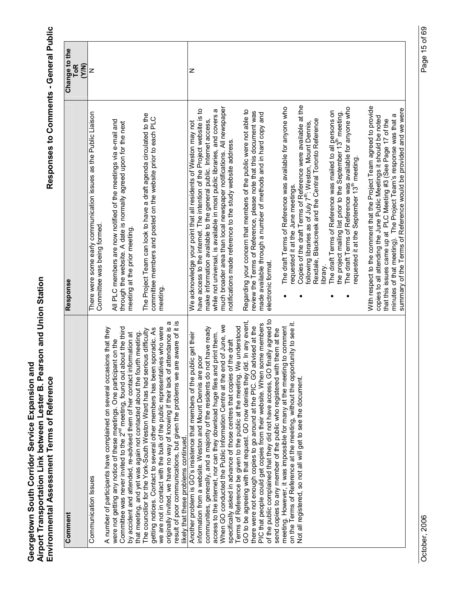| Comment                                                                                                                                                                                                | Response                                                                                                                                       | Change to the       |
|--------------------------------------------------------------------------------------------------------------------------------------------------------------------------------------------------------|------------------------------------------------------------------------------------------------------------------------------------------------|---------------------|
|                                                                                                                                                                                                        |                                                                                                                                                | <b>ToR</b><br>(Y/N) |
| Communication Issues                                                                                                                                                                                   | There were some early communication issues as the Public Liaison<br>Committee was being formed                                                 | z                   |
| A number of participants have complained on several occasions that they                                                                                                                                |                                                                                                                                                |                     |
| Committee was never invited to the 2 <sup>nd</sup> meeting, found out about the third<br>were not getting any notice of these meetings. One participant on the                                         | All PLC members are now notified of the meetings via e-mail and<br>through the website. A date is normally agreed upon for the next            |                     |
| by accident and attended, re-advised them of her contact information at                                                                                                                                | meeting at the prior meeting.                                                                                                                  |                     |
| The councillor for the York-South Weston Ward has had serious difficulty<br>that meeting, and yet was again not contacted about the fourth meeting.                                                    | The Project Team can look to have a draft agenda circulated to the                                                                             |                     |
| we are not in contact with the bulk of the public representatives who were<br>getting notices. Contact to several other members has been sporadic. As                                                  | committee members and posted on the website prior to each PLC<br>meeting                                                                       |                     |
| result of poor communications, but given the problems we are aware of it is<br>originally invited, we have no way of knowing if their lack of attendance is a<br>likely that these problems continued. |                                                                                                                                                |                     |
| Another problem is GO's insistence that members of the public get their                                                                                                                                | We acknowledge your point that all residents of Weston may not                                                                                 | z                   |
| information from a website. Weston and Mount Dennis are poor                                                                                                                                           | have access to the internet. The intention of the Project website is to                                                                        |                     |
| communities, generally, and a majority of the residents do not have ready<br>print them.<br>access to the internet, nor can they download huge files and                                               | while not universal, is available in most public libraries, and covers a<br>make information available to the general public. Internet access, |                     |
| When GO conducted the Public Information Centre at the end of June, we                                                                                                                                 | much broader area than local newspaper notifications. All newspaper                                                                            |                     |
| Terms of Reference be given to the public at the meeting. We understood<br>specifically asked in advance of those centres that copies of the draft                                                     | notifications made reference to the study website address.                                                                                     |                     |
| l. In any event,<br>GO to be agreeing with that request. GO now denies they did                                                                                                                        | Regarding your concern that members of the public were not able to                                                                             |                     |
| there were not enough copies to go around at the PIC. GO advised at the                                                                                                                                | review the Terms of Reference, please note that this document was                                                                              |                     |
| of the public complained that they did not have access, GO finally agreed to<br>PIC that people could get copies from their website. When some members                                                 | made available through a number of methods and in hard copy and<br>electronic format.                                                          |                     |
| send copies to any member of the public who registered with them at the                                                                                                                                |                                                                                                                                                |                     |
| on the Terms of Reference at the meeting, without the opportunity to see it.<br>meeting. However, it was impossible for many at the meeting to comment                                                 | The draft Terms of Reference was available for anyone who<br>requested it at the June meetings.                                                |                     |
| Not all registered, so not all will get to see the document.                                                                                                                                           | Copies of the draft Terms of Reference were available at the                                                                                   |                     |
|                                                                                                                                                                                                        | following libraries as of July 7 <sup>th</sup> : Weston, Mount Dennis,                                                                         |                     |
|                                                                                                                                                                                                        | Rexdale, Blackcreek and the Central Toronto Reference                                                                                          |                     |
|                                                                                                                                                                                                        | library.                                                                                                                                       |                     |
|                                                                                                                                                                                                        | The draft Terms of Reference was mailed to all persons on<br>the project mailing list prior to the September 13 <sup>th</sup> meeting.         |                     |
|                                                                                                                                                                                                        | The draft Terms of Reference was available for anyone who                                                                                      |                     |
|                                                                                                                                                                                                        | requested it at the September 13 <sup>th</sup> meeting.                                                                                        |                     |
|                                                                                                                                                                                                        | With respect to the comment that the Project Team agreed to provide                                                                            |                     |
|                                                                                                                                                                                                        | copies to all attending the June Public Meetings it should be noted                                                                            |                     |
|                                                                                                                                                                                                        | minutes of that meeting). The Project Team's response was that a<br>that this issues came up at PLC Meeting #3 (See Page 17 of the             |                     |
|                                                                                                                                                                                                        | summary of the Terms of Reference would be provided and we were                                                                                |                     |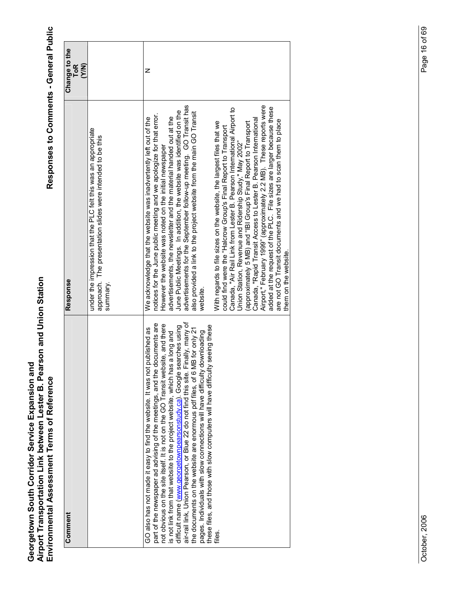| Comment                                                                                                                                                                                                                                                                                                                                                                                                                                                                                                                                                                                                                                                                                                                                        | Response                                                                                                                                                                                                                                                                                                                                                                                                                                                                                                                                                                                                                                                                                                                                                                                                                                                                                                                                                                                                                                                                                                                                        | Change to the<br><b>ToR</b><br>(Y/N) |
|------------------------------------------------------------------------------------------------------------------------------------------------------------------------------------------------------------------------------------------------------------------------------------------------------------------------------------------------------------------------------------------------------------------------------------------------------------------------------------------------------------------------------------------------------------------------------------------------------------------------------------------------------------------------------------------------------------------------------------------------|-------------------------------------------------------------------------------------------------------------------------------------------------------------------------------------------------------------------------------------------------------------------------------------------------------------------------------------------------------------------------------------------------------------------------------------------------------------------------------------------------------------------------------------------------------------------------------------------------------------------------------------------------------------------------------------------------------------------------------------------------------------------------------------------------------------------------------------------------------------------------------------------------------------------------------------------------------------------------------------------------------------------------------------------------------------------------------------------------------------------------------------------------|--------------------------------------|
|                                                                                                                                                                                                                                                                                                                                                                                                                                                                                                                                                                                                                                                                                                                                                | under the impression that the PLC felt this was an appropriate<br>approach. The presentation slides were intended to be this<br>summary.                                                                                                                                                                                                                                                                                                                                                                                                                                                                                                                                                                                                                                                                                                                                                                                                                                                                                                                                                                                                        |                                      |
| air-rail link, Union Pearson, or Blue 22 do not find this site. Finally, many of<br>documents are<br>not obvious on the site itself. It is not on the GO Transit website, and there<br>these files, and those with slow computers will have difficulty seeing these<br>difficult name (www.georgetownpearsonstudy.ca). Google searches using<br>published as<br>the documents on the website are enormous pdf files, of 6 MB for only 21<br>downloading<br>is not link from that website to the project website, which has a long and<br>GO also has not made it easy to find the website. It was not<br>part of the newspaper ad advising of the meetings, and the<br>pages. Individuals with slow connections will have difficulty<br>files. | advertisements for the September follow-up meeting. GO Transit has<br>Airport," February 1999" (approximately 2.2 MB). These reports were<br>added at the request of the PLC. File sizes are larger because these<br>Canada, "Air Rail Link from Lester B. Pearson International Airport to<br>June Public Meetings. In addition, the website was identified on the<br>also provided a link to the project website from the main GO Transit<br>notices for the June public meeting and we apologize for that error.<br>advertisements, the newsletter and the material handed out at the<br>We acknowledge that the website was inadvertently left out of the<br>Canada, "Rapid Transit Access to Lester B. Pearson International<br>are not GO Transit documents and we had to scan them to place<br>(approximately 5 MB) and "IBI Group's Final Report to Transport<br>With regards to file sizes on the website, the largest files that we<br>could find were the "Halcrow Group's Final Report to Transport<br>Union Station, Revenue and Ridership Study," May 2002"<br>However the website was noted on the initial newspaper<br>website. | z                                    |
|                                                                                                                                                                                                                                                                                                                                                                                                                                                                                                                                                                                                                                                                                                                                                | them on the website.                                                                                                                                                                                                                                                                                                                                                                                                                                                                                                                                                                                                                                                                                                                                                                                                                                                                                                                                                                                                                                                                                                                            |                                      |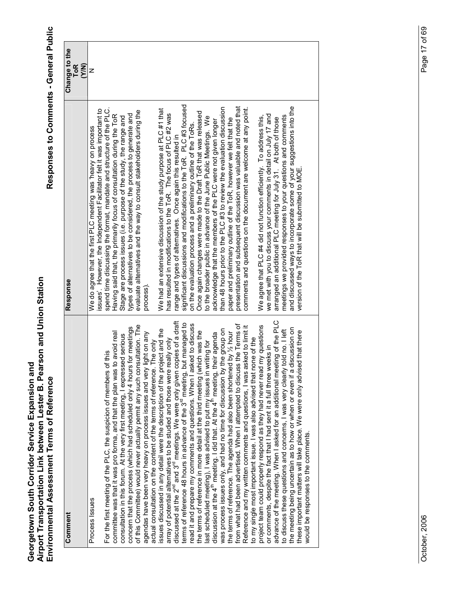| Comment                                                                                                                                           | Response                                                                                                                              | Change to the<br><b>N/A)</b><br><b>ToR</b> |
|---------------------------------------------------------------------------------------------------------------------------------------------------|---------------------------------------------------------------------------------------------------------------------------------------|--------------------------------------------|
| Process Issues                                                                                                                                    | ssues'. However, the Independent Facilitator felt it was important to<br>We do agree that the first PLC meeting was 'heavy on process | z                                          |
| For the first meeting of the PLC, the suspicion of members of this                                                                                | spend time discussing the format, mandate and structure of the PLC.                                                                   |                                            |
| avoid real<br>committee was that it was pro forma, and that the plan was to                                                                       | Having said that, the primarily focus of consultation during the ToR                                                                  |                                            |
| consultation in this forum. At the very first meeting, I expressed serious                                                                        | Stage are process issues (i.e. purpose of the study, the range and                                                                    |                                            |
| for meetings<br>concern that the process (which had scheduled only 4 hours i                                                                      | types of alternatives to be considered, the process to generate and                                                                   |                                            |
| of this Committee) would never actually permit any such consultation. The<br>agendas have been very heavy on process issues and very light on any | evaluate alternatives and the way to consult stakeholders during the<br>process).                                                     |                                            |
| The only<br>actual consultation on the content of the terms of reference. T                                                                       |                                                                                                                                       |                                            |
| issues discussed in any detail were the description of the project and the                                                                        | We had an extensive discussion of the study purpose at PLC #1 that                                                                    |                                            |
| array of potential alternatives to be studied and those were really only                                                                          | has resulted in modifications to the ToR. The focus of PLC #2 was                                                                     |                                            |
| discussed at the 2 <sup>nd</sup> and 3 <sup>rd</sup> meetings. We were only given copies of a draft                                               | range and types of alternatives. Once again this resulted in                                                                          |                                            |
| terms of reference 48 hours in advance of the 3 <sup>rd</sup> meeting, but managed to                                                             | significant discussions and modifications to the ToR. PLC #3 focused                                                                  |                                            |
| read it and prepare my comments and questions. When I asked to discuss                                                                            | on the evaluation process and a preliminary outline of the ToRs.                                                                      |                                            |
| the terms of reference in more detail at the third meeting (which was the                                                                         | Once again changes were made to the Draft ToR that was released                                                                       |                                            |
| last scheduled meeting), I was advised to put my issues in writing for                                                                            | to the broader public in advance of the June Public Meetings. We                                                                      |                                            |
| discussion at the $4^{\text{th}}$ meeting. I did that. At the $4^{\text{th}}$ meeting, their agenda                                               | acknowledge that the members of the PLC were not given longer                                                                         |                                            |
| was process issues only, and had no time for discussion by the group on                                                                           | than 48 hours prior to the PLC #3 to review the evaluation discussion                                                                 |                                            |
| the terms of reference. The agenda had also been shortened by 1/2 hour                                                                            | paper and preliminary outline of the ToR, however we felt that the                                                                    |                                            |
| from what had been advertised. When I attempted to discuss the Terms of                                                                           | presentation and subsequent discussion was valuable and noted that                                                                    |                                            |
| Reference and my written comments and questions, I was asked to limit it                                                                          | comments and questions on the document are welcome at any point.                                                                      |                                            |
| to my single most important issue. I was also advised that none of the                                                                            | We agree that PLC #4 did not function efficiently. To address this,                                                                   |                                            |
| project team could properly respond as they had never read my questions<br>or comments, despite the fact that I had sent it a full three weeks in | we met with you to discuss your comments in detail on July 17 and                                                                     |                                            |
| advance of the meeting. When I asked for an additional meeting of the PLC                                                                         | arranged an additional PLC meeting for July 31. At both of those                                                                      |                                            |
| to discuss these questions and concerns, I was very clearly told no. I left                                                                       | meetings we provided responses to your questions and comments                                                                         |                                            |
| the meeting being uncertain as to how or when or even if a discussion on                                                                          | and discussed ways to incorporate some of your suggestions into the<br>version of the ToR that will be submitted to MOE.              |                                            |
| these important matters will take place. We were only advised that there                                                                          |                                                                                                                                       |                                            |
| would be responses to the comments                                                                                                                |                                                                                                                                       |                                            |
|                                                                                                                                                   |                                                                                                                                       |                                            |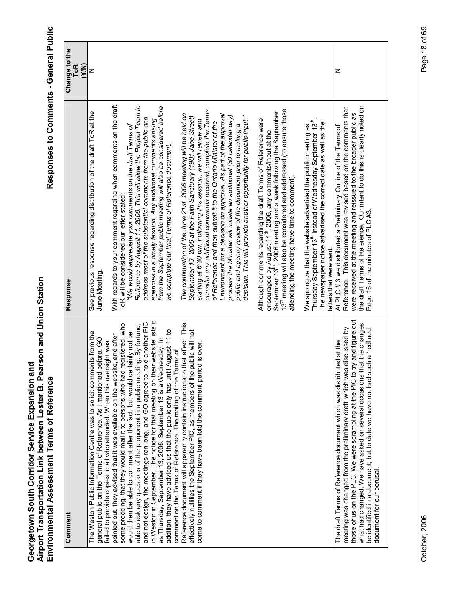| Comment                                                                                                                                                                                                                              | Response                                                                                                                                                                                                                                                                                                    | Change to the<br><b>ToR</b><br>(Y/N) |  |
|--------------------------------------------------------------------------------------------------------------------------------------------------------------------------------------------------------------------------------------|-------------------------------------------------------------------------------------------------------------------------------------------------------------------------------------------------------------------------------------------------------------------------------------------------------------|--------------------------------------|--|
| The Weston Public Information Centre was to solicit comments from the<br>general public on the Terms of Reference. As I mentioned before, GO<br>failed to provide copies to all who attended. When this oversight was                | See previous response regarding distribution of the draft ToR at the<br><b>June Meeting</b>                                                                                                                                                                                                                 | z                                    |  |
| some prodding, that they would mail it to persons who had registered, who<br>pointed out, they advised that it was available on the website, and after                                                                               | With regards to your comment regarding when comments on the draft<br>ToR will be considered our letter stated                                                                                                                                                                                               |                                      |  |
| By fortune,<br>would then be able to comment after the fact, but would certainly not be<br>able to ask any questions of the proponent in a public meeting.                                                                           | Reference by August 11, 2006. This will allow the Project Team to<br>"We would appreciate your comments on the draft Terms of                                                                                                                                                                               |                                      |  |
| in Weston in September. The notice for that meeting on their website lists it<br>another PIC<br>and not design, the meetings ran long, and GO agreed to hold                                                                         | address most of the substantial comments from the public and<br>agencies in a timely fashion. Any additional comments arising                                                                                                                                                                               |                                      |  |
| addition, they have advised us that the public only has until August 11 to<br>as Thursday, September 13, 2006. September 13 is a Wednesday. In<br>$\overline{\sigma}$<br>comment on the Terms of Reference. The mailing of the Terms | from the September public meeting will also be considered before<br>we complete our final Terms of Reference document.                                                                                                                                                                                      |                                      |  |
| effect. This<br>ic will not<br>Reference document will apparently contain instructions to that<br>effectively nullifies the September PIC, as members of the publ                                                                    | The continuation of the June 21st, 2006 meeting will be held on<br>September 13, 2006 at the Faith Sanctuary (1901 Jane Street)                                                                                                                                                                             |                                      |  |
| over.<br>come to comment if they have been told the comment period is                                                                                                                                                                | consider any additional comments received, complete the Terms<br>Environment for a decision on approval. As part of the approval<br>starting at 6:30 pm. Following this session, we will review and<br>of Reference and then submit it to the Ontario Minister of the                                       |                                      |  |
|                                                                                                                                                                                                                                      | decision. This will provide another opportunity for public input."<br>process the Minister will initiate an additional (30 calendar day)<br>public and agency review of the document prior to making a                                                                                                      |                                      |  |
|                                                                                                                                                                                                                                      | 13 <sup>th</sup> meeting will also be considered and addressed (to ensure those<br>September 13 <sup>th</sup> , 2006 meeting and a week following the September<br>Although comments regarding the draft Terms of Reference were<br>encouraged by August 11 <sup>th</sup> , 2006, any comments/input at the |                                      |  |
|                                                                                                                                                                                                                                      | attending the meeting have time to comment).                                                                                                                                                                                                                                                                |                                      |  |
|                                                                                                                                                                                                                                      | Thursday September 13 <sup>th</sup> instead of Wednesday September 13 <sup>th</sup> .<br>The newspaper notice advertised the correct date as well as the<br>We apologize that the website advertised the public meeting as<br>letters that were sent.                                                       |                                      |  |
| meeting was changed from the preliminary draft' which was discussed by<br>The draft Terms of Reference document which was distributed at the                                                                                         | Reference. This document was revised based on the comments that<br>At PLC # 3 we distributed a Preliminary Outline of the Terms of                                                                                                                                                                          | z                                    |  |
| those of us on the PLC. We were scrambling at the PIC to try and figure out<br>what had changed. We have asked on several occasions that the changes<br>be identified in a document, but to date we have not had such a 'redlined'   | the draft Terms of Reference. Our intent to do this is clearly noted on<br>were received at the meeting and reissued to the broader public as<br>Page 16 of the minutes of PLC #3.                                                                                                                          |                                      |  |
| document for our perusal.                                                                                                                                                                                                            |                                                                                                                                                                                                                                                                                                             |                                      |  |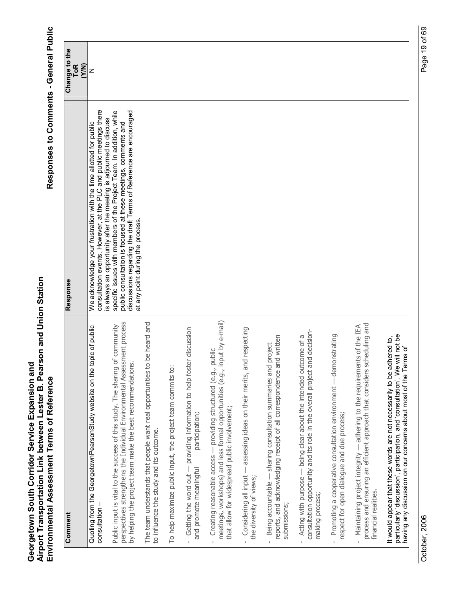| Comment                                                                                                                                                                                                                    | Response                                                                                                                                                                                                                                        | Change to the       |
|----------------------------------------------------------------------------------------------------------------------------------------------------------------------------------------------------------------------------|-------------------------------------------------------------------------------------------------------------------------------------------------------------------------------------------------------------------------------------------------|---------------------|
|                                                                                                                                                                                                                            |                                                                                                                                                                                                                                                 | <b>ToR</b><br>(Y/N) |
| Quoting from the GeorgetownPearsonStudy website on the topic of public<br>consultation -                                                                                                                                   | consultation events. However, at the PLC and public meetings there<br>s always an opportunity after the meeting is adjourned to discuss<br>We acknowledge your frustration with the time allotted for public                                    | z                   |
| perspectives strengthens the Individual Environmental Assessment process<br>Public input is vital to the success of this study. The sharing of community<br>by helping the project team make the best recommendations.     | specific issues with members of the Project Team. In addition, while<br>discussions regarding the draft Terms of Reference are encouraged<br>public consultation is focused at these meetings, comments and<br>at any point during the process. |                     |
| be heard and<br>The team understands that people want real opportunities to<br>to influence the study and its outcome.                                                                                                     |                                                                                                                                                                                                                                                 |                     |
| To help maximize public input, the project team commits to:                                                                                                                                                                |                                                                                                                                                                                                                                                 |                     |
| Getting the word out - providing information to help foster discussion<br>participation;<br>and promote meaningful                                                                                                         |                                                                                                                                                                                                                                                 |                     |
| meetings, workshops) and less formal opportunities (e.g., input by e-mail)<br>Creating reasonable access - providing structured (e.g., public<br>that allow for widespread public involvement;<br>$\bar{1}$                |                                                                                                                                                                                                                                                 |                     |
| - assessing ideas on their merits, and respecting<br>Considering all input-<br>the diversity of views;                                                                                                                     |                                                                                                                                                                                                                                                 |                     |
| reports, and acknowledging receipt of all correspondence and written<br>Being accountable - sharing consultation summaries and project<br>submissions;                                                                     |                                                                                                                                                                                                                                                 |                     |
| consultation opportunity and its role in the overall project and decision-<br>Acting with purpose — being clear about the intended outcome of a<br>making process;<br>$\mathbf{I}$                                         |                                                                                                                                                                                                                                                 |                     |
| Promoting a cooperative consultation environment - demonstrating<br>respect for open dialogue and due process;                                                                                                             |                                                                                                                                                                                                                                                 |                     |
| process and ensuring an efficient approach that considers scheduling and<br>Maintaining project integrity — adhering to the requirements of the IEA<br>financial realities.<br>$\mathbf{I}$                                |                                                                                                                                                                                                                                                 |                     |
| particularly 'discussion', participation, and 'consultation'. We will not be<br>It would appear that these words are not necessarily to be adhered to,<br>having any discussion on our concerns about most of the Terms of |                                                                                                                                                                                                                                                 |                     |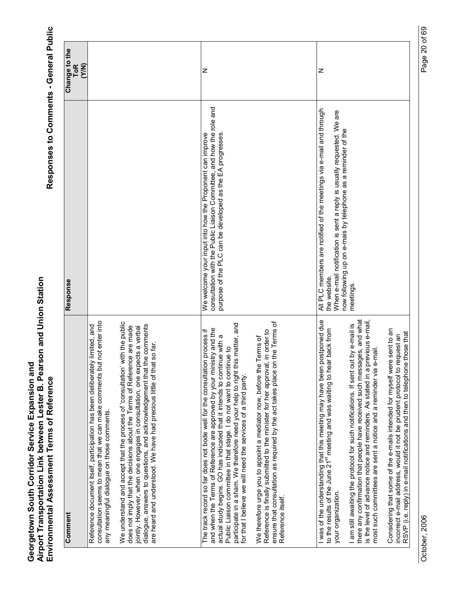| Comment                                                                                                                                                                                                                                                                                                                                                                                                                                                   | Response                                                                                                                                                                                                                    | Change to the       |
|-----------------------------------------------------------------------------------------------------------------------------------------------------------------------------------------------------------------------------------------------------------------------------------------------------------------------------------------------------------------------------------------------------------------------------------------------------------|-----------------------------------------------------------------------------------------------------------------------------------------------------------------------------------------------------------------------------|---------------------|
|                                                                                                                                                                                                                                                                                                                                                                                                                                                           |                                                                                                                                                                                                                             | <b>ToR</b><br>(Y/N) |
| not enter into<br>/ limited, and<br>Reference document itself, participation has been deliberately<br>consultation seems to mean that we can make comments but<br>any meaningful dialogue on those comments.                                                                                                                                                                                                                                              |                                                                                                                                                                                                                             |                     |
| We understand and accept that the process of 'consultation' with the public<br>dialogue, answers to questions, and acknowledgement that the comments<br>does not imply that the decisions about the Terms of Reference are made<br>jointly. However, when one engages in consultation, one expects a verbal<br>: so far.<br>are heard and understood. We have had precious little of that                                                                 |                                                                                                                                                                                                                             |                     |
|                                                                                                                                                                                                                                                                                                                                                                                                                                                           |                                                                                                                                                                                                                             |                     |
| participate in a sham. We therefore need your help to right this matter, and<br>and when the Terms of Reference are approved by your ministry and the<br>The track record so far does not bode well for the consultation process if<br>actual study begins. GO has indicated that it intends to continue with a<br>Public Liaison committee in that stage. I do not want to continue to<br>for that I believe we will need the services of a third party. | consultation with the Public Liaison Committee, and how the role and<br>purpose of the PLC can be developed as the EA progresses<br>We welcome your input into how the Proponent can improve                                | z                   |
| ensure that consultation as required by the act takes place on the Terms of<br>, in order to<br>We therefore urge you to appoint a mediator now, before the Terms of<br>Reference is finally submitted to the minister for her approval,<br>Reference itself.                                                                                                                                                                                             |                                                                                                                                                                                                                             |                     |
| I was of the understanding that this meeting may have been postponed due<br>to the results of the June 21 <sup>st</sup> meeting and was waiting to hear back from<br>your organization.                                                                                                                                                                                                                                                                   | All PLC members are notified of the meetings via e-mail and through<br>When e-mail notification is sent a reply is usually requested. We are<br>now following up on e-mais by telephone as a reminder of the<br>the website | z                   |
| there any confirmation that people have received such messages, and what<br>is the level of advance notice and reminders. As stated in a previous e-mail,<br>I am still awaiting the protocol for such notifications. If sent out by e-mail is<br>most such committees are sent a notice and a reminder via e-mail.                                                                                                                                       | meetings.                                                                                                                                                                                                                   |                     |
| Considering that some of the e-mails intended for myself were sent to an<br>incorrect e-mail address, would it not be prudent protocol to request an<br>RSVP (i.e. reply) in e-mail notifications and then to telephone those that                                                                                                                                                                                                                        |                                                                                                                                                                                                                             |                     |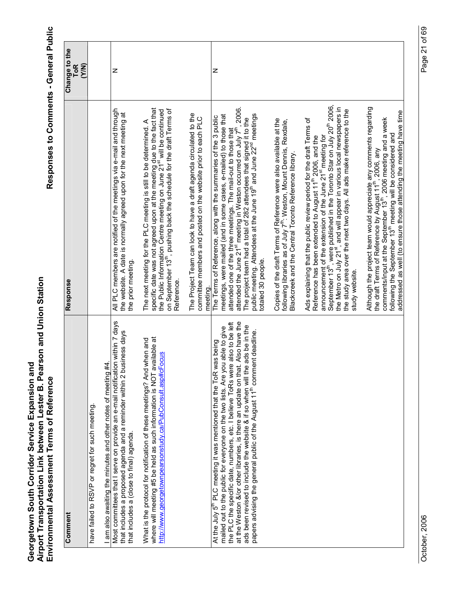| Comment                                                                                                                                                                                                                                                                                                                                                                                                                                                                                                              | <b>Response</b>                                                                                                                                                                                                                                                                                                                                                                                                                                                                                          | Change to the<br><b>ToR</b><br>(Y/N) |
|----------------------------------------------------------------------------------------------------------------------------------------------------------------------------------------------------------------------------------------------------------------------------------------------------------------------------------------------------------------------------------------------------------------------------------------------------------------------------------------------------------------------|----------------------------------------------------------------------------------------------------------------------------------------------------------------------------------------------------------------------------------------------------------------------------------------------------------------------------------------------------------------------------------------------------------------------------------------------------------------------------------------------------------|--------------------------------------|
| have failed to RSVP or regret for such meeting                                                                                                                                                                                                                                                                                                                                                                                                                                                                       |                                                                                                                                                                                                                                                                                                                                                                                                                                                                                                          |                                      |
| I am also awaiting the minutes and other notes of meeting #4                                                                                                                                                                                                                                                                                                                                                                                                                                                         |                                                                                                                                                                                                                                                                                                                                                                                                                                                                                                          |                                      |
| Most committees that I serve on provide an e-mail notification within 7 days<br>that includes a proposed agenda and a reminder within 2 business days<br>that includes a (close to final) agenda.                                                                                                                                                                                                                                                                                                                    | All PLC members are notified of the meetings via e-mail and through<br>the website. A date is normally agreed upon for the next meeting at<br>the prior meeting                                                                                                                                                                                                                                                                                                                                          | z                                    |
| where will meeting #5 be held as such information is NOT available at<br>What is the protocol for notification of these meetings? And when and<br>http://www.georgetownpearsonstudy.ca/PubConsult.asp#cFocus                                                                                                                                                                                                                                                                                                         | specific date was not agreed upon at the meeting due to the fact that<br>the Public Information Centre meeting on June 21 <sup>st</sup> will be continued<br>on September 13 <sup>th</sup> , pushing back the schedule for the draft Terms of<br>The next meeting for the PLC meeting is still to be determined. A<br>Reference                                                                                                                                                                          |                                      |
|                                                                                                                                                                                                                                                                                                                                                                                                                                                                                                                      | The Project Team can look to have a draft agenda circulated to the<br>committee members and posted on the website prior to each PLC<br>meeting.                                                                                                                                                                                                                                                                                                                                                          |                                      |
| Also have the<br>also to be left<br>ads be in the<br>mailed out to the public for everyone on the two lists. Are you able to give<br>int deadline.<br>At the July 5 <sup>th</sup> PLC meeting it was mentioned that the ToR was being<br>the PLC the specific date, numbers, etc. I believe ToRs were<br>at the Weston &/or other libraries, is there an update on that.<br>ads been revised to include the website & if so when will the<br>papers advising the general public of the August 11 <sup>th</sup> comme | attended the June 21 <sup>st</sup> meeting in Weston occurred on July 7 <sup>th</sup> , 2006.<br>public meeting. Attendees at the June 19th and June 22 <sup>nd</sup> meetings<br>meetings, were mailed (and in some cases, e-mailed) to those that<br>The Terms of Reference, along with the summaries of the 3 public<br>The project team had a total of 282 attendees that signed it to the<br>attended one of the three meetings. The mail-out to those that<br>totaled 30 people.                   | z                                    |
|                                                                                                                                                                                                                                                                                                                                                                                                                                                                                                                      | Copies of the draft Terms of Reference were also available at the<br>following libraries as of July 7 <sup>th</sup> : Weston, Mount Dennis, Rexdale,<br>Blackcreek and the Central Toronto Reference library                                                                                                                                                                                                                                                                                             |                                      |
|                                                                                                                                                                                                                                                                                                                                                                                                                                                                                                                      | September 13 <sup>th</sup> , were published in the Toronto Star on July 20 <sup>th</sup> 2006,<br>the Metro on July 21 <sup>st</sup> , and will appear in various local newspapers in<br>the study area over the next two days. All ads make reference to the<br>Ads explaining that the public review period for the draft Terms of<br>announcement of the extension of the June 21 <sup>st</sup> meeting for<br>Reference has been extended to August 11 <sup>th</sup> 2006, and the<br>study website. |                                      |
|                                                                                                                                                                                                                                                                                                                                                                                                                                                                                                                      | Although the project team would appreciate any comments regarding<br>the draft Terms of Reference by August 11 <sup>th</sup> , 2006, any<br>addressed as well (to ensure those attending the meeting have time<br>comments/input at the September 13th, 2006 meeting and a week<br>following the September 13 <sup>th</sup> meeting will be considered and                                                                                                                                               |                                      |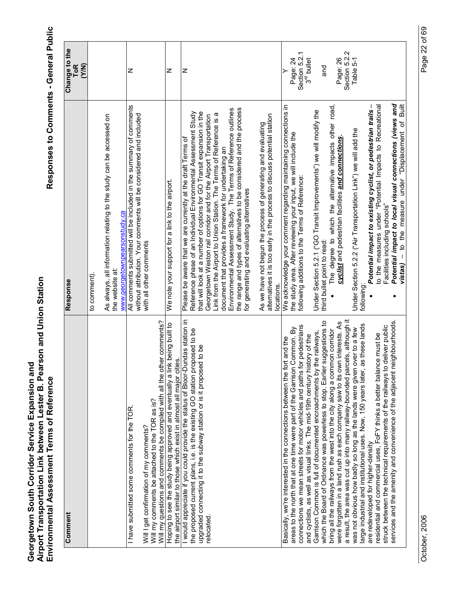Responses to Comments - General Public

| Comment                                                                                                                                                 | Response                                                                                                                                                | Change to the              |
|---------------------------------------------------------------------------------------------------------------------------------------------------------|---------------------------------------------------------------------------------------------------------------------------------------------------------|----------------------------|
|                                                                                                                                                         |                                                                                                                                                         | <b>ToR</b><br>(Y/N)        |
|                                                                                                                                                         | to comment).                                                                                                                                            |                            |
|                                                                                                                                                         | As always, all information relating to the study can be accessed on<br>the website at:                                                                  |                            |
|                                                                                                                                                         | www.georgetownpearsonstudy.ca                                                                                                                           |                            |
| I have submitted some comments for the TOR.                                                                                                             | All comments submitted will be included in the summary of comments<br>without attribution. Your comments will be considered and included                | z                          |
| Will my comments be attached to the TOR as is?<br>Will I get confirmation of my comments?                                                               | with all other comments                                                                                                                                 |                            |
| Will my questions and comments be compiled with all the other comments?                                                                                 |                                                                                                                                                         |                            |
| Hoping to see the study being approved and eventually a link being built to<br>the airport similar to those which exist in almost all major cities.     | We note your support for a link to the airport.                                                                                                         | z                          |
| I would appreciate if you could provide the status of Bloor-Dundas station in                                                                           | Please be aware that we are currently at the draft Terms of                                                                                             | z                          |
| the proposed current plans, i.e. is the existing GO station proposed to be                                                                              | Reference phase of an Individual Environmental Assessment Study                                                                                         |                            |
| upgraded connecting it to the subway station or is it proposed to be<br>relocated.                                                                      | that will look at a number of options for GO Transit expansion in the<br>Georgetown Weston rail corridor and for the Airport Transportation             |                            |
|                                                                                                                                                         | Link from the Airport to Union Station. The Terms of Reference is a                                                                                     |                            |
|                                                                                                                                                         | document that provides a framework for undertaking an                                                                                                   |                            |
|                                                                                                                                                         | Environmental Assessment Study. The Terms of Reference outlines                                                                                         |                            |
|                                                                                                                                                         | the range and types of alternatives to be considered and the process<br>for generating and evaluating alternatives                                      |                            |
|                                                                                                                                                         |                                                                                                                                                         |                            |
|                                                                                                                                                         | alternatives it is too early in the process to discuss potential station<br>As we have not begun the process of generating and evaluating<br>locations. |                            |
| Basically, we're interested in the connections between the fort and the                                                                                 | We acknowledge your comment regarding maintaining connections in                                                                                        |                            |
| areas to the north that at one time were part of the Garrison Common. By                                                                                | the study area. After reviewing your input, we will include the                                                                                         | Page: 24                   |
| for pedestrians<br>connections we mean streets for motor vehicles and paths f                                                                           | following additions to the Terms of Reference:                                                                                                          | Section 5.2.1              |
| Garrison Common is full of documented encroachments by the railways,<br>and cyclists, as well as visual links. The mid-19th century history of the      | Under Section 5.2.1 ("GO Transit Improvements") we will modify the                                                                                      | 3 <sup>rd</sup> bullet     |
| which the Board of Ordnance was powerless to stop. Earlier suggestions to                                                                               | third bullet point to read:                                                                                                                             | and                        |
| bring all the railways from the west into the city along a common corridor                                                                              | The degree to which the alternative impacts other road,                                                                                                 |                            |
| were forgotten in a land rush as each company saw to its own interests. As                                                                              | cyclist and pedestrian facilities and connections.                                                                                                      | Page: 26                   |
| a result, the area was cut up into many railway-bounded parcels, although it<br>was not obvious how badly so long as the lands were given over to a few | Under Section 5.2.2 ("Air Transportation Link") we will add the                                                                                         | Section 5.2.2<br>Table 5-1 |
| as these lands<br>large industrial and institutional uses. Now, 150 years later,                                                                        | following                                                                                                                                               |                            |
| residential and commercial uses, FoFY thinks a better balance must be<br>are redeveloped for higher-density                                             | Potential impact to existing cyclist, or pedestrian trails -<br>to the measures under "Potential Impacts to Recreational                                |                            |
| struck between the technical requirements of the railways to deliver public                                                                             | Facilities including schools"                                                                                                                           |                            |
| neighbourhoods.<br>services and the amenity and convenience of the adjacent r                                                                           | Potential impact to local visual connections (views and<br>to the measure under "Displacement of Built<br>$vistas) -$                                   |                            |
|                                                                                                                                                         |                                                                                                                                                         |                            |

Page 22 of 69 October, 2006 Page 22 of 69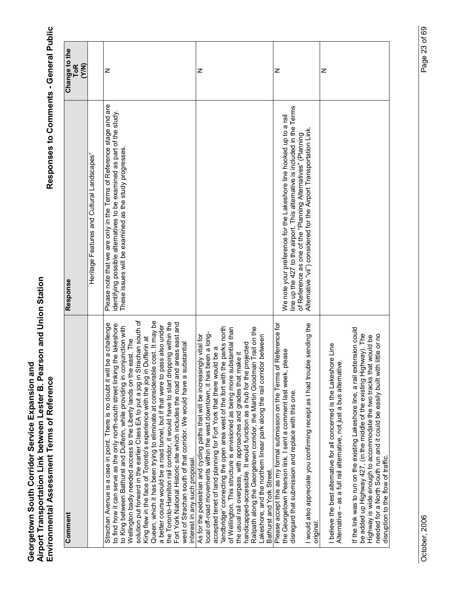| Comment                                                                                                                                                                                                                                                                                                                                                                                                                                                                                                                                                                                                                                                                                                                                                                                                                                                                                                                         | Response                                                                                                                                                                                                                                                                             | Change to the<br><b>ToR</b> |
|---------------------------------------------------------------------------------------------------------------------------------------------------------------------------------------------------------------------------------------------------------------------------------------------------------------------------------------------------------------------------------------------------------------------------------------------------------------------------------------------------------------------------------------------------------------------------------------------------------------------------------------------------------------------------------------------------------------------------------------------------------------------------------------------------------------------------------------------------------------------------------------------------------------------------------|--------------------------------------------------------------------------------------------------------------------------------------------------------------------------------------------------------------------------------------------------------------------------------------|-----------------------------|
|                                                                                                                                                                                                                                                                                                                                                                                                                                                                                                                                                                                                                                                                                                                                                                                                                                                                                                                                 |                                                                                                                                                                                                                                                                                      | (Y/N)                       |
|                                                                                                                                                                                                                                                                                                                                                                                                                                                                                                                                                                                                                                                                                                                                                                                                                                                                                                                                 | Heritage Features and Cultural Landscapes'                                                                                                                                                                                                                                           |                             |
| solution put forward in the earlier Class EA to put a jog in Strachan south of<br>Queen, which it has been trying to eliminate at considerable cost. It may be<br>the Toronto-Hamilton rail corridor, it would have to start dropping within the<br>Fort York National Historic site which includes the road and areas east and<br>be a challenge<br>to find how it can serve as the only north-south street linking the lakeshore<br>a better course would be a road tunnel, but if that were to pass also under<br>to King between Bathurst and Dufferin, while providing in conjunction with<br>King flew in the face of Toronto's experience with the jog in Dufferin at<br>Wellington badly needed access to the Liberty lands on the east. The<br>west of Strachan south of that corridor. We would have a substantial<br>Strachan Avenue is a case in point. There is no doubt it will<br>interest in any such proposal. | Please note that we are only in the Terms of Reference stage and are<br>identifying possible alternatives to be examined as part of the study.<br>These issues will be examined as the study progresses                                                                              | Z                           |
| landbridge' connecting the open area west of the fort with the parks north<br>Railpath along the Georgetown corridor, the Martin Goodman Trail on the<br>of Wellington. This structure is envisioned as being more substantial than<br>local off-road movements within the west downtown, it has been a long-<br>As for the pedestrian and cycling paths that will be increasingly vital for<br>Lakeshore, and the northern linear park along the rail corridor between<br>handicapped-accessible. It would function as a hub for the projected<br>accepted tenet of land planning for Fort York that there would be a<br>the usual rail overpass, with approaches and grades that make it<br>Bathurst and York Street.                                                                                                                                                                                                         |                                                                                                                                                                                                                                                                                      | z                           |
| Reference for<br>le sending the<br>lease<br>Please accept this as my formal submission on the Terms of<br>the Georgetown Pearson link. I sent a comment last week, p<br>I would also appreciate you confirming receipt as I had troub<br>disregard that submission and replace with this one.<br>original                                                                                                                                                                                                                                                                                                                                                                                                                                                                                                                                                                                                                       | line up the 427 to the airport. This alternative is included in the Terms<br>We note your preference for the Lakeshore line hooked up to a rail<br>Alternative "vii") considered for the Airport Transportation Link<br>of Reference as one of the "Planning Alternatives" (Planning | z                           |
| If the link was to run on the existing Lakeshore line, a rail extension could<br>be added up Highway 427, (in the middle of the existing Highway). The<br>little or no<br>Highway is wide enough to accommodate the two tracks that would be<br>I believe the best alternative for all concerned is the Lakeshore Line<br>Alternative - as a full rail alternative, not just a bus alternative.<br>needed for a North South run and it could be easily built with<br>disruption to the flow of traffic.                                                                                                                                                                                                                                                                                                                                                                                                                         |                                                                                                                                                                                                                                                                                      | Z                           |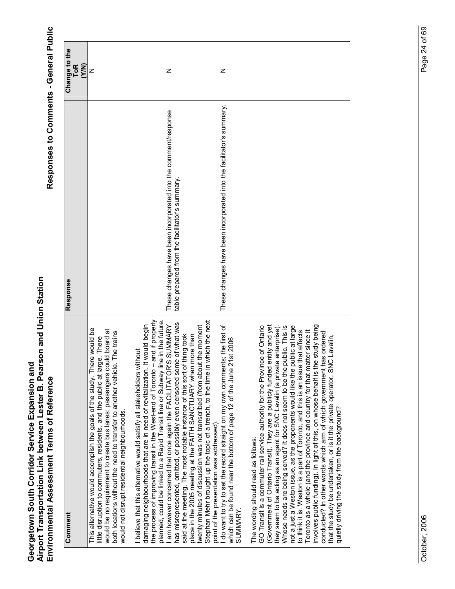| Comment                                                                                                                                                                                                                                                                                                                                                                                                                                                                                                                                                                                                                                                                                                                                                                                                                                                                                                      | Response                                                                                                         | Change to the<br>$\overline{1}$ o $\overline{R}$<br>(Y/N) |
|--------------------------------------------------------------------------------------------------------------------------------------------------------------------------------------------------------------------------------------------------------------------------------------------------------------------------------------------------------------------------------------------------------------------------------------------------------------------------------------------------------------------------------------------------------------------------------------------------------------------------------------------------------------------------------------------------------------------------------------------------------------------------------------------------------------------------------------------------------------------------------------------------------------|------------------------------------------------------------------------------------------------------------------|-----------------------------------------------------------|
| This alternative would accomplish the goals of the study. There would be<br>would be no requirement to create bus lanes; passengers could board at<br>both locations without the need to transfer to another vehicle. The trains<br>little disruption to commuters, residents, and the public at large. There<br>would not disrupt residential neighbourhoods.                                                                                                                                                                                                                                                                                                                                                                                                                                                                                                                                               |                                                                                                                  | z                                                         |
| the process of improving transit in the West-end of Toronto - and if properly<br>planned, could be linked to a Rapid Transit line or Subway line in the future<br>It would begin<br>I believe that this alternative would satisfy all stakeholders without<br>damaging neighbourhoods that are in need of revitalization.                                                                                                                                                                                                                                                                                                                                                                                                                                                                                                                                                                                    |                                                                                                                  |                                                           |
| Stephan Mehr brought up the topic of a trench, to the time in which the next<br>has misrepresented, omitted, or possibly even censored some of what was<br>am however concerned that once again the FACILITATOR'S SUMMARY<br>twenty minutes of discussion was not transcribed (from about the moment<br>said at the meeting. The most notable instance of this sort of thing took<br>place in the 2005 meeting at the FAITH SANCTUARY when more than<br>point of the presentation was addressed).                                                                                                                                                                                                                                                                                                                                                                                                            | These changes have been incorporated into the comment/response<br>table prepared from the facilitator's summary. | z                                                         |
| do want to try to set the record straight on my own comments; the first of<br>which can be found near the bottom of page 12 of the June 21st 2006<br>SUMMARY.                                                                                                                                                                                                                                                                                                                                                                                                                                                                                                                                                                                                                                                                                                                                                | These changes have been incorporated into the facilitator's summary.                                             | z                                                         |
| (Government of Ontario Transit). They are a publicly funded entity and yet<br>involves public funding). In light of this, on whose behalf is the study being<br>GO Transit is a commuter rail service authority for the Province of Ontario<br>public. This is<br>not a just a Weston issue, as the proponents would like the public at large<br>they seem to be acting as an agent for SNC Lavalin (a private enterprise)<br>Toronto as a whole (and the province and country for that matter since it<br>to think it is. Weston is a part of Toronto, and this is an issue that effects<br>conducted? In other words which arm of which government has ordered<br>C Lavalin.<br>that the study be undertaken, or is it the private operator, SN<br>Whose needs are being served? It does not seem to be the $\mu$<br>quietly driving the study from the background?<br>The wording should read as follows: |                                                                                                                  |                                                           |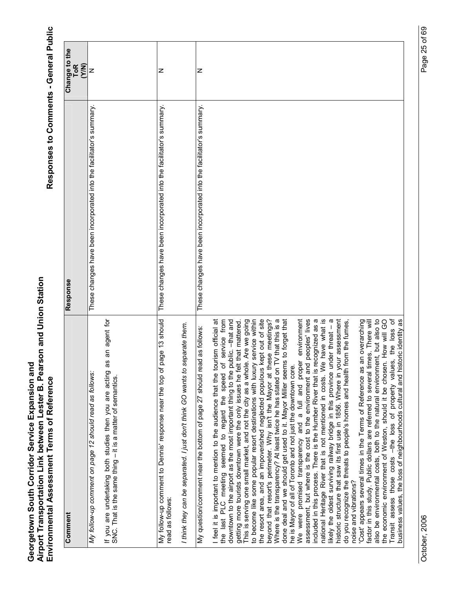| Comment                                                                                                                                                                                                                                                                                                                                                                                                                                                                                                                                                                                                                                                                                                                                                                                                                                                                                                                                                                                                                                                                                                                                                                                                                                                                                                                                                                                                                                                                                                                                                                                                                                                                                                                                                                                                                                                                                                                                                            | Response                                                             | Change to the<br><b>ToR</b><br>(Y/N) |
|--------------------------------------------------------------------------------------------------------------------------------------------------------------------------------------------------------------------------------------------------------------------------------------------------------------------------------------------------------------------------------------------------------------------------------------------------------------------------------------------------------------------------------------------------------------------------------------------------------------------------------------------------------------------------------------------------------------------------------------------------------------------------------------------------------------------------------------------------------------------------------------------------------------------------------------------------------------------------------------------------------------------------------------------------------------------------------------------------------------------------------------------------------------------------------------------------------------------------------------------------------------------------------------------------------------------------------------------------------------------------------------------------------------------------------------------------------------------------------------------------------------------------------------------------------------------------------------------------------------------------------------------------------------------------------------------------------------------------------------------------------------------------------------------------------------------------------------------------------------------------------------------------------------------------------------------------------------------|----------------------------------------------------------------------|--------------------------------------|
| My follow-up comment on page 12 should read as follows:                                                                                                                                                                                                                                                                                                                                                                                                                                                                                                                                                                                                                                                                                                                                                                                                                                                                                                                                                                                                                                                                                                                                                                                                                                                                                                                                                                                                                                                                                                                                                                                                                                                                                                                                                                                                                                                                                                            | These changes have been incorporated into the facilitator's summary. | z                                    |
| an agent for<br>8g<br>If you are undertaking both studies then you are acting<br>SNC. That is the same thing $-$ it is a matter of semantics.                                                                                                                                                                                                                                                                                                                                                                                                                                                                                                                                                                                                                                                                                                                                                                                                                                                                                                                                                                                                                                                                                                                                                                                                                                                                                                                                                                                                                                                                                                                                                                                                                                                                                                                                                                                                                      |                                                                      |                                      |
| 13 should<br>age <sup>.</sup><br>My follow-up comment to Dennis' response near the top of p<br>read as follows:                                                                                                                                                                                                                                                                                                                                                                                                                                                                                                                                                                                                                                                                                                                                                                                                                                                                                                                                                                                                                                                                                                                                                                                                                                                                                                                                                                                                                                                                                                                                                                                                                                                                                                                                                                                                                                                    | These changes have been incorporated into the facilitator's summary. | z                                    |
| eparate them.<br>I think they can be separated. I just don't think GO wants to s                                                                                                                                                                                                                                                                                                                                                                                                                                                                                                                                                                                                                                                                                                                                                                                                                                                                                                                                                                                                                                                                                                                                                                                                                                                                                                                                                                                                                                                                                                                                                                                                                                                                                                                                                                                                                                                                                   |                                                                      |                                      |
| id as follows:<br>My question/comment near the bottom of page 27 should rea                                                                                                                                                                                                                                                                                                                                                                                                                                                                                                                                                                                                                                                                                                                                                                                                                                                                                                                                                                                                                                                                                                                                                                                                                                                                                                                                                                                                                                                                                                                                                                                                                                                                                                                                                                                                                                                                                        | These changes have been incorporated into the facilitator's summary. | z                                    |
| Transit assess those costs –the loss of property values, the loss of<br>business values, the loss of neighbourhoods cultural and historic identity as<br>national Heritage River that is not mentioned in costs. We have what is<br>historic structure that saw its first use in 1856. Where in your assessment<br>the resort area, and an impoverished neglected populous kept out of site<br>beyond that resort's perimeter. Why isn't the Mayor at these meetings?<br>Where is the transparency? At least twice he has stated on TV that this is a<br>proper environment<br>included in this process. There is the Humber River that is recognized as a<br>likely the oldest surviving railway bridge in this province under threat - a<br>also be environmental costs, both to the natural environment, but also to<br>done deal and we should get used to it. Mayor Miller seems to forget that<br>peoples' lives<br>service from<br>downtown to the airport as the most important thing to the public. --that and<br>. Are we going<br>service within<br>an overarching<br>. How will GO<br>I feel it is important to mention to the audience that the tourism official at<br>factor in this study. Public dollars are referred to several times. There will<br>getting more tourists downtown were the only issues he felt that mattered.<br>This is serving one small market, and not the city as a whole. Are we going<br>do you recognize the threats to people's homes and health from the fumes,<br>the last PLC meeting seemed to regard the speed of<br>to become like some popular resort destinations with luxury<br>he is Mayor of all of Toronto and not just the downtown core.<br>assessment, but where is the cost to the environment and<br>the economic environment of Weston, should it be chosen<br>'Cost' appears several times in the Terms of Reference as<br>promised transparency and a full and<br>noise and vibrations?<br>We were |                                                                      |                                      |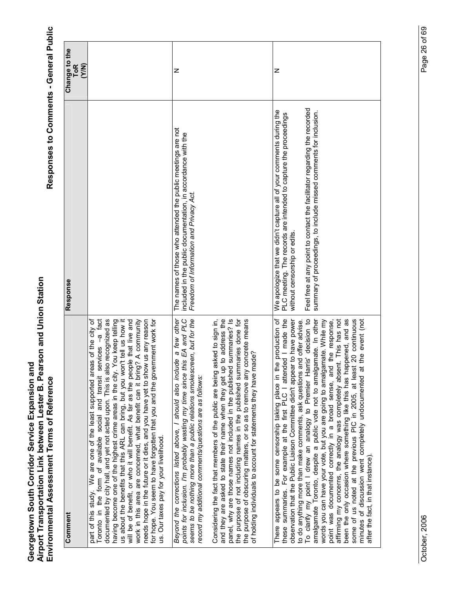| Comment                                                                                                                                                                                                                                                                                                                                                                                                                                                                                                                                                                                                                                                                                                                                                             | Response                                                                                                                                                                | Change to the<br>(Y/N)<br><b>ToR</b> |
|---------------------------------------------------------------------------------------------------------------------------------------------------------------------------------------------------------------------------------------------------------------------------------------------------------------------------------------------------------------------------------------------------------------------------------------------------------------------------------------------------------------------------------------------------------------------------------------------------------------------------------------------------------------------------------------------------------------------------------------------------------------------|-------------------------------------------------------------------------------------------------------------------------------------------------------------------------|--------------------------------------|
| -a fact<br>documented by city hall, and yet not acted upon. This is also recognized as<br>us about the benefits that this ARL can bring, but you won't tell us how it<br>will be of benefit, or who it will benefit. As far as the people that live and<br>needs hope in the future or it dies, and you have yet to show us any reason<br>part of this study. We are one of the least supported areas of the city of<br>having become one of the highest crime areas in the city. You keep telling<br>work in this area are concerned, what benefit can it bring? A community<br>for hope. You seem to have forgotten that you and the government work for<br>Toronto in the form of available social and transit services<br>us. Our taxes pay for your livelihood |                                                                                                                                                                         |                                      |
| seems to be nothing more than a public relations smokescreen, but for the<br>points for inclusion. I'm probably wasting my time since this EA and PLC<br>a few other<br>Beyond the corrections listed above, I should also include<br>record my additional comments/questions are as follows:                                                                                                                                                                                                                                                                                                                                                                                                                                                                       | The names of those who attended the public meetings are not<br>included in the public documentation, in accordance with the<br>Freedom of Information and Privacy Act.  | z                                    |
| the purpose of not including names in the published summaries done for<br>and they are asked to state their name when they get up to address the<br>summaries? Is<br>Considering the fact that members of the public are being asked to sign in,<br>the purpose of obscuring matters, or so as to remove any concrete means<br>ade?<br>panel, why are those names not included in the published<br>of holding individuals to account for statements they have ma                                                                                                                                                                                                                                                                                                    |                                                                                                                                                                         |                                      |
| these summaries. For example at the first PLC I attended I made the<br>appears to be some censorship taking place in the production of<br>observation that the Public Liaison Committee didn't appear to have power<br>to do anything more than make comments, ask questions and offer advise.<br>There                                                                                                                                                                                                                                                                                                                                                                                                                                                             | We apologize that we didn't capture all of your comments during the<br>PLC meeting. The records are intended to capture the proceedings<br>without censorship or edits. | z                                    |
| To clarify my point I drew an analogy to Premier Harris' decision to<br>pened, and as<br>20 continuous<br>amalgamate Toronto, despite a public vote not to amalgamate. In other<br>affirming my concerns, the analogy was completely absent. This has not<br>point was documented correctly in a broad sense, and the response,<br>the event (not<br>words you can have your vote, but you are going to amalgamate. While my<br>been the only occasion where something like this has hap<br>some of us noted at the previous PIC in 2005, at least<br>minutes of discussion went completely undocumented at<br>after the fact, in that instance)                                                                                                                    | Feel free at any point to contact the facilitator regarding the recorded<br>summary of proceedings, to include missed comments for inclusion.                           |                                      |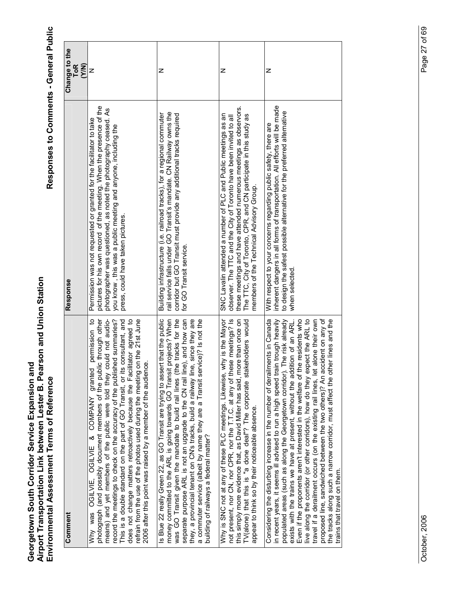| Comment                                                                                                                                                                                                                                                                                                                                                                                                                                                                                                                                                                                                                                                                                                                                                                         | Response                                                                                                                                                                                                                                                                                                                   | Change to the<br>(Y/N)<br>$\overline{10}R$ |
|---------------------------------------------------------------------------------------------------------------------------------------------------------------------------------------------------------------------------------------------------------------------------------------------------------------------------------------------------------------------------------------------------------------------------------------------------------------------------------------------------------------------------------------------------------------------------------------------------------------------------------------------------------------------------------------------------------------------------------------------------------------------------------|----------------------------------------------------------------------------------------------------------------------------------------------------------------------------------------------------------------------------------------------------------------------------------------------------------------------------|--------------------------------------------|
| ic through other<br>means) and yet members of the public were told they could not audio-<br>does not change matters retroactively because the Facilitator agreed to<br>refrain from the use of the photos used during the meeting on the 21st June<br>٩<br>record the meetings to check on the accuracy of the published summaries?<br>This is a double standard on the part of GO Transit, or its consultant, and<br>permission<br>2006 after this point was raised by a member of the audience<br>photograph (and possibly document members of the publi<br>granted<br>OGILVIE, OGILVIE & COMPANY<br>Why was                                                                                                                                                                  | pictures for his own record of the meeting. When the presence of the<br>photographer was questioned, as noted the photography ceased. As<br>Permission was not requested or granted for the facilitator to take<br>you know, this was a public meeting and anyone, including the<br>press, could have taken pictures       | Z                                          |
| Is Blue 22 really Green 22, as GO Transit are trying to assert that the public<br>money committed to the ARL is going towards GO Transit projects? When<br>was GO Transit given the mandate to build rail lines (the tracks for the<br>a commuter service (albeit by name they are a Transit service)? Is not the building of railways a federal matter?<br>separate purpose ARL is not an upgrade to the CN rail line), and how can<br>they, a provincial tenant on CN's tracks, build a railway line, since they are                                                                                                                                                                                                                                                          | rail service falls under GO Transit's mandate. CN Railway owns the<br>corridor but GO Transit must provide any additional tracks required<br>Building infrastructure (i.e. railroad tracks), for a regional commuter<br>for GO Transit service.                                                                            | Z                                          |
| not present, nor CN, nor CPR, nor the T.T.C. at any of these meetings? Is<br>this simply more evidence that, as David Miller has said, more than once on<br>eholders would<br>Why is SNC not at any of these PLC meetings. Likewise, why is the Mayor<br>TV(alone) that this is "a done deal"? The corporate stak<br>appear to think so by their noticeable absence.                                                                                                                                                                                                                                                                                                                                                                                                            | these meetings and have attended numerous meetings as observors.<br>SNC Lavalin attended a number of PLC and Public meetings as an<br>The TTC, City of Toronto, CPR, and CN participate in this study as<br>observer. The TTC and the City of Toronto have been invited to all<br>members of the Technical Advisory Group. | z                                          |
| proposed line, sandwiched between the two others)? An accident on any of<br>er lines and the<br>Considering the disturbing increase in the number of derailments in Canada<br>n trough heavily<br>Even if the proponents aren't interested in the welfare of the residents who<br>live along the corridor (or other corridors), how do they expect the ARL to<br>populated areas (such as along the Georgetown corridor). The risk already<br>alone their own<br>exists with the trains we have at present, without the addition of an ARL.<br>the tracks along such a narrow corridor, must affect the oth<br>in recent years, it seems ill advised to run a high speed train<br>travel if a derailment occurs (on the existing rail lines, let<br>trains that travel on them. | inherent dangers in all forms of transportation. All efforts will be made<br>to design the safest possible alternative for the preferred alternative<br>With respect to your concerns regarding public safety, there are<br>when selected                                                                                  | z                                          |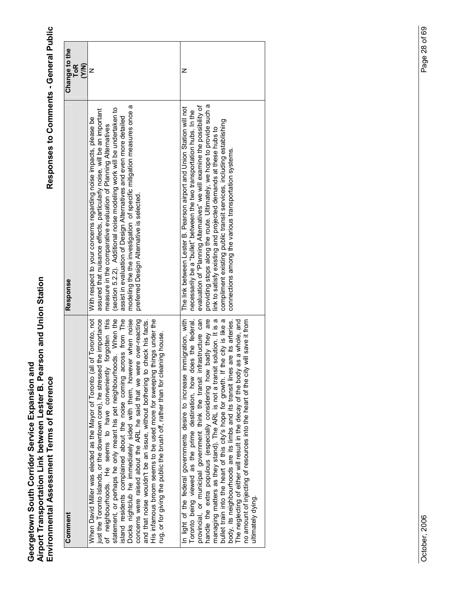| Comment                                                                                                                                                                                                                                                                                                                                                                                                                                                                                                                                                                                                                                                                                                                                                                      | Response                                                                                                                                                                                                                                                                                                                                                                                                                                                                                                | Change to the<br>ToR<br><b>N/X</b> |
|------------------------------------------------------------------------------------------------------------------------------------------------------------------------------------------------------------------------------------------------------------------------------------------------------------------------------------------------------------------------------------------------------------------------------------------------------------------------------------------------------------------------------------------------------------------------------------------------------------------------------------------------------------------------------------------------------------------------------------------------------------------------------|---------------------------------------------------------------------------------------------------------------------------------------------------------------------------------------------------------------------------------------------------------------------------------------------------------------------------------------------------------------------------------------------------------------------------------------------------------------------------------------------------------|------------------------------------|
| of Toronto, not<br>just the Toronto Islands, or the downtown core), he stressed the importance<br>Docks nightclub he immediately sided with them, however when noise<br>statement, or perhaps he only meant his pet neighbourhoods. When the<br>island residents complained about the noise coming across from The<br>forgotten this<br>concerns were raised about the ARL he said that we were over-reacting<br>His infamous broom seems to be used more for sweeping things under the<br>check his facts.<br>rug, or for giving the public the brush off, rather than for cleaning house.<br>When David Miller was elected as the Mayor of Toronto (all<br>of neighbourhoods. He seems to have conveniently<br>and that noise wouldn't be an issue, without bothering to a | modeling the the investigation of specific mitigation measures once a<br>(section 5.2.2). Additional noise modeling work will be undertaken to<br>assured that nuisance effects, particularly noise, will be an important<br>assist in evaluation of Design Alternatives and even more detailed<br>With respect to your concerns regarding noise impacts, please be<br>measure in the comparative evaluation of Planning Alternatives<br>preferred Design Alternative is selected.                      | z                                  |
| badly they are<br>Toronto being viewed as the prime destination, how does the federal,<br>provincial, or municipal government think the transit infrastructure can<br>In light of the federal governments desire to increase immigration, with<br>managing matters as they stand). The ARL is not a transit solution. It is a<br>bullet train into the heart of this city's hope for growth. If the city is like a<br>are its arteries.<br>will save it from<br>The neglecting of either will result in the decay of the body as a whole, and<br>handle the extra populous (especially considering how<br>no amount of injecting of resources into the heart of the city<br>body, its neighbourhoods are its limbs and its transit lines<br>ultimately dying.                | providing stops along the route. Ultimately, we hope to provide such a<br>evaluation of "Planning Alternatives" we will examine the possibility of<br>The link between Lester B. Pearson airport and Union Station will not<br>necessarily be a "bullet" between the two transportation hubs. In the<br>compliment existing public transit services, including establishing<br>link to satisfy existing and projected demands at these hubs to<br>connections among the various transportation systems. | z                                  |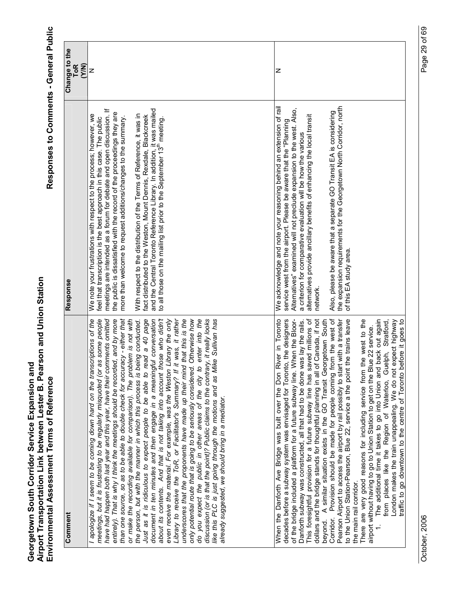| Comment                                                                                                                                                                                                                                                                                                                                                                                                                                                                                                                                                                                                                                                                                                                                                                                                                                                                                                                                                                                                                                                                                                                                                                                                                                                                                                                                                                                                                   | Response                                                                                                                                                                                                                                                                                                                                                                                                                                                                                                                                                                                                                                                                   | Change to the<br><b>ToR</b><br><b>N/X</b> |
|---------------------------------------------------------------------------------------------------------------------------------------------------------------------------------------------------------------------------------------------------------------------------------------------------------------------------------------------------------------------------------------------------------------------------------------------------------------------------------------------------------------------------------------------------------------------------------------------------------------------------------------------------------------------------------------------------------------------------------------------------------------------------------------------------------------------------------------------------------------------------------------------------------------------------------------------------------------------------------------------------------------------------------------------------------------------------------------------------------------------------------------------------------------------------------------------------------------------------------------------------------------------------------------------------------------------------------------------------------------------------------------------------------------------------|----------------------------------------------------------------------------------------------------------------------------------------------------------------------------------------------------------------------------------------------------------------------------------------------------------------------------------------------------------------------------------------------------------------------------------------------------------------------------------------------------------------------------------------------------------------------------------------------------------------------------------------------------------------------------|-------------------------------------------|
| than one source, so as to be able to double check for accuracy - either that<br>about its contents. And that is not taking into account those who didn't<br>enter into the<br>discussion (or is that the point)? Public claims to the contrary, it really looks<br>I apologize if I seem to be coming down hard on the transcriptions of the<br>meetings, but it is frustrating to be regularly misquoted (or as some people<br>have had happen both last year and this year, have their comments omitted<br>Just as it is ridiculous to expect people to be able to read a 40 page<br>Library to receive the ToR, or Facilitator's Summary? If it was, it rather<br>that this is the<br>Otherwise how<br>like this PLC is just going through the motions and as Mike Sullivan has<br>entirely). That is why I think the meetings should be recorded, and by more<br>or make the recording available for comparison). The problem is not with<br>document in ten minutes and then engage in a meaningful conversation<br>even receive the material. For example, was the Weston Library the only<br>the person, but with the manner in which this process is being conducted.<br>underscores that the proponents have made up their mind<br>do you expect the public in other areas of the city to<br>only potential route that is going to be seriously considered.<br>already suggested, we should bring in a mediator. | meetings are intended as a forum for debate and open discussion. If<br>and the Central Toronto Reference Library. In addition, it was mailed<br>the public is dissatisfied with the record of the proceedings they are<br>We note your frustrations with respect to the process; however, we<br>With respect to the distribution of the Terms of Reference, it was in<br>fact distributed to the Weston, Mount Dennis, Rexdale, Blackcreek<br>more than welcome to request additions/changes to the summary.<br>feel that transcription is the best approach in this case. The public<br>to all those on the mailing list prior to the September 13 <sup>th</sup> meeting. | z                                         |
| hen the Bloor-<br>This foresightful provision for a future subway line has saved millions of<br>Canada, if not<br>Provision should be made for people coming from the west of<br>decades before a subway system was envisaged for Toronto, the designers<br>There are very good reasons for including service from the west to the<br>The additional time it takes to go into Union and back out again<br>traffic to go downtown to the centre of Toronto before it goes to<br>When the Danforth Ave Bridge was built over the Don River in Toronto<br>Danforth subway was constructed, all that had to be done was lay the rails.<br>rgetown South<br>Pearson Airport to access the airport by rail possibly to start with a transfer<br>to the Union Station-Pearson, Blue 22, service a the point the trains leave<br>from places like the Region of Waterloo, Guelph, Stratford,<br>London makes the train unappealing. We do not expect highway<br>airport without having to go to Union Station to get on the Blue 22 service.<br>of the bridge included a platform for a future subway line. W<br>dollars and the bridge stands for thoughtful planning in all of<br>beyond. A similar situation exists in the GO Transit Geor<br>the main rail corridor<br>Corridor.                                                                                                                                              | the expansion requirements for the Georgetown North Corridor, north<br>We acknowledge and note your reasoning behind an extension of rail<br>Alternatives" examined will not preclude expansion to the west. Also,<br>Also, please be aware that a separate GO Transit EA is considering<br>alternatives provide ancillary benefits of enhancing the local transit<br>service west from the airport. Please be aware that the "Planning<br>a criterion for comparative evaluation will be how the various<br>of this EA study area.<br>network.                                                                                                                            | Z                                         |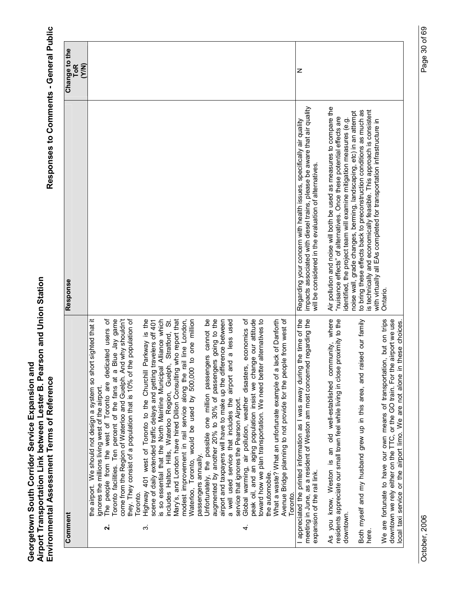| Comment            |                                                                                                                                                                                                                                                                                                                                                                                                                                                                                                                                                                                                                                                                                                      | Response                                                                                                                                                                                                                                                                                                                                                                                                                                                                                                            | Change to the       |
|--------------------|------------------------------------------------------------------------------------------------------------------------------------------------------------------------------------------------------------------------------------------------------------------------------------------------------------------------------------------------------------------------------------------------------------------------------------------------------------------------------------------------------------------------------------------------------------------------------------------------------------------------------------------------------------------------------------------------------|---------------------------------------------------------------------------------------------------------------------------------------------------------------------------------------------------------------------------------------------------------------------------------------------------------------------------------------------------------------------------------------------------------------------------------------------------------------------------------------------------------------------|---------------------|
|                    |                                                                                                                                                                                                                                                                                                                                                                                                                                                                                                                                                                                                                                                                                                      |                                                                                                                                                                                                                                                                                                                                                                                                                                                                                                                     | <b>ToR</b><br>(Y/N) |
| $\dot{\mathbf{v}}$ | the airport. We should not design a system so short sighted that it<br>come from the Region of Waterloo and Guelph. And why shouldn't<br>Toronto facilities. Ten percent of the fans at a Blue Jay game<br>they. They consist of a population that is 10% of the population of<br>The people from the west of Toronto are dedicated users of<br>ignores the millions living west of the airport.<br>Toronto.                                                                                                                                                                                                                                                                                         |                                                                                                                                                                                                                                                                                                                                                                                                                                                                                                                     |                     |
| က်                 | Alliance which<br>Mary's, and London have hired Dillon Consulting who report that<br>Highway 401 west of Toronto to the Churchill Parkway is the<br>modest improvement in rail service along the rail line London,<br>to one million<br>Stratford, St.<br>scene of daily extended traffic delays and getting travelers off 401<br>includes Halton Hills, Waterloo Region, Guelph,<br>s so essential that the North Mainline Municipal<br>by 500,000<br>Waterloo, Toronto, would be used<br>passengers annually.                                                                                                                                                                                      |                                                                                                                                                                                                                                                                                                                                                                                                                                                                                                                     |                     |
| 4.                 | economics of<br>augmented by another 20% to 30% of passengers going to the<br>peak oil, and an aging population insist we change our attitude<br>Unfortunately, the possible one million passengers cannot be<br>airport and taxpayers will have to make up the difference between<br>a well used service that includes the airport and a less used<br>alternatives to<br>What a waste? What an unfortunate example of a lack of Danforth<br>Avenue Bridge planning to not provide for the people from west of<br>toward how we plan transportation. We need better<br>Global warming, air pollution, weather disasters,<br>service that ignores the Pearson Airport.<br>the automobile.<br>Toronto. |                                                                                                                                                                                                                                                                                                                                                                                                                                                                                                                     |                     |
|                    | the time of the<br>meeting in June, as a resident of Weston am most concerned regarding the<br>I appreciated the printed information as I was away during<br>expansion of the rail link.                                                                                                                                                                                                                                                                                                                                                                                                                                                                                                             | impacts associated with diesel trains, please be aware that air quality<br>Regarding your concern with health issues, specifically air quality<br>will be considered in the evaluation of alternatives.                                                                                                                                                                                                                                                                                                             | z                   |
| downtown.<br>here. | As you know, Weston is an old well-established community, where<br>proximity to the<br>ised our family<br>Both myself and my husband grew up in this area, and rai<br>residents appreciate our small town feel while living in close                                                                                                                                                                                                                                                                                                                                                                                                                                                                 | Air pollution and noise will both be used as measures to compare the<br>to bring these effects back to preconstruction conditions as much as<br>s technically and economically feasible. This approach is consistent<br>noise wall, grade changes, berming, landscaping, etc) in an attempt<br>"nuisance effects" of alternatives. Once these potential effects are<br>identified, the project team will examine mitigation measures (e.g.<br>with virtually all EAs completed for transportation infrastructure in |                     |
|                    | We are fortunate to have our own means of transportation, but on trips<br>downtown we rely either on the TTC, or the GO train. For the airport we use<br>these choices<br>local taxi service or the airport limo. We are not alone in                                                                                                                                                                                                                                                                                                                                                                                                                                                                | Ontario                                                                                                                                                                                                                                                                                                                                                                                                                                                                                                             |                     |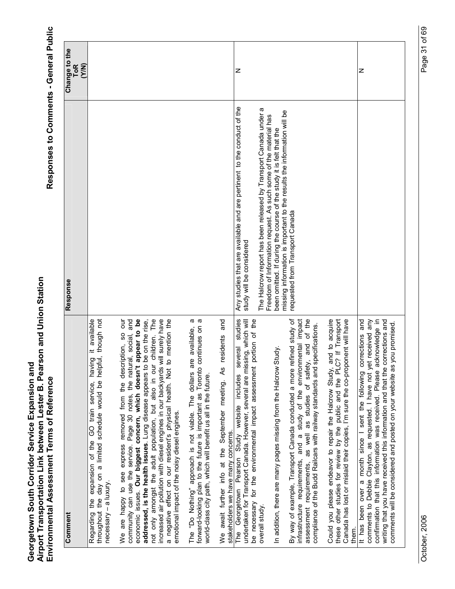| Comment                                                                                                                                                                                                                                                                                                                                                                                                                                                                                                                                                                                                   | Response                                                                                                                                                                                                    | Change to the       |
|-----------------------------------------------------------------------------------------------------------------------------------------------------------------------------------------------------------------------------------------------------------------------------------------------------------------------------------------------------------------------------------------------------------------------------------------------------------------------------------------------------------------------------------------------------------------------------------------------------------|-------------------------------------------------------------------------------------------------------------------------------------------------------------------------------------------------------------|---------------------|
|                                                                                                                                                                                                                                                                                                                                                                                                                                                                                                                                                                                                           |                                                                                                                                                                                                             | <b>ToR</b><br>(Y/N) |
| throughout the day on a limited schedule would be helpful, though not<br>it available<br>Regarding the expansion of the GO train service, having<br>necessary - a luxury.                                                                                                                                                                                                                                                                                                                                                                                                                                 |                                                                                                                                                                                                             |                     |
| children. The<br>increased air pollution with diesel engines in our backyards will surely have<br>appear to be<br>be on the rise,<br>to mention the<br>Jno<br>community can use the service. Page 30 notes, the natural, social, and<br>SO<br>are happy to see express removed from the description,<br>not only amongst the adult population, but also in our<br>economic issues. Our biggest concern, which doesn't<br>addressed, is the health issues. Lung disease appears to<br>a negative effect on our resident's physical health. Not<br>emotional impact of the noisy diesel engines.<br>we<br>S |                                                                                                                                                                                                             |                     |
| continues on a<br>a<br>The "Do Nothing" approach is not viable. The dollars are available,<br>forward-looking plan to the future is important as Toronto<br>world-class city path, which will benefit us all in the future.                                                                                                                                                                                                                                                                                                                                                                               |                                                                                                                                                                                                             |                     |
| and<br>residents<br>We await further info at the September meeting. As<br>stakeholders we have many concems.                                                                                                                                                                                                                                                                                                                                                                                                                                                                                              |                                                                                                                                                                                                             |                     |
| studies<br>portion of the<br>undertaken for Transport Canada. However, several are missing, which will<br>several<br>be necessary for the environmental impact assessment<br>The Georgetown Pearson Study website includes                                                                                                                                                                                                                                                                                                                                                                                | Any studies that are available and are pertinent to the conduct of the<br>study will be considered                                                                                                          | z                   |
| Study.<br>In addition, there are many pages missing from the Halcrow<br>overall study.                                                                                                                                                                                                                                                                                                                                                                                                                                                                                                                    | The Halcrow report has been released by Transport Canada under a<br>Freedom of Information request. As such some of the material has<br>been omitted. If during the course of the study it is felt that the |                     |
| refined study of<br>infrastructure requirements, and a study of the environmental impact<br>of the<br>compliance of the Budd Railcars with railway standards and specifications.<br>as well as studies of safety, and<br>By way of example, Transport Canada conducted a more<br>assessment requirements,                                                                                                                                                                                                                                                                                                 | missing information is important to the results the information will be<br>requested from Transport Canada                                                                                                  |                     |
| Could you please endeavor to repair the Halcrow Study, and to acquire<br>these other studies for review by the public and the PLC? If Transport<br>Canada has lost or mislaid their copies, I'm sure the co-proponent will have<br>them.                                                                                                                                                                                                                                                                                                                                                                  |                                                                                                                                                                                                             |                     |
| comments to Debbie Clayton, as requested. I have not yet received any<br>acknowledge in<br>corrections and<br>It has been over a month since I sent the following corrections and<br>comments will be considered and posted on your website as you promised.<br>writing that you have received this information and that the<br>confirmation that this information was received. Please                                                                                                                                                                                                                   |                                                                                                                                                                                                             | z                   |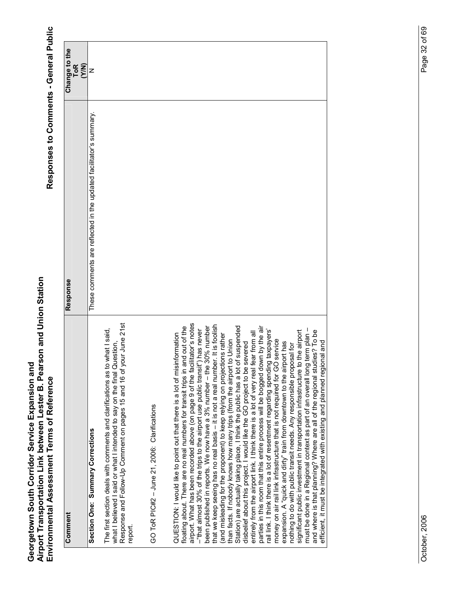| Comment                                                                                                                                                                                                                                                                                                                                                                                                                                                                                                                                                                                                                                                                                                                                                                                                                                                                                                                                                                                                                                                                                                                                                                                                                                                                                                  | Response                                                           |                               |
|----------------------------------------------------------------------------------------------------------------------------------------------------------------------------------------------------------------------------------------------------------------------------------------------------------------------------------------------------------------------------------------------------------------------------------------------------------------------------------------------------------------------------------------------------------------------------------------------------------------------------------------------------------------------------------------------------------------------------------------------------------------------------------------------------------------------------------------------------------------------------------------------------------------------------------------------------------------------------------------------------------------------------------------------------------------------------------------------------------------------------------------------------------------------------------------------------------------------------------------------------------------------------------------------------------|--------------------------------------------------------------------|-------------------------------|
|                                                                                                                                                                                                                                                                                                                                                                                                                                                                                                                                                                                                                                                                                                                                                                                                                                                                                                                                                                                                                                                                                                                                                                                                                                                                                                          |                                                                    | Change to the<br>ToR<br>(Y/N) |
| Section One: Summary Corrections                                                                                                                                                                                                                                                                                                                                                                                                                                                                                                                                                                                                                                                                                                                                                                                                                                                                                                                                                                                                                                                                                                                                                                                                                                                                         | These comments are reflected in the updated facilitator's summary. | z                             |
| your June 21st<br>The first section deals with comments and clarifications as to what I said,<br>what I believed I said or what I intended to say on the final Question,<br>tuestion,<br>Response and Follow-Up Comment on pages 15 and 16 of y<br>report.                                                                                                                                                                                                                                                                                                                                                                                                                                                                                                                                                                                                                                                                                                                                                                                                                                                                                                                                                                                                                                               |                                                                    |                               |
| GO ToR PIC#2 - June 21, 2006: Clarifications                                                                                                                                                                                                                                                                                                                                                                                                                                                                                                                                                                                                                                                                                                                                                                                                                                                                                                                                                                                                                                                                                                                                                                                                                                                             |                                                                    |                               |
| airport. What has been recorded above (on page 9 of the facilitator's notes<br>-"that almost 30% of the trips to the airport use public transit") has never<br>been published in reports. We now have a 3% number – the 30% number<br>that we keep seeing has no real basis – it is not a real number. It is foolis<br>floating about. There are no real numbers for transit trips in and out of the<br>of suspended<br>parties in this room that this entire process will be bogged down by the air<br>rail link. I think there is a lot of resentment regarding spending taxpayers'<br>money on air rail link infrastructure that is not required for GO service<br>expansion. A "quick and dirty" train from downtown to the airport has<br><br>the airport<br>entirely from the airport link. I think there is a lot of very real fear from all<br>(and misleading for the proponent) to keep relying on projections rather<br>QUESTION: I would like to point out that there is a lot of misinformation<br>than facts. If nobody knows how many trips (from the airport to Union<br>disbelief about this project. I would like the GO project to be severed<br>Station) are actually taking place, I think the public has a lot<br>significant public investment in transportation infrastructure 1 |                                                                    |                               |
| must be done in a Regional context as part of an overall long term plan –<br>and where is that planning? Where are all of the regional studies? To be<br>efficient, it must be integrated with existing and planned regional and                                                                                                                                                                                                                                                                                                                                                                                                                                                                                                                                                                                                                                                                                                                                                                                                                                                                                                                                                                                                                                                                         |                                                                    |                               |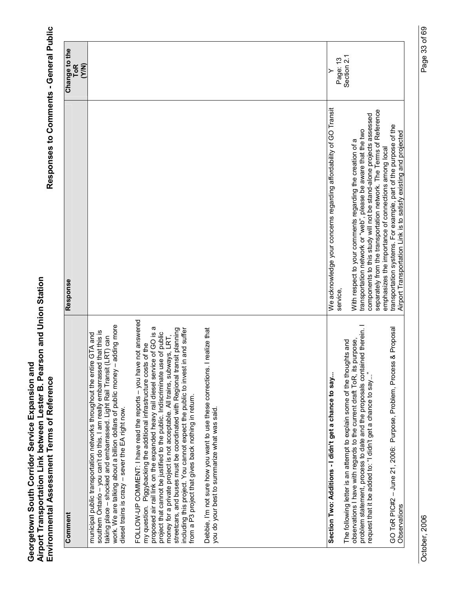| Comment                                                                                                                                                                                                                                                                                                                                                                                                                                                                                                                                                                                                      | Response                                                                                                                                                                                                                                                               | Change to the       |
|--------------------------------------------------------------------------------------------------------------------------------------------------------------------------------------------------------------------------------------------------------------------------------------------------------------------------------------------------------------------------------------------------------------------------------------------------------------------------------------------------------------------------------------------------------------------------------------------------------------|------------------------------------------------------------------------------------------------------------------------------------------------------------------------------------------------------------------------------------------------------------------------|---------------------|
|                                                                                                                                                                                                                                                                                                                                                                                                                                                                                                                                                                                                              |                                                                                                                                                                                                                                                                        | <b>ToR</b><br>(Y/N) |
| adding more<br>southern Ontario - you can't do this. I am really embarrassed that this is<br>municipal public transportation networks throughout the entire GTA and<br>taking place - shocked and embarrassed. Light Rail Transit (LRT) can<br>work. We are talking about a billion dollars of public money -<br>diesel trains is crazy - sever the EA right now.                                                                                                                                                                                                                                            |                                                                                                                                                                                                                                                                        |                     |
| FOLLOW-UP COMMENT: I have read the reports - you have not answered<br>proposed air rail link on the expanded heavy rail diesel service of GO is a<br>in and suffer<br>streetcars, and buses must be coordinated with Regional transit planning<br>project that cannot be justified to the public. Indiscriminate use of public<br>money for a private project is not acceptable. All trains, subways, LRT,<br>my question. Piggybacking the additional infrastructure costs of the<br>including this project. You cannot expect the public to invest<br>from a P3 project that gives back nothing in return. |                                                                                                                                                                                                                                                                        |                     |
| I realize that<br>Debbie, I'm not sure how you want to use these corrections.<br>you do your best to summarize what was said.                                                                                                                                                                                                                                                                                                                                                                                                                                                                                |                                                                                                                                                                                                                                                                        |                     |
| Section Two: Additions - I didn't get a chance to say                                                                                                                                                                                                                                                                                                                                                                                                                                                                                                                                                        | We acknowledge your concerns regarding affordability of GO Transit<br>service,                                                                                                                                                                                         | Page: 13            |
| problem statement, process to date and the proposals contained therein. I<br>purpose,<br>The following letter is an attempt to explain some of the thoughts and<br>observations I have with regards to the current draft ToR, its<br>request that it be added to: "I didn't get a chance to say"                                                                                                                                                                                                                                                                                                             | separately from the transportation network. The Terms of Reference<br>components to this study will not be stand-alone projects assessed<br>transportation network or "web", please be aware that the two<br>With respect to your comments regarding the creation of a | Section 2.1         |
| & Proposal<br>GO ToR PIC#2 - June 21, 2006: Purpose, Problem, Process<br>Observations                                                                                                                                                                                                                                                                                                                                                                                                                                                                                                                        | transportation systems. For example, part of the purpose of the<br>Airport Transportation Link is to satisfy existing and projected<br>emphasizes the importance of connections among local                                                                            |                     |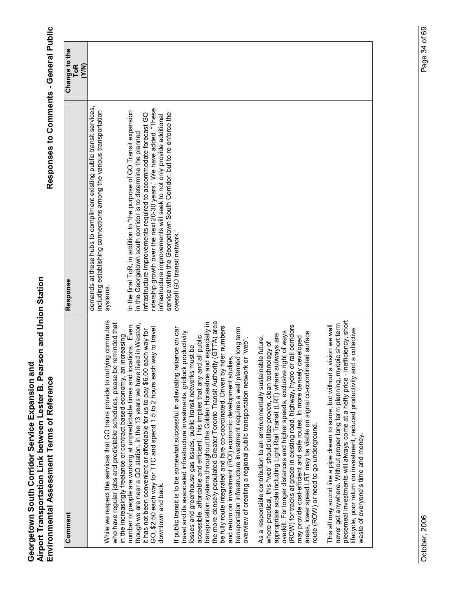Responses to Comments - General Public

| Comment                                                                                                                                                                                                                                                                                                                                                                                                                                                                                                                                                                                                                                                                                                                                                                       | Response                                                                                                                                                                                                                                                                                                                                                                                                                    | Change to the<br>(Y/N)<br><b>ToR</b> |
|-------------------------------------------------------------------------------------------------------------------------------------------------------------------------------------------------------------------------------------------------------------------------------------------------------------------------------------------------------------------------------------------------------------------------------------------------------------------------------------------------------------------------------------------------------------------------------------------------------------------------------------------------------------------------------------------------------------------------------------------------------------------------------|-----------------------------------------------------------------------------------------------------------------------------------------------------------------------------------------------------------------------------------------------------------------------------------------------------------------------------------------------------------------------------------------------------------------------------|--------------------------------------|
| g commuters<br>who have regular jobs and predictable schedules, please be reminded that<br>n the increasingly freelance or contract based economy, an increasing<br>While we respect the services that GO trains provide to outlyin                                                                                                                                                                                                                                                                                                                                                                                                                                                                                                                                           | demands at these hubs to compliment existing public transit services,<br>including establishing connections among the various transportation<br>systems.                                                                                                                                                                                                                                                                    |                                      |
| though we are near a GO station, in the 13 years we have lived in Weston,<br>number of people are working at unpredictable times and locations. Even<br>GO, \$2.50 each way for TTC and spend 1.5 to 2 hours each way to travel<br>it has not been convenient or affordable for us to pay \$6.00 each way for<br>downtown and back.                                                                                                                                                                                                                                                                                                                                                                                                                                           | ridership growth over the next 20-30 years." We have added "These<br>In the final ToR, in addition to "the purpose of GO Transit expansion<br>service within the Georgetown South Corridor, but to re-enforce the<br>nfrastructure improvements required to accommodate forecast GO<br>infrastructure improvements will seek to not only provide additional<br>in the Georgetown south corridor is to determine the planned |                                      |
| transportation systems throughout the Golden Horseshoe and especially in<br>the more densely populated Greater Toronto Transit Authority (GTTA) area<br>be fully route integrated and fare co-coordinated. Driven by rider numbers<br>transportation infrastructure investment requires a well planned long term<br>overview of creating a regional public transportation network or "web".<br>If public transit is to be somewhat successful in alleviating reliance on car<br>travel and its associated infrastructure investments, gridlock productivity<br>accessible, affordable and efficient. This implies that any and all public<br>losses and greenhouse gas issues, public transit networks must be<br>and return on investment (ROI) economic development studies | overall GO transit network."                                                                                                                                                                                                                                                                                                                                                                                                |                                      |
| (ROW) for tracks at grade in existing road, highway, hydro or rail corridors<br>overkill. For longer distances and higher speeds, exclusive right of ways<br>areas, lower speed LRT may be viable on signal co-coordinated surface<br>appropriate scale including Light Rail Transit (LRT) where subways are<br>may provide cost-efficient and safe routes. In more densely developed<br>As a responsible contribution to an environmentally sustainable future,<br>where practical, this "web" should utilize proven, clean technology of<br>oute (ROW) or need to go underground.                                                                                                                                                                                           |                                                                                                                                                                                                                                                                                                                                                                                                                             |                                      |
| piecemeal investments will always come at a hefty price - inefficiency, short<br>never get anywhere. Without proper long term planning, myopic short term<br>This all may sound like a pipe dream to some, but without a vision we well<br>lifecycle, poor return on investment, reduced productivity and a collective<br>waste of everyone's time and money.                                                                                                                                                                                                                                                                                                                                                                                                                 |                                                                                                                                                                                                                                                                                                                                                                                                                             |                                      |

October, 2006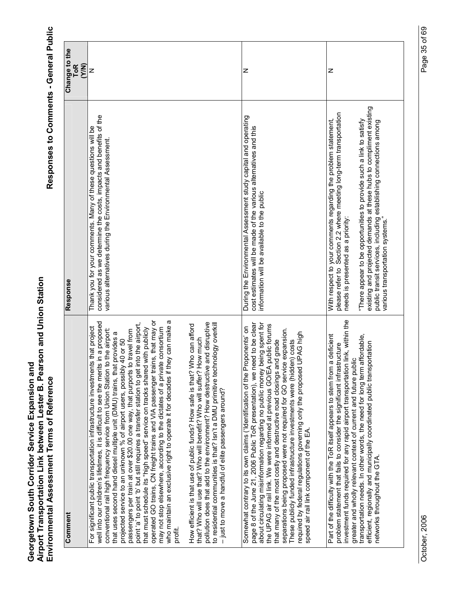| Comment                                                                                                                                                                                                                                                                                                                                                                                                                                                                                                                                                                                                                                                                                                                                                                                                                                                                                                                             | Response                                                                                                                                                                                                                                                                                                                                                                                                                        | Change to the       |
|-------------------------------------------------------------------------------------------------------------------------------------------------------------------------------------------------------------------------------------------------------------------------------------------------------------------------------------------------------------------------------------------------------------------------------------------------------------------------------------------------------------------------------------------------------------------------------------------------------------------------------------------------------------------------------------------------------------------------------------------------------------------------------------------------------------------------------------------------------------------------------------------------------------------------------------|---------------------------------------------------------------------------------------------------------------------------------------------------------------------------------------------------------------------------------------------------------------------------------------------------------------------------------------------------------------------------------------------------------------------------------|---------------------|
|                                                                                                                                                                                                                                                                                                                                                                                                                                                                                                                                                                                                                                                                                                                                                                                                                                                                                                                                     |                                                                                                                                                                                                                                                                                                                                                                                                                                 | <b>ToR</b><br>(Y/N) |
| who maintain an exclusive right to operate it for decades if they can make a<br>operated GO trains, CN freight trains and VIA passenger trains, that may or<br>well into our children's lifetimes, it is difficult to see the merits in a proposed<br>point 'a' to point 'b' but still requires a transfer station to get into the airport,<br>For significant public transportation infrastructure investments that project<br>te consortium<br>with publicly<br>to the airport:<br>travel from<br>that uses second hand diesel multiple unit (DMU) trains, that provides a<br>projected service to an unknown % of airport users, possibly 40 or 50<br>conventional rail high frequency service from Union Station 1<br>that must schedule its "high speed" service on tracks shared<br>may not stop elsewhere, according to the dictates of a privat<br>passengers per train at over \$20.00 one way, that purports t<br>profit. | considered as we determine the costs, impacts and benefits of the<br>Thank you for your comments. Many of these questions will be<br>various alternatives during the Environmental Assessment.                                                                                                                                                                                                                                  | z                   |
| and disruptive<br>to residential communities is that? Isn't a DMU primitive technology overkill<br>How efficient is that use of public funds? How safe is that? Who can afford<br>that? Who will use that? Who will benefit? Who will suffer? How much<br>pollution does that add to the environment? How destructive<br>- just to move a handful of elite passengers around?                                                                                                                                                                                                                                                                                                                                                                                                                                                                                                                                                       |                                                                                                                                                                                                                                                                                                                                                                                                                                 |                     |
| page 8 of the June 21, 2006 Public ToR presentation), we need to be clear<br>about circulating misinformation regarding no public money being spent for<br>the UPAG air rail link. We were informed at previous GO/EA public forums<br>Somewhat contrary to its own claims ('Identification of the Proponents' on<br>separations being proposed were not required for GO service expansion.<br>UPAG high<br>These publicly funded infrastructure investments were (hidden) costs<br>that many of the most costly and destructive road closings and grade<br>required by federal regulations governing only the proposed<br>speed air rail link component of the EA.                                                                                                                                                                                                                                                                 | During the Environmental Assessment study capital and operating<br>cost estimates will be made of the various alternatives and this<br>information will be available to the public                                                                                                                                                                                                                                              | z                   |
| investment funds required for any rapid airport transportation link, within the<br>a deficient<br>transportation needs. In other words, the need for long term affordable,<br>efficient, regionally and municipally coordinated public transportation<br>problem statement that fails to consider the significant infrastructure<br>greater and wholly relevant context of current and future public<br>Part of the difficulty with the ToR itself appears to stem from<br>networks throughout the GTA.                                                                                                                                                                                                                                                                                                                                                                                                                             | existing and projected demands at these hubs to compliment existing<br>please refer to Section 2.2 where meeting long-term transportation<br>"There appear to be opportunities to provide such a link to satisfy<br>public transit services, including establishing connections among<br>various transportation systems."<br>With respect to your comments regarding the problem statement<br>needs is presented as a priority: | z                   |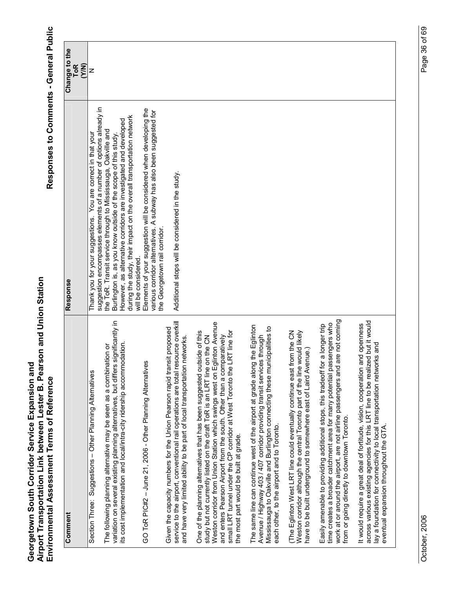| Comment                                                                                                                                                                                                                                                                                                                                                                                                                       | Response                                                                                                                                                                                                                                                                                           | Change to the<br>(Y/N)<br>ToR |
|-------------------------------------------------------------------------------------------------------------------------------------------------------------------------------------------------------------------------------------------------------------------------------------------------------------------------------------------------------------------------------------------------------------------------------|----------------------------------------------------------------------------------------------------------------------------------------------------------------------------------------------------------------------------------------------------------------------------------------------------|-------------------------------|
| Section Three: Suggestions - Other Planning Alternatives                                                                                                                                                                                                                                                                                                                                                                      | suggestion encompasses elements of a number of options already in<br>Thank you for your suggestions. You are correct in that your                                                                                                                                                                  | z                             |
| variation on several existing planning alternatives, but differs significantly in<br>its cost implementation and local/intra-city ridership accommodation.<br>The following planning alternative may be seen as a combination or                                                                                                                                                                                              | during the study, their impact on the overall transportation network<br>However, as alternative corridors are investigated and developed<br>the ToR. Transit service through to Mississauga, Oakville and<br>Burlington is, as you know outside of the scope of this study.<br>will be considered. |                               |
| GO ToR PIC#2 - June 21, 2006 - Other Planning Alternatives                                                                                                                                                                                                                                                                                                                                                                    | Elements of your suggestion will be considered when developing the<br>various corridor alternatives. A subway has also been suggested for<br>the Georgetown rail corridor                                                                                                                          |                               |
| service to the airport, conventional rail operations are total resource overkill<br>Given the capacity numbers for the Union Pearson rapid transit proposed<br>and have very limited ability to be part of local transportation networks.                                                                                                                                                                                     | Additional stops will be considered in the study.                                                                                                                                                                                                                                                  |                               |
| Weston corridor from Union Station which swings west on Eglinton Avenue<br>small LRT tunnel under the CP corridor at West Toronto the LRT line for<br>One of the planning alternatives that has been suggested outside of this<br>and enters Pearson Airport from the south. Other than a comparatively<br>study but not currently listed on the draft ToR is an LRT line on the CN<br>the most part would be built at grade. |                                                                                                                                                                                                                                                                                                    |                               |
| the Eglinton<br>cipalities to<br>Avenue / Highway 403 / 407 corridor providing transit services through<br>Mississauga to Oakville and Burlington connecting these muni<br>The same line can continue west of the airport at grade along<br>each other, to the airport and to Toronto.                                                                                                                                        |                                                                                                                                                                                                                                                                                                    |                               |
| (The Eglinton West LRT line could eventually continue east from the CN<br>Weston corridor although the central Toronto part of the line would likely<br>have to be built underground to somewhere east of Laird Avenue.)                                                                                                                                                                                                      |                                                                                                                                                                                                                                                                                                    |                               |
| work at or around the airport, are not airline passengers and are not coming<br>time creates a broader catchment area for many potential passengers who<br>a longer trip<br>Easily amenable to providing additional stops, this tradeoff for<br>from or going directly to downtown Toronto.                                                                                                                                   |                                                                                                                                                                                                                                                                                                    |                               |
| across various existing agencies for this LRT line to be realized but it would<br>It would require a great deal of fortitude, vision, cooperation and openness<br>s and<br>lay a foundation for connectivity to local transportation networl<br>eventual expansion throughout the GTA.                                                                                                                                        |                                                                                                                                                                                                                                                                                                    |                               |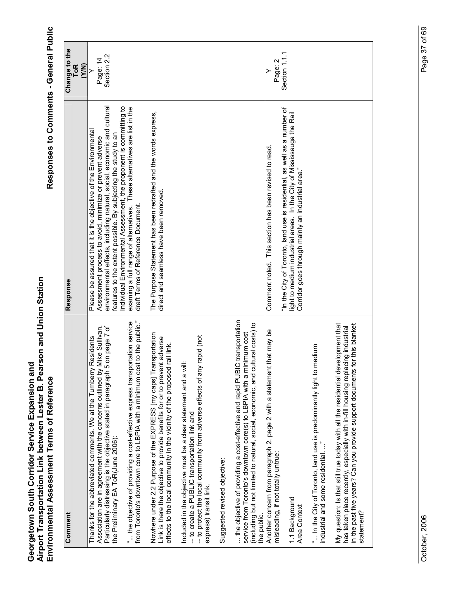Responses to Comments - General Public

| Comment                                                                                                                                                                                                                                                                       | Response                                                                                                                                                                                                                                                                | Change to the                |
|-------------------------------------------------------------------------------------------------------------------------------------------------------------------------------------------------------------------------------------------------------------------------------|-------------------------------------------------------------------------------------------------------------------------------------------------------------------------------------------------------------------------------------------------------------------------|------------------------------|
|                                                                                                                                                                                                                                                                               |                                                                                                                                                                                                                                                                         | ToR<br>(Y/N)                 |
| Particularly distressing is the objective stated in paragraph 5 on page 7 of<br>vike Sullivan.<br>Residents<br>Association are in agreement with the concerns outlined by I<br>Thanks for the abbreviated comments. We at the Turnberry<br>the Preliminary EA ToR(June 2006): | environmental effects, including natural, social, economic and cultural<br>Please be assured that it is the objective of the Environmental<br>eatures to the extent possible. By subjecting the study to an<br>Assessment process to avoid, minimize or prevent adverse | Section 2.2<br>Page: 14<br>≻ |
| from Toronto's downtown core to LBPIA with a minimum cost to the public."<br>the objective of providing a cost-effective express transportation service                                                                                                                       | Individual Environmental Assessment, the proponent is committing to<br>examing a full range of altematives. These alternatives are list in the<br>draft Terms of Reference Document.                                                                                    |                              |
| Nowhere under 2.2 Purpose of the EXPRESS [my caps] Transportation<br>link is there the objective to provide benefits for or to prevent adverse<br>rail link.<br>effects to the local community in the vicinity of the proposed                                                | The Purpose Statement has been redrafted and the words express,<br>direct and seamless have been removed.                                                                                                                                                               |                              |
| rapid (not<br>Included in the objective must be a clear statement and a will:<br>-- to protect the local community from adverse effects of any<br>- to create a PUBLIC transportation link and<br>express) transit link.                                                      |                                                                                                                                                                                                                                                                         |                              |
| Suggested revised objective:                                                                                                                                                                                                                                                  |                                                                                                                                                                                                                                                                         |                              |
| the objective of providing a cost-effective and rapid PUBIC transportation<br>(including but not limited to natural, social, economic, and cultural costs) to<br>service from Toronto's downtown core(s) to LBPIA with a minimum cost<br>the public.                          |                                                                                                                                                                                                                                                                         |                              |
| that may be<br>Another concern from paragraph 2, page 2 with a statement<br>misleading, if not totally untrue:                                                                                                                                                                | Comment noted. This section has been revised to read                                                                                                                                                                                                                    | Page: 2                      |
| 1.1 Background<br>Area Context                                                                                                                                                                                                                                                | "In the City of Toronto, land use is residential, as well as a number of<br>light to medium industrial areas. In the City of Mississauga the Rail<br>Corridor goes through mainly an industrial area."                                                                  | Section 1.1.1                |
| In the City of Toronto, land use is predominantly light to medium<br>industrial and some residential"                                                                                                                                                                         |                                                                                                                                                                                                                                                                         |                              |
| My question: Is that still true today with all the residential development that<br>in the past five years? Can you provide support documents for this blanket<br>has taken place recently, especially with in-fill housing replacing industrial<br>statement?                 |                                                                                                                                                                                                                                                                         |                              |

October, 2006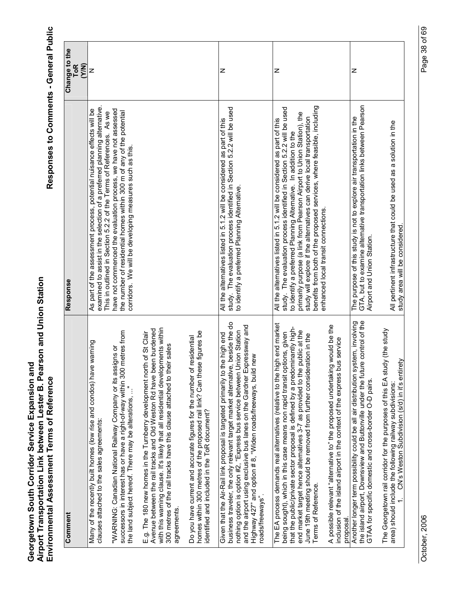| Comment                                                                                                                                                                                                                                                                                                                                                                                                           | Response                                                                                                                                                                                                                                                                                                                                                                                                                                           | Change to the<br>(Y/N)<br><b>ToR</b> |
|-------------------------------------------------------------------------------------------------------------------------------------------------------------------------------------------------------------------------------------------------------------------------------------------------------------------------------------------------------------------------------------------------------------------|----------------------------------------------------------------------------------------------------------------------------------------------------------------------------------------------------------------------------------------------------------------------------------------------------------------------------------------------------------------------------------------------------------------------------------------------------|--------------------------------------|
| warning<br>Many of the recently built homes (low rise and condos) have<br>clauses attached to the sales agreements:                                                                                                                                                                                                                                                                                               | examined to assist in the selection of a preferred planning alternative<br>As part of the assessment process, potential nuisance effects will be<br>This in outlined in Section 5.2.2 of the Terms of References. As we                                                                                                                                                                                                                            | z                                    |
| metres from<br>"WARNING: Canadian National Railway Company or its assigns or<br>successors in interest has or have a right-of-way within 300<br>the land subject hereof. There may be alterations, "                                                                                                                                                                                                              | have not commenced the evaluation process, we have not assessed<br>the number of residential homes within 300 m of any of the potential<br>corridors. We will be developing measures such as this.                                                                                                                                                                                                                                                 |                                      |
| with this warning clause. It's likely that all residential developments within<br>Avenue between the rail tracks and Old Weston Rd have been burdened<br>E.g. The 180 new homes in the Turnberry development north of St Clair<br>300 metres of the rail tracks have this clause attached to their sales<br>agreements                                                                                            |                                                                                                                                                                                                                                                                                                                                                                                                                                                    |                                      |
| homes within 300 metres of the proposed rail link? Can these figures be<br>Do you have current and accurate figures for the number of residential<br>identified and included in the ToR document?                                                                                                                                                                                                                 |                                                                                                                                                                                                                                                                                                                                                                                                                                                    |                                      |
| business traveler, the only relevant target market alternative, beside the do<br>and the airport using exclusive bus lanes on the Gardner Expressway and<br>nothing option is option #2, "Express bus service between Union Station<br>Given that the Air-Rail link proposal is targeted primarily to the high end<br>new<br>Highway 427" and option # 8, "Widen roads/freeways, build<br>roads/freeways".        | study. The evaluation process identified in Section 5.2.2 will be used<br>All the alternatives listed in 5.1.2 will be considered as part of this<br>to identify a preferred Planning Alternative.                                                                                                                                                                                                                                                 | z                                    |
| The EA process demands real alternatives (relative to the high end market<br>that the public/private sector proposal is defined by a predominantly high-<br>end market target hence alternatives 3-7 as provided to the public at the<br>being sought), which in this case means non rapid transit options, given<br>June 19th meeting should be removed from further consideration in the<br>Terms of Reference. | benefits from both of the proposed services, where feasible, including<br>study. The evaluation process identified in Section 5.2.2 will be used<br>to identify a preferred Planning Alternative. In addition to the<br>primarily purpose (a link from Pearson Airport to Union Station), the<br>study will explore if the alternatives can derive local transportation<br>All the alternatives listed in 5.1.2 will be considered as part of this | Z                                    |
| would be the<br>Is service<br>A possible relevant "alternative to" the proposed undertaking<br>inclusion of the island airport in the context of the express bu<br>proposal                                                                                                                                                                                                                                       | enhanced local transit connections.                                                                                                                                                                                                                                                                                                                                                                                                                |                                      |
| the island airport, Downsview and Buttonville under the future control of the<br>Another longer term possibility could be all air distribution system, involving<br>GTAA for specific domestic and cross-border O-D pairs                                                                                                                                                                                         | GTA, but to examine alternative transportation links between Pearson<br>The purpose of this study is not to explore air transportation in the<br>Airport and Union Station.                                                                                                                                                                                                                                                                        | z                                    |
| The Georgetown rail corridor for the purposes of this EA study (the study<br>area) should include the following railway subdivisions:<br>1.     CN's Weston Subdivision (s/d) in it's entirety                                                                                                                                                                                                                    | All pertinent infrastructure that could be used as a solution in the<br>study area will be considered                                                                                                                                                                                                                                                                                                                                              |                                      |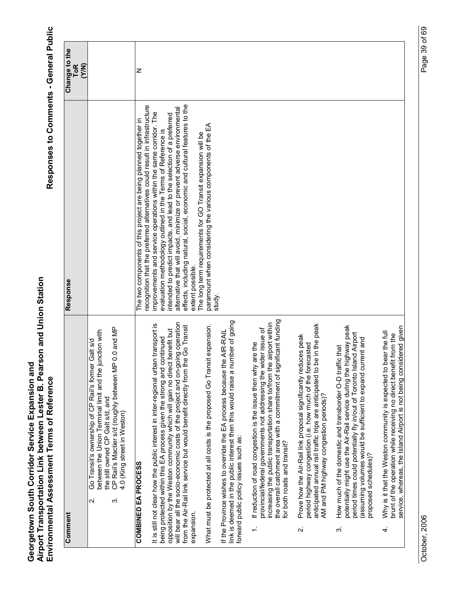| Comment                 |                                                                                                                                                                                                                                                                                                                                                                                                          | Response                                                                                                                                                                                                                                                                                                                                                                                                                                                            | Change to the       |
|-------------------------|----------------------------------------------------------------------------------------------------------------------------------------------------------------------------------------------------------------------------------------------------------------------------------------------------------------------------------------------------------------------------------------------------------|---------------------------------------------------------------------------------------------------------------------------------------------------------------------------------------------------------------------------------------------------------------------------------------------------------------------------------------------------------------------------------------------------------------------------------------------------------------------|---------------------|
|                         |                                                                                                                                                                                                                                                                                                                                                                                                          |                                                                                                                                                                                                                                                                                                                                                                                                                                                                     | <b>ToR</b><br>(Y/N) |
|                         | 0.0 and MP<br>between the Union Terminal limit and the junction with<br>Galt s/d<br>Go Transit's ownership of CP Rail's former<br>CP Rail's Mactier s/d (roughly between MP<br>the still owned CP Galt s/d, and<br>4.0 (King street in Weston)<br>က<br>$\overline{\mathsf{N}}$                                                                                                                           |                                                                                                                                                                                                                                                                                                                                                                                                                                                                     |                     |
|                         | COMBINED EA PROCESS                                                                                                                                                                                                                                                                                                                                                                                      | The two components of this project are being planned together in                                                                                                                                                                                                                                                                                                                                                                                                    | Z                   |
| expansion.              | will bear all the socio-economic costs of the project and on-going operation<br>It is still not clear how the public interest in inter-regional urban transport is<br>from the Air-Rail link service but would benefit directly from the Go Transit<br>opposition by the Weston community which will gain no direct benefit but<br>being protected within this EA process given the strong and continued | effects, including natural, social, economic and cultural features to the<br>recognition that the preferred alternatives could result in infrastructure<br>alternative that will avoid, minimize or prevent adverse environmental<br>improvements and service operations within the same corridor. The<br>intended to predict impacts, and lead to the selection of a preferred<br>evaluation methodology outlined in the Terms of Reference is<br>extent possible. |                     |
|                         | What must be protected at all costs is the proposed Go Transit expansion.                                                                                                                                                                                                                                                                                                                                | paramount when considering the various components of the EA<br>The long term requirements for GO Transit expansion will be                                                                                                                                                                                                                                                                                                                                          |                     |
|                         | link is deemed in the public interest then this would raise a number of going<br>If the Province wishes to override the EA process because the AIR-RAIL<br>forward public policy issues such as:                                                                                                                                                                                                         | study.                                                                                                                                                                                                                                                                                                                                                                                                                                                              |                     |
|                         | the overall catchment area with a commitment of significant funding<br>airport within<br>provincial/federal governments not addressing the wider issue of<br>If reduction of road congestion is the issue then why are the<br>increasing the public transportation share to/from the<br>for both roads and transit?                                                                                      |                                                                                                                                                                                                                                                                                                                                                                                                                                                                     |                     |
| $\overline{\mathbf{v}}$ | anticipated annual rail traffic trips are anticipated to be in the peak<br>Prove how the Air-Rail link proposal significantly reduces peak<br>period highway congestion (i.e. how much of the forecasted<br>AM and PM highway congestion periods)?                                                                                                                                                       |                                                                                                                                                                                                                                                                                                                                                                                                                                                                     |                     |
| က်                      | potentially might use the Air-Rail service during the highway peak<br>period times could potentially fly in/out of Toronto Island Airport<br>(assuming volumes would be sufficient to expand current and<br>How much of the domestic and transborder O-D traffic that<br>proposed schedules)?                                                                                                            |                                                                                                                                                                                                                                                                                                                                                                                                                                                                     |                     |
| 4.                      | service, whereas, the Island Airport is not being considered given<br>Why is it that the Weston community is expected to bear the full<br>brunt of the operation while receiving no direct benefit from the                                                                                                                                                                                              |                                                                                                                                                                                                                                                                                                                                                                                                                                                                     |                     |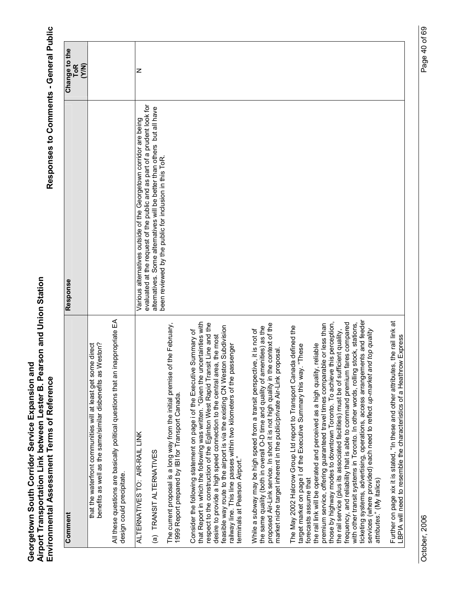| Comment                                                                                                                                                                                                                                                                                                                                                                                                                                                                                                                                                                                                                                                                                                                                                                                                                                                   | Response                                                                                                                                            | Change to the<br><b>ToR</b><br>(Y/N) |
|-----------------------------------------------------------------------------------------------------------------------------------------------------------------------------------------------------------------------------------------------------------------------------------------------------------------------------------------------------------------------------------------------------------------------------------------------------------------------------------------------------------------------------------------------------------------------------------------------------------------------------------------------------------------------------------------------------------------------------------------------------------------------------------------------------------------------------------------------------------|-----------------------------------------------------------------------------------------------------------------------------------------------------|--------------------------------------|
| that the waterfront communities will at least get some direct<br>eston?<br>benefits as well as the same/similar disbenefits as W                                                                                                                                                                                                                                                                                                                                                                                                                                                                                                                                                                                                                                                                                                                          |                                                                                                                                                     |                                      |
| All these questions are basically political questions that an inappropriate EA<br>design could precipitate.                                                                                                                                                                                                                                                                                                                                                                                                                                                                                                                                                                                                                                                                                                                                               |                                                                                                                                                     |                                      |
| ALTERNATIVES TO: AIR-RAIL LINK                                                                                                                                                                                                                                                                                                                                                                                                                                                                                                                                                                                                                                                                                                                                                                                                                            | Various alternatives outside of the Georgetown corridor are being                                                                                   | z                                    |
| (a) TRANSIT ALTERNATIVES                                                                                                                                                                                                                                                                                                                                                                                                                                                                                                                                                                                                                                                                                                                                                                                                                                  | evaluated at the request of the public and as part of a prudent look for<br>alternatives. Some alternatives will be better than others but all have |                                      |
| the February,<br>The current proposal is a long way from the initial premise of<br>1999 Report prepared by IBI for Transport Canada.                                                                                                                                                                                                                                                                                                                                                                                                                                                                                                                                                                                                                                                                                                                      | been reviewed by the public for inclusion in this ToR.                                                                                              |                                      |
| that Report in which the following was written. "Given the uncertainties with<br>respect to the construction of the Eglinton West Rapid Transit Line and the<br>feasible way route to the airport is via the existing CN Weston Subdivision<br>Consider the following statement on page i of the Executive Summary of<br>the most<br>railway line. This line passes within two kilometers of the passenger<br>desire to provide a high speed connection to the central area,<br>terminals at Pearson Airport."                                                                                                                                                                                                                                                                                                                                            |                                                                                                                                                     |                                      |
| proposed Air-Link service. In short it is not high quality in the context of the<br>the same quality (both in overall O-D time and quality of amenities) as the<br>While a subway may be high speed from a transit perspective, it is not of<br>market niche target inherent in the public/private Air-Link proposal.                                                                                                                                                                                                                                                                                                                                                                                                                                                                                                                                     |                                                                                                                                                     |                                      |
| ticketing systems, advertising, operations, access arrangements and feeder<br>frequency, and reliability that is able to command premium fares compared<br>those by highway modes to downtown Toronto. To achieve this perception,<br>premium service, offering guaranteed travel times comparable or less than<br>with other transit systems in Toronto. In other words, rolling stock, stations,<br>The May 2002 Halcrow Group Ltd report to Transport Canada defined the<br>the rail service (plus its associated facilities) must be of sufficient quality,<br>services (where provided) each need to reflect up-market and top quality<br>eliable<br>"These<br>the rail link will be operated and perceived as a high quality, r<br>target market on page I of the Executive Summary this way.<br>forecasts assume that<br>attributes." (My italics) |                                                                                                                                                     |                                      |
| the rail link at<br>Further on page xix it is stated, "In these and other attributes, the rail lin<br>LBPIA will need to resemble the characteristics of a Heathrow Express                                                                                                                                                                                                                                                                                                                                                                                                                                                                                                                                                                                                                                                                               |                                                                                                                                                     |                                      |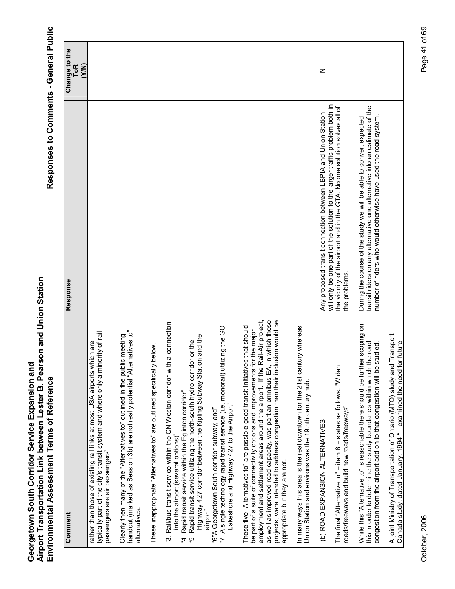| Comment                                                                                                                                                                                                                                                                                                                                                                                                                                         | Response                                                                                                                                                                                                           | Change to the       |
|-------------------------------------------------------------------------------------------------------------------------------------------------------------------------------------------------------------------------------------------------------------------------------------------------------------------------------------------------------------------------------------------------------------------------------------------------|--------------------------------------------------------------------------------------------------------------------------------------------------------------------------------------------------------------------|---------------------|
|                                                                                                                                                                                                                                                                                                                                                                                                                                                 |                                                                                                                                                                                                                    | <b>ToR</b><br>(Y/N) |
| typically part of the city's transit system and where only a minority of rail<br>rather than those of existing rail links at most USA airports which are<br>passengers are air passengers"                                                                                                                                                                                                                                                      |                                                                                                                                                                                                                    |                     |
| handout (marked as Session 3b) are not really potential "Alternatives to"<br>Clearly then many of the "Altematives to" outlined in the public meeting<br>alternatives.                                                                                                                                                                                                                                                                          |                                                                                                                                                                                                                    |                     |
| below.<br>These inappropriate "Alternatives to" are outlined specifically                                                                                                                                                                                                                                                                                                                                                                       |                                                                                                                                                                                                                    |                     |
| a connection<br>Highway 427 corridor between the Kipling Subway Station and the<br>Rapid transit service utilizing the north-south hydro corridor or the<br>"3. Rail/bus transit service within the CN Weston corridor with<br>"4. Rapid transit service within the Eglinton corridor"<br>into the airport (several options)"<br>airport"<br>م،<br>م                                                                                            |                                                                                                                                                                                                                    |                     |
| izing the GO<br>"7 A single technology rapid transit service (i.e. monorail) utili<br>Lakeshore and Highway 427 to the Airport"<br>"6"A Georgetown South corridor subway; and"                                                                                                                                                                                                                                                                  |                                                                                                                                                                                                                    |                     |
| employment and settlement areas around the airport. If the Rail-Air project,<br>in which these<br>sion would be<br>These five "Alternatives to" are possible good transit initiatives that should<br>be part of a suite of connectivity options and improvements for the major<br>projects, were intended to address congestion then their inclu<br>as well as improved road capacity, was part an omnibus EA,<br>appropriate but they are not. |                                                                                                                                                                                                                    |                     |
| In many ways this area is the real downtown for the 21st century whereas<br>Union Station and environs was the 19thth century hub.                                                                                                                                                                                                                                                                                                              |                                                                                                                                                                                                                    |                     |
| (b) ROAD EXPANSION ALTERNATIVES                                                                                                                                                                                                                                                                                                                                                                                                                 | Any proposed transit connection between LBPIA and Union Station                                                                                                                                                    | z                   |
| The final "Alternative to" $-$ item 8 $-$ states as follows. "Widen<br>roads/freeways and build new roads/freeways"                                                                                                                                                                                                                                                                                                                             | will only be one part of the solution to the larger traffic problem both in<br>the vicinity of the airport and in the GTA. No one solution solves all of<br>the problems.                                          |                     |
| While this "Alternative to" is reasonable there should be further scoping on<br>this in order to determine the study boundaries within which the road<br>congestion from the airport add on to that congestion will be studied.                                                                                                                                                                                                                 | transit riders on any alternative one alternative into an estimate of the<br>number of riders who would otherwise have used the road system.<br>During the course of the study we will be able to convert expected |                     |
| Transport<br>Canada study, dated January, 1994 "--examined the need for future<br>A joint Ministry of Transportation of Ontario (MTO) study and                                                                                                                                                                                                                                                                                                 |                                                                                                                                                                                                                    |                     |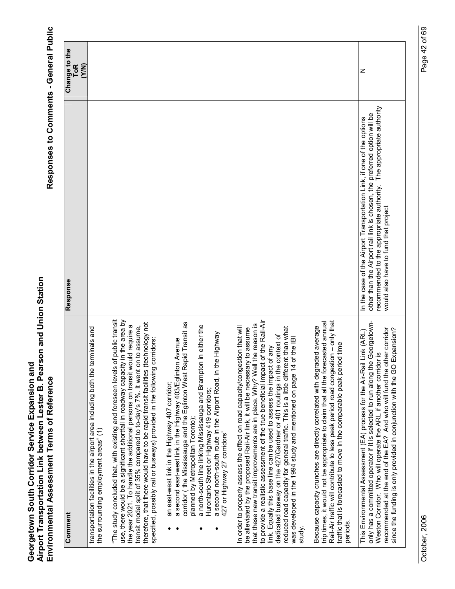| Comment                                                                                                                                                                                                                                                                                                                                                                                                                                                                                                                                                                                                                                             | Response                                                                                                                                                                                                                                                         | Change to the       |
|-----------------------------------------------------------------------------------------------------------------------------------------------------------------------------------------------------------------------------------------------------------------------------------------------------------------------------------------------------------------------------------------------------------------------------------------------------------------------------------------------------------------------------------------------------------------------------------------------------------------------------------------------------|------------------------------------------------------------------------------------------------------------------------------------------------------------------------------------------------------------------------------------------------------------------|---------------------|
|                                                                                                                                                                                                                                                                                                                                                                                                                                                                                                                                                                                                                                                     |                                                                                                                                                                                                                                                                  | <b>ToR</b><br>(Y/N) |
| transportation facilities in the airport area including both the terminals and<br>the surrounding employment areas" (1)                                                                                                                                                                                                                                                                                                                                                                                                                                                                                                                             |                                                                                                                                                                                                                                                                  |                     |
| "The study concluded that, with existing and foreseen levels of public transit<br>use, there would be a significant shortfall in roadway capacity in the area by<br>therefore, that there would have to be rapid transit facilities (technology not<br>the year 2021. To handle the additional persons on transit would require a<br>transit modal split of 35% compared to to-day's 7%. It went on to assume,<br>specified, possibly rail or busways) provided in the following corridors:                                                                                                                                                         |                                                                                                                                                                                                                                                                  |                     |
| corridor (the Mississauga and the Eglinton West Rapid Transit as<br>in either the<br>a second north-south route in the Airport Road, in the Highway<br>a second east-west link in the Highway 403/Eglinton Avenue<br>a north-south line linking Mississauga and Brampton<br>an east-west link in the Highway 407 corridor;<br>Hurontario Street or Highway 419 corridors;<br>planned by Metropolitan Toronto);<br>427 or Highway 27 corridors"                                                                                                                                                                                                      |                                                                                                                                                                                                                                                                  |                     |
| to provide a realistic assessment of the true beneficial impact of the Rail-Air<br>that these new transit improvements are in place. Why? Well the reason is<br>In order to properly assess the effect on road capacity/congestion that will<br>reduced road capacity for general traffic. This is a little different than what<br>be alleviated by the proposed Rail-Air link, it will be necessary to assume<br>dedicated busway on the 427/Gardner or 401 routings in the context of<br>of the IBI<br>link. Equally this base line can be used to assess the impact of any<br>was developed in the 1994 study and mentioned on page 14<br>study. |                                                                                                                                                                                                                                                                  |                     |
| Rail-Air traffic will contribute to less peak period road congestion - only that<br>trip times, it would not be appropriate to claim that all the forecasted annual<br>Because capacity crunches are directly correlated with degraded average<br>traffic that is forecasted to move in the comparable peak period time<br>periods.                                                                                                                                                                                                                                                                                                                 |                                                                                                                                                                                                                                                                  |                     |
| Georgetown-<br>recommended at the end of the EA? And who will fund the other corridor<br>Expansion?<br>This Environmental Assessment (EA) process for the Air-Rail Link (ARL)<br>Weston Corridor. Who will operate the ARL if another corridor is<br>only has a committed operator if it is selected to run along the<br>since the funding is only provided in conjunction with the GO                                                                                                                                                                                                                                                              | recommended to the appropriate authority. The appropriate authority<br>other than the Airport rail link is chosen, the preferred option will be<br>In the case of the Airport Transportation Link, if one of the options<br>would also have to fund that project | z                   |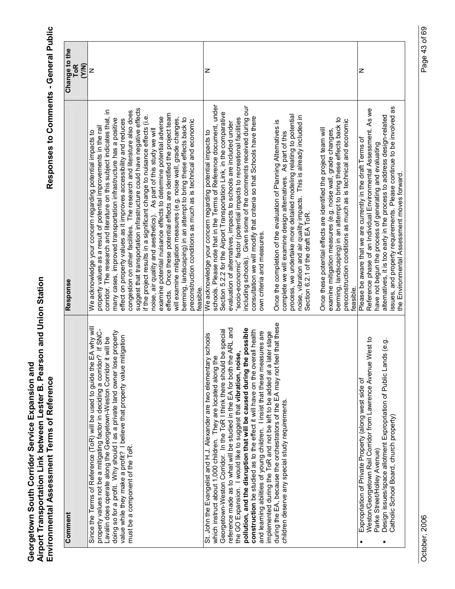| Comment                                                                                                                                                                                                                                                                                                                                                                                                                                                                                                                                                                                                                                                                                                                                                                                                                  | Response                                                                                                                                                                                                                                                                                                                                                                                                                                                                                                                                                                                                                                                                                                                                                                                                                                                                                                                                                                                                                                                                                                                                                   | Change to the<br>(Y/N)<br><b>ToR</b> |
|--------------------------------------------------------------------------------------------------------------------------------------------------------------------------------------------------------------------------------------------------------------------------------------------------------------------------------------------------------------------------------------------------------------------------------------------------------------------------------------------------------------------------------------------------------------------------------------------------------------------------------------------------------------------------------------------------------------------------------------------------------------------------------------------------------------------------|------------------------------------------------------------------------------------------------------------------------------------------------------------------------------------------------------------------------------------------------------------------------------------------------------------------------------------------------------------------------------------------------------------------------------------------------------------------------------------------------------------------------------------------------------------------------------------------------------------------------------------------------------------------------------------------------------------------------------------------------------------------------------------------------------------------------------------------------------------------------------------------------------------------------------------------------------------------------------------------------------------------------------------------------------------------------------------------------------------------------------------------------------------|--------------------------------------|
| EA why will<br>property values not be a mitigating factor in deciding a corridor? If SNC-<br>doing so for a profit. Why should I as a private land owner lose property<br>value while they make a profit? I believe that property value mitigation<br>Lavalin does operate along the Georgetown-Weston Corridor it will be<br>Since the Terms of Reference (ToR) will be used to guide the<br>must be a component of the ToR.                                                                                                                                                                                                                                                                                                                                                                                            | suggest that transportation infrastructure could have negative effects<br>corridor. The research and literature on this subject indicates that, in<br>congestion on other facilities. The research and literature also does<br>effects. Once these potential effects are identified the project team<br>if the project results in a significant change to nuisance effects (i.e.<br>examine potential nuisance effects to determine potential adverse<br>will examine mitigation measures (e.g. noise wall, grade changes,<br>berming, landscaping) in an attempt to bring these effects back to<br>many cases, improved transportation infrastructure has a positive<br>effect on property values as it improves accessibility and reduces<br>preconstruction conditions as much as is technical and economic<br>property values as a result of potential improvements in the rail<br>noise, air quality and aesthetics). As part of this study we will<br>We acknowledge your concern regarding potential impacts to<br>feasible.                                                                                                                        | z                                    |
| during the EA, because the orchestrators of the EA may not feel that these<br>reference made as to what will be studied in the EA for both the ARL and<br>pollution, and the disruption that will be caused during the possible<br>Georgetown-Weston Corridor. In the ToR I think there should be special<br>construction be studied as to the effect it will have on the overall health<br>later stage<br>and learning abilities of young children. I insist that these measures are<br>St. John the Evangelist and H.J. Alexander are two elementary schools<br>the GO Expansion. I would like to suggest that vibration, noise,<br>which instruct about 1,000 children. They are located along the<br>implemented during the ToR and not be left to be added at a<br>children deserve any special study requirements. | schools. Please note that in the Terms of Reference document, under<br>including schools). Given some of the comments received during our<br>Section 5.2.2 for the Airport Transportation Link, in the comparative<br>process, we undertake more detailed modeling relating to potential<br>noise, vibration and air quality impacts. This is already included in<br>consultation we will modify that criteria so that Schools have there<br>"socio-economic" factor (potential impacts to recreational facilities<br>berming, landscaping) in an attempt to bring these effects back to<br>preconstruction conditions as much as is technical and economic<br>Once the completion of the evaluation of Planning Alternatives is<br>evaluation of alternatives, impacts to schools are included under<br>Once these potential effects are identified the project team will<br>examine mitigation measures (e.g. noise wall, grade changes,<br>We acknowledge your concern regarding potential impacts to<br>complete we will examine design alternatives. As part of this<br>Section 6.2.1 of the draft EA ToR.<br>own criteria and measures.<br>feasible. | z                                    |
| Weston/Georgetown Rail Corridor from Lawrence Avenue West to<br>Design issues/space allotment Expropriation of Public Lands (e.g.<br>Expropriation of Private Property (along west side of<br>Catholic School Board, church property)<br>Parke Street/Holley Avenue)                                                                                                                                                                                                                                                                                                                                                                                                                                                                                                                                                     | issues, and property requirements. Please continue to be involved as<br>Reference phase of an Individual Environmental Assessment. As we<br>alternatives, it is too early in the process to address design-related<br>Please be aware that we are currently in the draft Terms of<br>have not begun the process of generating and evaluating<br>the Environmental Assessment moves forward.                                                                                                                                                                                                                                                                                                                                                                                                                                                                                                                                                                                                                                                                                                                                                                | z                                    |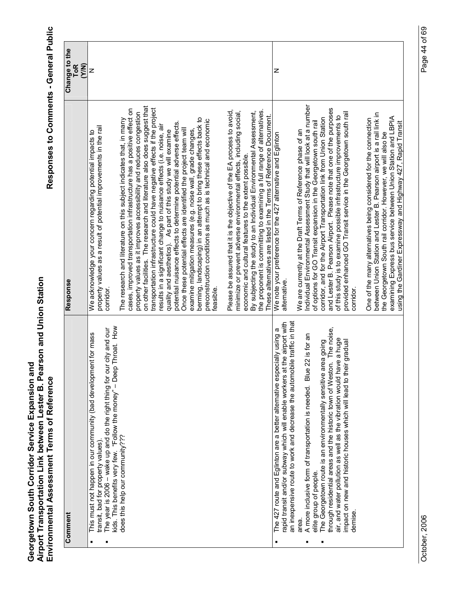|   | Comment                                                                                                                                                                                                                                                                                                | Response                                                                                                                                                                                                                                                                                                                                                                                                                                                                                                                                                                                                                                                                                                                                                                                                                                                                              | Change to the<br>ToR<br>(Y/N) |
|---|--------------------------------------------------------------------------------------------------------------------------------------------------------------------------------------------------------------------------------------------------------------------------------------------------------|---------------------------------------------------------------------------------------------------------------------------------------------------------------------------------------------------------------------------------------------------------------------------------------------------------------------------------------------------------------------------------------------------------------------------------------------------------------------------------------------------------------------------------------------------------------------------------------------------------------------------------------------------------------------------------------------------------------------------------------------------------------------------------------------------------------------------------------------------------------------------------------|-------------------------------|
| Е | kids. This benefits very few. "Follow the money" - Deep Throat. How<br>The year is 2006 – wake up and do the right thing for our city and our<br>for mass<br>This must not happen in our community (bad development<br>transit, bad for property values).                                              | property values as a result of potential improvements in the rail<br>We acknowledge your concern regarding potential impacts to<br>corridor.                                                                                                                                                                                                                                                                                                                                                                                                                                                                                                                                                                                                                                                                                                                                          | z                             |
|   | does this help our community??                                                                                                                                                                                                                                                                         | on other facilities. The research and literature also does suggest that<br>transportation infrastructure could have negative effects if the project<br>cases, improved transportation infrastructure has a positive effect on<br>property values as it improves accessibility and reduces congestion<br>berming, landscaping) in an attempt to bring these effects back to<br>The research and literature on this subject indicates that, in many<br>preconstruction conditions as much as is technical and economic<br>potential nuisance effects to determine potential adverse effects.<br>results in a significant change to nuisance effects (i.e. noise, air<br>Once these potential effects are identified the project team will<br>examine mitigation measures (e.g. noise wall, grade changes,<br>quality and aesthetics). As part of this study we will examine<br>feasible |                               |
|   |                                                                                                                                                                                                                                                                                                        | Please be assured that it is the objective of the EA process to avoid,<br>the proponent is committing to examining a full range of alternatives.<br>minimize or prevent adverse environmental effects, including social,<br>By subjecting the study to an Individual Environmental Assessment,<br>These alternatives are listed in the Terms of Reference Document.<br>economic and cultural features to the extent possible.                                                                                                                                                                                                                                                                                                                                                                                                                                                         |                               |
| Ξ | an inexpensive route to work and decrease the automobile traffic in that<br>e airport with<br>The 427 route and Eglinton are a better alternative especially using a<br>rapid transit and/or subway which will enable workers at th                                                                    | We note your preference for the 427 alternative and Eglinton<br>alternative.                                                                                                                                                                                                                                                                                                                                                                                                                                                                                                                                                                                                                                                                                                                                                                                                          | Z                             |
|   | A more inclusive form of transportation is needed. Blue 22 is for an<br>elite group of people.<br>area.                                                                                                                                                                                                | ndividual Environmental Assessment Study that will look at a number<br>of options for GO Transit expansion in the Georgetown south rail<br>We are currently at the Draft Terms of Reference phase of an                                                                                                                                                                                                                                                                                                                                                                                                                                                                                                                                                                                                                                                                               |                               |
|   | The noise,<br>air, and water pollution as well as the vibration would have a huge<br>The Georgetown route is an environmentally sensitive area going<br>gradual<br>through residential areas and the historic town of Weston.<br>impact on new and historic houses which will lead to their<br>demise. | and Lester B. Pearson Airport. Please note that one of the purposes<br>provided enhanced GO Transit service in the Georgetown south rail<br>of this study is to examine possible infrastructure improvements to<br>corridor, and for the Airport Transportation link from Union Station<br>corridor.                                                                                                                                                                                                                                                                                                                                                                                                                                                                                                                                                                                  |                               |
|   |                                                                                                                                                                                                                                                                                                        | between Union Station and Lester B. Pearson airport is a rail link in<br>examining Express bus service between Union Station and LBPIA<br>One of the many alternatives being considered for the connection<br>using the Gardiner Expressway and Highway 427, Rapid Transit<br>the Georgetown South rail corridor. However, we will also be                                                                                                                                                                                                                                                                                                                                                                                                                                                                                                                                            |                               |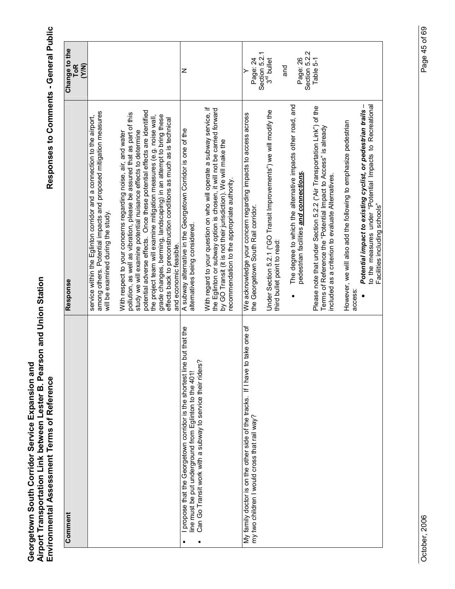| Comment                                                                                                                                                                                                 | Response                                                                                                                                                                                                       | Change to the<br><b>ToR</b>           |
|---------------------------------------------------------------------------------------------------------------------------------------------------------------------------------------------------------|----------------------------------------------------------------------------------------------------------------------------------------------------------------------------------------------------------------|---------------------------------------|
|                                                                                                                                                                                                         |                                                                                                                                                                                                                | (Y/N)                                 |
|                                                                                                                                                                                                         | among others. Potential impacts and proposed mitigation measures<br>service within the Eglinton corridor and a connection to the airport,<br>will be examined during the study.                                |                                       |
|                                                                                                                                                                                                         | pollution, as well as vibration, please be assured that as part of this<br>With respect to your concerns regarding noise, air, and water                                                                       |                                       |
|                                                                                                                                                                                                         | potential adverse effects. Once these potential effects are identified<br>study we will examine potential nuisance effects to determine                                                                        |                                       |
|                                                                                                                                                                                                         | grade changes, berming, landscaping) in an attempt to bring these<br>the project team will examine mitigation measures (e.g. noise wall,<br>effects back to preconstruction conditions as much as is technical |                                       |
|                                                                                                                                                                                                         | and economic feasible.                                                                                                                                                                                         |                                       |
| propose that the Georgetown corridor is the shortest line but that the<br>نې<br>د<br>Can Go Transit work with a subway to service their rider<br>line must be put underground from Eglinton to the 401! | A subway alternative in the Georgetown Corridor is one of the<br>alternatives being considered.                                                                                                                | z                                     |
|                                                                                                                                                                                                         | With regard to your question on who will operate a subway service, if<br>the Eglinton or subway option is chosen, it will not be carried forward                                                               |                                       |
|                                                                                                                                                                                                         | by GO Transit (it is not their jurisdiction). We will make the<br>recommendation to the appropriate authority.                                                                                                 |                                       |
| to take one of<br>My family doctor is on the other side of the tracks. If I have<br>my two children I would cross that rail way?                                                                        | We acknowledge your concern regarding impacts to access across<br>the Georgetown South Rail corridor.                                                                                                          | Page: 24                              |
|                                                                                                                                                                                                         | Under Section 5.2.1 ("GO Transit Improvements") we will modify the<br>third bullet point to read:                                                                                                              | Section 5.2.1<br>$3rd$ bullet         |
|                                                                                                                                                                                                         | The degree to which the alternative impacts other road, and<br>pedestrian facilities and connections.                                                                                                          | Section 5.2.2<br>Page: 26<br>pue<br>S |
|                                                                                                                                                                                                         | Please note that under Section 5.2.2 ("Air Transportation Link") of the<br>Terms of Reference the "Potential Impact to Access" is already<br>included as a criterion to evaluate Alternatives.                 | Table 5-1                             |
|                                                                                                                                                                                                         | However, we will also add the following to emphasize pedestrian<br>access                                                                                                                                      |                                       |
|                                                                                                                                                                                                         | Potential impact to existing cyclist, or pedestrian trails -<br>to the measures under "Potential Impacts to Recreational<br>Facilities including schools"                                                      |                                       |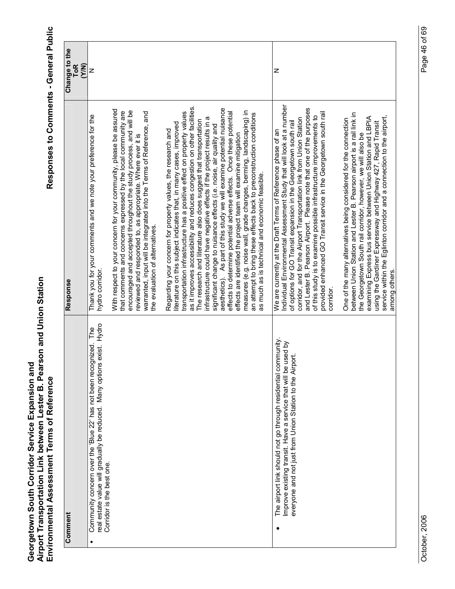|   | Comment                                                                                                                                                                                    | Response                                                                                                                                                                                                                                                                                                                                                                                                                                                                                                                                                                                                                                                                                                                                                                                                                                                                                                                           | Change to the<br><b>ToR</b><br>(Y/N) |
|---|--------------------------------------------------------------------------------------------------------------------------------------------------------------------------------------------|------------------------------------------------------------------------------------------------------------------------------------------------------------------------------------------------------------------------------------------------------------------------------------------------------------------------------------------------------------------------------------------------------------------------------------------------------------------------------------------------------------------------------------------------------------------------------------------------------------------------------------------------------------------------------------------------------------------------------------------------------------------------------------------------------------------------------------------------------------------------------------------------------------------------------------|--------------------------------------|
| п | exist. Hydro<br>The<br>Community concern over the 'Blue 22' has not been recognized.<br>real estate value will gradually be reduced. Many options<br>Corridor is the best one.             | Thank you for your comments and we note your preference for the<br>hydro corridor.                                                                                                                                                                                                                                                                                                                                                                                                                                                                                                                                                                                                                                                                                                                                                                                                                                                 | z                                    |
|   |                                                                                                                                                                                            | With respect to your concern for your community, please be assured<br>encouraged and accepted throughout the study process, and will be<br>that comments and concerns expressed by the local community are<br>reviewed and responded to, as appropriate. Where ever it is<br>warranted, input will be integrated into the Terms of Reference, and<br>the evaluation of alternatives.                                                                                                                                                                                                                                                                                                                                                                                                                                                                                                                                               |                                      |
|   |                                                                                                                                                                                            | as it improves accessibility and reduces congestion on other facilities.<br>aesthetics). As part of this study we will examine potential nuisance<br>effects to determine potential adverse effects. Once these potential<br>measures (e.g. noise wall, grade changes, berming, landscaping) in<br>transportation infrastructure has a positive effect on property values<br>an attempt to bring these effects back to preconstruction conditions<br>infrastructure could have negative effects if the project results in a<br>The research and literature also does suggest that transportation<br>literature on this subject indicates that, in many cases, improved<br>significant change to nuisance effects (i.e. noise, air quality and<br>Regarding your concern for property values, the research and<br>effects are identified the project team will examine mitigation<br>as much as is technical and economic feasible. |                                      |
|   | The airport link should not go through residential community.<br>Improve existing transit. Have a service that will be used by<br>everyone and not just from Union Station to the Airport. | Individual Environmental Assessment Study that will look at a number<br>and Lester B. Pearson Airport. Please note that one of the purposes<br>provided enhanced GO Transit service in the Georgetown south rail<br>of this study is to examine possible infrastructure improvements to<br>corridor, and for the Airport Transportation link from Union Station<br>of options for GO Transit expansion in the Georgetown south rail<br>We are currently at the Draft Terms of Reference phase of an<br>corridor                                                                                                                                                                                                                                                                                                                                                                                                                    | z                                    |
|   |                                                                                                                                                                                            | between Union Station and Lester B. Pearson airport is a rail link in<br>service within the Eglinton corridor and a connection to the airport,<br>examining Express bus service between Union Station and LBPIA<br>One of the many alternatives being considered for the connection<br>using the Gardiner Expressway and Highway 427, Rapid Transit<br>the Georgetown South rail corridor, however, we will also be<br>among others.                                                                                                                                                                                                                                                                                                                                                                                                                                                                                               |                                      |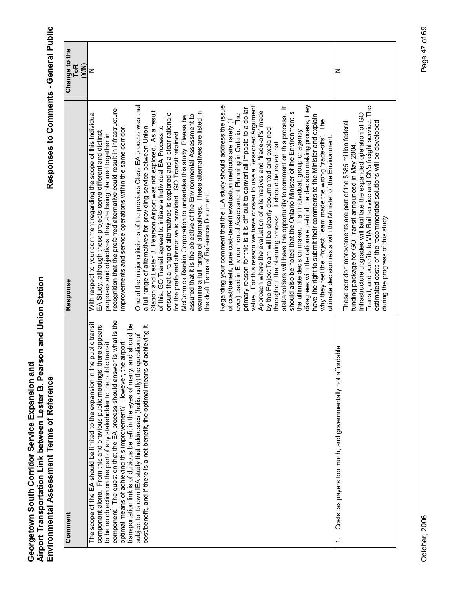| Change to the<br><b>ToR</b><br>(Y/N) | z                                                                                                                                                                                                                                                                          |                                                                                                                                                 |
|--------------------------------------|----------------------------------------------------------------------------------------------------------------------------------------------------------------------------------------------------------------------------------------------------------------------------|-------------------------------------------------------------------------------------------------------------------------------------------------|
|                                      |                                                                                                                                                                                                                                                                            |                                                                                                                                                 |
|                                      | recognition that the preferred alternative could result in infrastructure                                                                                                                                                                                                  | One of the major criticisms of the previous Class EA process was that                                                                           |
|                                      | With respect to your comment regarding the scope of this Individual<br>improvements and service operations within the same corridor.<br>EA Study, although these projects serve different and distinct<br>purposes and objectives, they are being planned together in      |                                                                                                                                                 |
|                                      |                                                                                                                                                                                                                                                                            | Station and Lester B. Pearson Airport was not explored. As a result<br>a full range of alternatives for providing service between Union         |
|                                      |                                                                                                                                                                                                                                                                            |                                                                                                                                                 |
|                                      | is what is the<br>public transit<br>transportation link is of dubious benefit in the eyes of many, and should be<br>component alone. From this and previous public meetings, there appears                                                                                 | achieving it.                                                                                                                                   |
|                                      | optimal means of achieving this improvement? However, the airport<br>to be no objection on the part of any stakeholder to the public transit<br>component. The question that the EA process should answer<br>The scope of the EA should be limited to the expansion in the | subject to its own IEA study that addresses (holistically) the question of<br>cost/benefit, and if there is a net benefit, the optimal means of |
|                                      |                                                                                                                                                                                                                                                                            |                                                                                                                                                 |
| Comment                              |                                                                                                                                                                                                                                                                            |                                                                                                                                                 |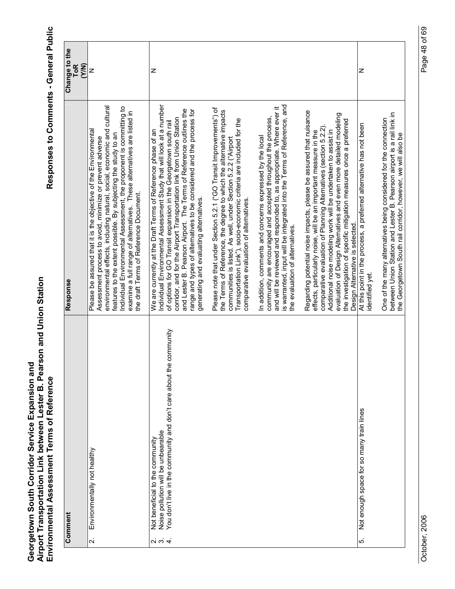|                         | Comment                                                                                                                                        | Response                                                                                                                                                                                                                                                                                                                                                                                                                                                                                                                                                                                                                                                                                                                                                                                                                                                                                                                                                                                                                                                                                                                                                                                                                                                                                                                                                                                                                                                                                                                                                                                     | Change to the<br>ToR<br>(Y/N) |
|-------------------------|------------------------------------------------------------------------------------------------------------------------------------------------|----------------------------------------------------------------------------------------------------------------------------------------------------------------------------------------------------------------------------------------------------------------------------------------------------------------------------------------------------------------------------------------------------------------------------------------------------------------------------------------------------------------------------------------------------------------------------------------------------------------------------------------------------------------------------------------------------------------------------------------------------------------------------------------------------------------------------------------------------------------------------------------------------------------------------------------------------------------------------------------------------------------------------------------------------------------------------------------------------------------------------------------------------------------------------------------------------------------------------------------------------------------------------------------------------------------------------------------------------------------------------------------------------------------------------------------------------------------------------------------------------------------------------------------------------------------------------------------------|-------------------------------|
| $\overline{\mathbf{v}}$ | Environmentally not healthy                                                                                                                    | environmental effects, including natural, social, economic and cultural<br>Individual Environmental Assessment, the proponent is committing to<br>examine a full range of alternatives. These alternatives are listed in<br>Please be assured that it is the objective of the Environmental<br>features to the extent possible. By subjecting the study to an<br>Assessment process to avoid, minimize or prevent adverse<br>the draft Terms of Reference Document.                                                                                                                                                                                                                                                                                                                                                                                                                                                                                                                                                                                                                                                                                                                                                                                                                                                                                                                                                                                                                                                                                                                          | z                             |
| 22.24                   | community<br>You don't live in the community and don't care about the<br>Noise pollution will be unbearable<br>Not beneficial to the community | is warranted, input will be integrated into the Terms of Reference, and<br>Individual Environmental Assessment Study that will look at a number<br>and will be reviewed and responded to, as appropriate. Where ever it<br>Please note that under Section 5.2.1 ("GO Transit Improvements") of<br>and Lester B. Pearson Airport. The Terms of Reference outlines the<br>range and types of alternatives to be considered and the process for<br>the Terms of Reference, the degree to which the alternative impacts<br>Regarding potential noise impacts, please be assured that nuisance<br>evaluation of Design Alternatives and even more detailed modeling<br>community are encouraged and accepted throughout the process,<br>corridor, and for the Airport Transportation link from Union Station<br>Transportation Link"), socio-economic criteria are included for the<br>the investigation of specific mitigation measures once a preferred<br>of options for GO Transit expansion in the Georgetown south rail<br>comparative evaluation of Planning Alternatives (section 5.2.2).<br>Additional noise modeling work will be undertaken to assist in<br>We are currently at the Draft Terms of Reference phase of an<br>effects, particularly noise, will be an important measure in the<br>In addition, comments and concerns expressed by the local<br>communities is listed. As well, under Section 5.2.2 ("Airport<br>generating and evaluating alternatives.<br>comparative evaluation of alternatives.<br>Design Alternative is selected.<br>the evaluation of alternatives. | z                             |
| ທ່                      | Not enough space for so many train lines                                                                                                       | between Union Station and Lester B. Pearson airport is a rail link in<br>One of the many alternatives being considered for the connection<br>At this point in the process, a preferred alternative has not been<br>the Georgetown South rail corridor, however, we will also be<br>identified yet.                                                                                                                                                                                                                                                                                                                                                                                                                                                                                                                                                                                                                                                                                                                                                                                                                                                                                                                                                                                                                                                                                                                                                                                                                                                                                           | z                             |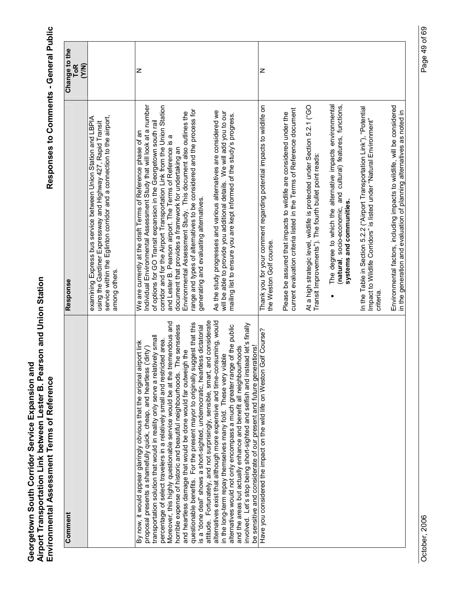| Comment                                                                                                                                                                                                                                                                                                                                                                                                                                                                                                                                                                                                                                                                                                                                                                                            | Response                                                                                                                                                                                                                                                                                                                                                                                                                                                                                                                                                                                         | Change to the<br><b>ToR</b><br>(Y/N) |
|----------------------------------------------------------------------------------------------------------------------------------------------------------------------------------------------------------------------------------------------------------------------------------------------------------------------------------------------------------------------------------------------------------------------------------------------------------------------------------------------------------------------------------------------------------------------------------------------------------------------------------------------------------------------------------------------------------------------------------------------------------------------------------------------------|--------------------------------------------------------------------------------------------------------------------------------------------------------------------------------------------------------------------------------------------------------------------------------------------------------------------------------------------------------------------------------------------------------------------------------------------------------------------------------------------------------------------------------------------------------------------------------------------------|--------------------------------------|
|                                                                                                                                                                                                                                                                                                                                                                                                                                                                                                                                                                                                                                                                                                                                                                                                    | service within the Eglinton corridor and a connection to the airport,<br>examining Express bus service between Union Station and LBPIA<br>using the Gardiner Expressway and Highway 427, Rapid Transit<br>among others.                                                                                                                                                                                                                                                                                                                                                                          |                                      |
| Fortunately, and not surprisingly, sensible, smart, and considerate<br>Moreover, this highly questionable service would be at the tremendous and<br>questionable benefits. For the present mayor to originally suggest that this<br>The senseless<br>is a "done deal" shows a short-sighted, undemocratic, heartless dictatorial<br>tively small<br>percentage of select travelers in a relatively small and restricted area.<br>By now, it would appear glaringly obvious that the original airport link<br>proposal presents a shamefully quick, cheap, and heartless ('dirty')<br>and heartless damage that would be done would far outweigh the<br>transportation solution that would in reality only serve a relat<br>horrible expense of historic and beautiful neighbourhoods.<br>attitude. | Individual Environmental Assessment Study that will look at a number<br>corridor and for the Airport Transportation Link from the Union Station<br>range and types of alternatives to be considered and the process for<br>Environmental Assessment Study. This document also outlines the<br>of options for GO Transit expansion in the Georgetown south rail<br>We are currently at the draft Terms of Reference phase of an<br>and Lester B. Pearson airport. The Terms of Reference is a<br>document that provides a framework for undertaking an<br>generating and evaluating alternatives. | z                                    |
| alternatives exist that although more expensive and time-consuming, would<br>involved. Let's stop being short-sighted and selfish and instead let's finally<br>alternatives would not only encompass a much greater range of the public<br>and the areas but actually enhance and benefit all neighbourhoods<br>be sensitive and considerate of our present and future generations!<br>in the long-term repay themselves many fold. These very viable                                                                                                                                                                                                                                                                                                                                              | As the study progresses and various alternatives are considered we<br>will be able to provide you additional details. We will add you to our<br>mailing list to ensure you are kept informed of the study's progress.                                                                                                                                                                                                                                                                                                                                                                            |                                      |
| Have you considered the impact on the wild life on Weston Golf Course?                                                                                                                                                                                                                                                                                                                                                                                                                                                                                                                                                                                                                                                                                                                             | Thank you for your comment regarding potential impacts to wildlife on<br>the Weston Golf course.                                                                                                                                                                                                                                                                                                                                                                                                                                                                                                 | z                                    |
|                                                                                                                                                                                                                                                                                                                                                                                                                                                                                                                                                                                                                                                                                                                                                                                                    | current evaluation criteria listed in the Terms of Reference document<br>Please be assured that impacts to wildlife are considered under the                                                                                                                                                                                                                                                                                                                                                                                                                                                     |                                      |
|                                                                                                                                                                                                                                                                                                                                                                                                                                                                                                                                                                                                                                                                                                                                                                                                    | At a high strategic level, wildlife is protected under Section 5.2.1 ("GO<br>Transit Improvements"). The fourth bullet point reads:                                                                                                                                                                                                                                                                                                                                                                                                                                                              |                                      |
|                                                                                                                                                                                                                                                                                                                                                                                                                                                                                                                                                                                                                                                                                                                                                                                                    | The degree to which the alternative impacts environmental<br>(natural, socio-economic, and cultural) features, functions,<br>systems and communities.                                                                                                                                                                                                                                                                                                                                                                                                                                            |                                      |
|                                                                                                                                                                                                                                                                                                                                                                                                                                                                                                                                                                                                                                                                                                                                                                                                    | In the Table in Section 5.2.2 ("Airport Transportation Link"), "Potential<br>Impact to Wildlife Corridors" is listed under "Natural Environment"<br>criteria                                                                                                                                                                                                                                                                                                                                                                                                                                     |                                      |
|                                                                                                                                                                                                                                                                                                                                                                                                                                                                                                                                                                                                                                                                                                                                                                                                    | Environmental factors, including impacts to wildlife, will be considered<br>in the generation and evaluation of planning alternatives as noted in                                                                                                                                                                                                                                                                                                                                                                                                                                                |                                      |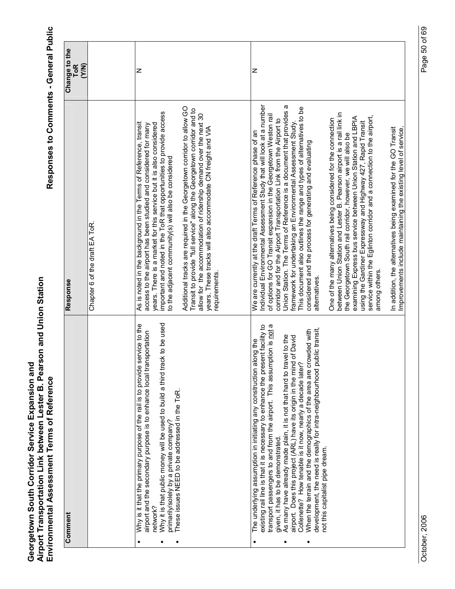| Comment                                                                                                                                                                                                                                                                                                                                                                                                                                                                                                                                                                                                                                                               | Response                                                                                                                                                                                                                                                                                                                                                                                                                                                                                                                                                                                                                                                                                                                                                                                                                                                                                                                                                                                                                                                                                                                                                   | Change to the<br>(Y/N)<br><b>ToR</b> |
|-----------------------------------------------------------------------------------------------------------------------------------------------------------------------------------------------------------------------------------------------------------------------------------------------------------------------------------------------------------------------------------------------------------------------------------------------------------------------------------------------------------------------------------------------------------------------------------------------------------------------------------------------------------------------|------------------------------------------------------------------------------------------------------------------------------------------------------------------------------------------------------------------------------------------------------------------------------------------------------------------------------------------------------------------------------------------------------------------------------------------------------------------------------------------------------------------------------------------------------------------------------------------------------------------------------------------------------------------------------------------------------------------------------------------------------------------------------------------------------------------------------------------------------------------------------------------------------------------------------------------------------------------------------------------------------------------------------------------------------------------------------------------------------------------------------------------------------------|--------------------------------------|
|                                                                                                                                                                                                                                                                                                                                                                                                                                                                                                                                                                                                                                                                       | Chapter 6 of the draft EA ToR                                                                                                                                                                                                                                                                                                                                                                                                                                                                                                                                                                                                                                                                                                                                                                                                                                                                                                                                                                                                                                                                                                                              |                                      |
| ck to be used<br>Why is it that the primary purpose of the rail is to provide service to the<br>airport and the secondary purpose is to enhance local transportation<br>Why it is that public money will be used to build a third tra<br>primarily/solely by a private company?<br>These issues NEED to be addressed in the ToR.<br>network?                                                                                                                                                                                                                                                                                                                          | Additional tracks are required in the Georgetown corridor to allow GO<br>Transit to provide "full service" along the Georgetown corridor and to<br>important and noted in the ToR that opportunities to provide access<br>allow for the accommodation of ridership demand over the next 30<br>As is noted in the background in the Terms of Reference, transit<br>access to the airport has been studied and considered for many<br>years. There is a market for this service but it is also considered<br>years. These tracks will also accommodate CN freight and VIA<br>to the adjacent community(s) will also be considered<br>requirements                                                                                                                                                                                                                                                                                                                                                                                                                                                                                                            | z                                    |
| transport passengers to and from the airport. This assumption is not a<br>existing rail line is that it is necessary to enhance the present facility to<br>development, the need is really for intra-neighbourhood public transit,<br>When the terrain and the demographics of the area are crowded with<br>As many have already made plain, it is not that hard to travel to the<br>airport. Does this project (ARL) have its origin in the mind of David<br>The underlying assumption in initiating any construction along the<br>Collenette? How tenable is it now, nearly a decade later?<br>given, it has to be demonstrated.<br>not this capitalist pipe dream. | Individual Environmental Assessment Study that will look at a number<br>Union Station. The Terms of Reference is a document that provides a<br>This document also outlines the range and types of alternatives to be<br>between Union Station and Lester B. Pearson airport is a rail link in<br>of options for GO Transit expansion in the Georgetown Weston rail<br>service within the Eglinton corridor and a connection to the airport,<br>examining Express bus service between Union Station and LBPIA<br>corridor and for the Airport Transportation Link from the Airport to<br>One of the many alternatives being considered for the connection<br>using the Gardiner Expressway and Highway 427, Rapid Transit<br>framework for undertaking an Environmental Assessment Study<br>In addition, the alternatives being examined for the GO Transit<br>Improvements include maintaining the existing level of service.<br>We are currently at the draft Terms of Reference phase of an<br>the Georgetown South rail corridor, however, we will also be<br>considered and the process for generating and evaluating<br>among others.<br>alternatives | z                                    |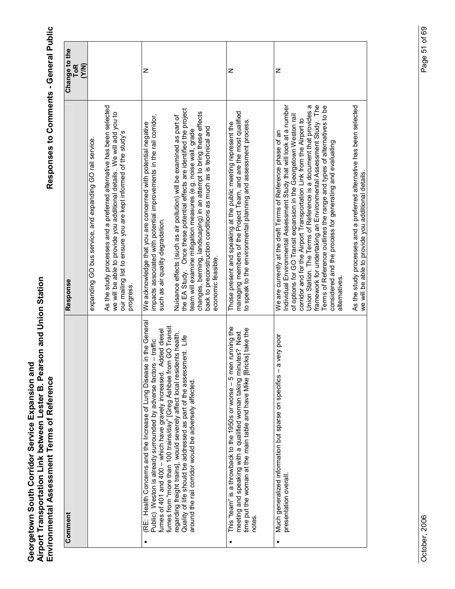Responses to Comments - General Public

|   | Comment                                                                                                                                                                                                                                                                                 | Response                                                                                                                                                                                                                                                                                                                                                                                                                                                                                                                                                                          | Change to the<br><b>ToR</b><br>(Y/N) |
|---|-----------------------------------------------------------------------------------------------------------------------------------------------------------------------------------------------------------------------------------------------------------------------------------------|-----------------------------------------------------------------------------------------------------------------------------------------------------------------------------------------------------------------------------------------------------------------------------------------------------------------------------------------------------------------------------------------------------------------------------------------------------------------------------------------------------------------------------------------------------------------------------------|--------------------------------------|
|   |                                                                                                                                                                                                                                                                                         | expanding GO bus service, and expanding GO rail service.                                                                                                                                                                                                                                                                                                                                                                                                                                                                                                                          |                                      |
|   |                                                                                                                                                                                                                                                                                         | As the study processes and a preferred alternative has been selected<br>we will be able to provide you additional details. We will add you to<br>our mailing list to ensure you are kept informed of the study's<br>progress.                                                                                                                                                                                                                                                                                                                                                     |                                      |
| ٠ | (RE: Health Concerns and the Increase of Lung Disease in the General<br>fumes from "more than 100 trains/day" [Greg Ashbee from GO Transit<br>Added diesel<br>Public) Weston is already surrounded by adverse factors - traffic<br>fumes of 401 and 400 - which have gravely increased. | impacts associated with potential improvements in the rail corridor,<br>We acknowledge that you are concerned with potential negative<br>such as air quality degradation.                                                                                                                                                                                                                                                                                                                                                                                                         | z                                    |
|   | regarding freight trains], would severely affect local residents health.<br>Quality of life should be addressed as part of the assessment. Life<br>around the rail corridor would be adversely affected                                                                                 | the EA Study. Once these potential effects are identified the project<br>changes, berming, landscaping) in an attempt to bring these effects<br>Nuisance effects (such as air pollution) will be examined as part of<br>back to preconstruction conditions as much as is technical and<br>team will examine mitigation measures (e.g. noise wall, grade<br>economic feasible.                                                                                                                                                                                                     |                                      |
|   | This "team" is a throwback to the 1950s or worse - 5 men running the<br>time put the woman at the main table and have Mike [Bricks] take the<br>meeting and speaking with a qualified woman taking minutes? Next<br>notes.                                                              | managing members of the Project Team, and are the most qualified<br>to speak to the environmental planning and assessment process.<br>Those present and speaking at the public meeting represent the                                                                                                                                                                                                                                                                                                                                                                              | z                                    |
|   | a very poor<br>Much generalized information but sparse on specifics -<br>presentation overall.                                                                                                                                                                                          | framework for undertaking an Environmental Assessment Study. The<br>Individual Environmental Assessment Study that will look at a number<br>Union Station. The Terms of Reference is a document that provides a<br>Terms of Reference outlines the range and types of alternatives to be<br>of options for GO Transit expansion in the Georgetown Weston rail<br>corridor and for the Airport Transportation Link from the Airport to<br>We are currently at the draft Terms of Reference phase of an<br>considered and the process for generating and evaluating<br>alternatives | z                                    |
|   |                                                                                                                                                                                                                                                                                         | As the study processes and a preferred alternative has been selected<br>we will be able to provide you additional details.                                                                                                                                                                                                                                                                                                                                                                                                                                                        |                                      |

Page 51 of 69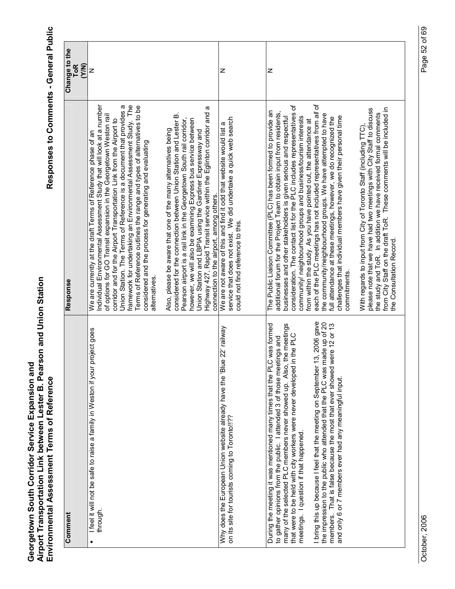| Comment                                                                                                                                                                                                                                                                                                                                                                                                                                                                                                                                                                                                                                                  | Response                                                                                                                                                                                                                                                                                                                                                                                                                                                                                                                                                                                                                                                                                                                                                                                                                                                                                                                                                                                                                                               | Change to the<br><b>ToR</b><br>(Y/N) |
|----------------------------------------------------------------------------------------------------------------------------------------------------------------------------------------------------------------------------------------------------------------------------------------------------------------------------------------------------------------------------------------------------------------------------------------------------------------------------------------------------------------------------------------------------------------------------------------------------------------------------------------------------------|--------------------------------------------------------------------------------------------------------------------------------------------------------------------------------------------------------------------------------------------------------------------------------------------------------------------------------------------------------------------------------------------------------------------------------------------------------------------------------------------------------------------------------------------------------------------------------------------------------------------------------------------------------------------------------------------------------------------------------------------------------------------------------------------------------------------------------------------------------------------------------------------------------------------------------------------------------------------------------------------------------------------------------------------------------|--------------------------------------|
| project goes<br>I feel it will not be safe to raise a family in Weston if your<br>through.                                                                                                                                                                                                                                                                                                                                                                                                                                                                                                                                                               | Individual Environmental Assessment Study that will look at a number<br>framework for undertaking an Environmental Assessment Study. The<br>Union Station. The Terms of Reference is a document that provides a<br>Terms of Reference outlines the range and types of alternatives to be<br>Highway 427, Rapid Transit service within the Eglinton corridor and a<br>considered for the connection between Union Station and Lester B.<br>of options for GO Transit expansion in the Georgetown Weston rail<br>Pearson airport is a rail link in the Georgetown South rail corridor,<br>however, we will also be examining Express bus service between<br>corridor and for the Airport Transportation Link from the Airport to<br>Also, please be aware that one of the many alternatives being<br>Union Station and LBPIA using the Gardiner Expressway and<br>We are currently at the draft Terms of Reference phase of an<br>considered and the process for generating and evaluating<br>connection to the airport, among others.<br>alternatives.  | z                                    |
| ue 22' railway<br>Why does the European Union website already have the 'Bl<br>on its site for tourists coming to Toronto!!??                                                                                                                                                                                                                                                                                                                                                                                                                                                                                                                             | service that does not exist. We did undertake a quick web search<br>We are not aware of this and find it odd that website would list a<br>could not find reference to this                                                                                                                                                                                                                                                                                                                                                                                                                                                                                                                                                                                                                                                                                                                                                                                                                                                                             | z                                    |
| I bring this up because I feel that the meeting on September 13, 2006 gave<br>made up of 20<br>LC was formed<br>were 12 or 13<br>many of the selected PLC members never showed up. Also, the meetings<br>in the PLC<br>to gather opinions from the public. I attended 3 of those meetings and<br>During the meeting it was mentioned many times that the PL<br>that were to be held with city workers were never developed<br>the impression to the public who attended that the PLC was<br>members. That is false because the most that ever showed<br>and only 6 or 7 members ever had any meaningful input.<br>meetings. I question if that happened. | each of the PLC meetings has not included representatives from all of<br>consideration. The contact list for the PLC includes representatives of<br>from City Staff on the draft ToR. These comments will be included in<br>please note that we have had two meetings with City Staff to discuss<br>The Public Liaison Committee (PLC) has been formed to provide an<br>additional forum for the Project Team to obtain input from residents,<br>the study and ToR. In addition we have received formal comments<br>the community/neighbourhood groups. We have attempted to have<br>challenges that individual members have given their personal time<br>businesses and other stakeholders is given serious and respectful<br>community/ neighbourhood groups and business/tourism interests<br>full attendance at these meetings, however, we do recognized the<br>from within the study. As you have pointed out, the attendance at<br>With regards to input from City of Toronto Staff (including TTC)<br>the Consultation Record.<br>commitments. | z                                    |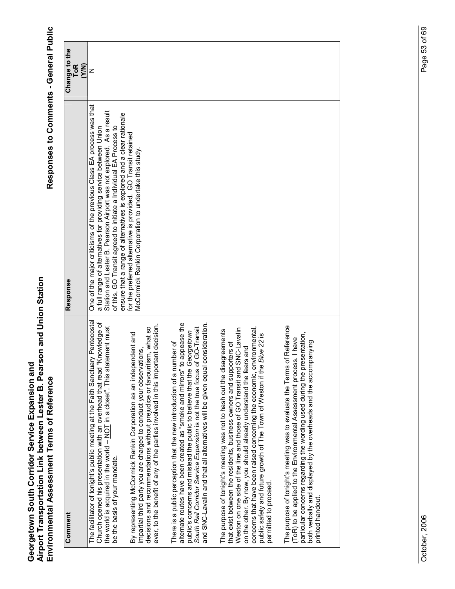| Comment                                                                                                                                                                                                                                                                                                                                                                                                                                                                      | Response                                                                                                                                                                                                                                                                                                                                                                                                                         |                               |
|------------------------------------------------------------------------------------------------------------------------------------------------------------------------------------------------------------------------------------------------------------------------------------------------------------------------------------------------------------------------------------------------------------------------------------------------------------------------------|----------------------------------------------------------------------------------------------------------------------------------------------------------------------------------------------------------------------------------------------------------------------------------------------------------------------------------------------------------------------------------------------------------------------------------|-------------------------------|
|                                                                                                                                                                                                                                                                                                                                                                                                                                                                              |                                                                                                                                                                                                                                                                                                                                                                                                                                  | Change to the<br>ToR<br>(Y/N) |
| The facilitator of tonight's public meeting at the Faith Sanctuary Pentecostal<br>Church opened his presentation with an overhead that read "Knowledge of<br>the world is acquired in the world - NOT in a closet". This statement must<br>be the basis of your mandate.                                                                                                                                                                                                     | One of the major criticisms of the previous Class EA process was that<br>Station and Lester B. Pearson Airport was not explored. As a result<br>ensure that a range of alternatives is explored and a clear rationale<br>for the preferred alternative is provided. GO Transit retained<br>of this, GO Transit agreed to initiate a Individual EA Process to<br>a full range of alternatives for providing service between Union | Z                             |
| ever, to the benefit of any of the parties involved in this important decision.<br>decisions and recommendations without prejudice or favouritism, what so<br>By representing McCormick Rankin Corporation as an independent and<br>impartial third party you are charged to conduct your observations,                                                                                                                                                                      | McCormick Rankin Corporation to undertake this study.                                                                                                                                                                                                                                                                                                                                                                            |                               |
| appease the<br>and SNC-Lavalin and that all alternatives will be given equal consideration.<br>South Rail Corridor Service Expansion is not the true focus of GO-Transit<br>public's concerns and mislead the public to believe that the Georgetown<br>There is a public perception that the new introduction of a number of<br>alternate routes have been created as "smoke and mirrors" to                                                                                 |                                                                                                                                                                                                                                                                                                                                                                                                                                  |                               |
| Weston on one side of the line and those of GO Transit and SNC-Lavalin<br>concerns that have been raised concerning the economic, environmental<br>The purpose of tonight's meeting was not to hash out the disagreements<br>Blue 22 is<br>that exist between the residents, business owners and supporters of<br>on the other. By now, you should already understand the fears and<br>public safety and future growth of The Town of Weston if the<br>permitted to proceed. |                                                                                                                                                                                                                                                                                                                                                                                                                                  |                               |
| The purpose of tonight's meeting was to evaluate the Terms of Reference<br>particular concerns regarding the wording used during the presentation,<br>(ToR) to be applied to the Environmental Assessment process. I have<br>both verbally and displayed by the overheads and the accompanying<br>printed handout.                                                                                                                                                           |                                                                                                                                                                                                                                                                                                                                                                                                                                  |                               |
|                                                                                                                                                                                                                                                                                                                                                                                                                                                                              |                                                                                                                                                                                                                                                                                                                                                                                                                                  |                               |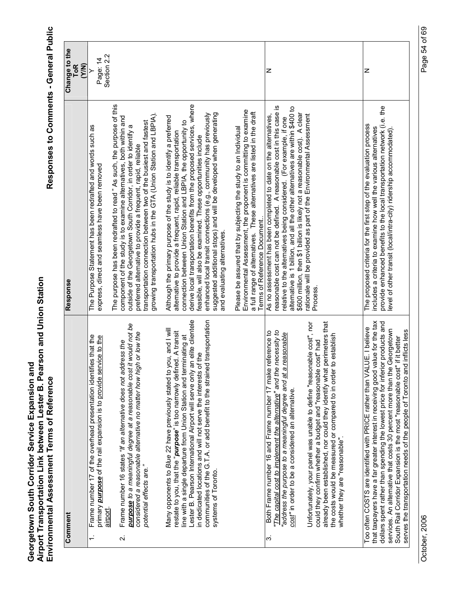Responses to Comments - General Public

|                         | Comment                                                                                                                                                                                                                                                                                                                                                                                                                                                                           | Response                                                                                                                                                                                                                                                                                                                                                                                                                                                                                                                         | Change to the          |
|-------------------------|-----------------------------------------------------------------------------------------------------------------------------------------------------------------------------------------------------------------------------------------------------------------------------------------------------------------------------------------------------------------------------------------------------------------------------------------------------------------------------------|----------------------------------------------------------------------------------------------------------------------------------------------------------------------------------------------------------------------------------------------------------------------------------------------------------------------------------------------------------------------------------------------------------------------------------------------------------------------------------------------------------------------------------|------------------------|
|                         |                                                                                                                                                                                                                                                                                                                                                                                                                                                                                   |                                                                                                                                                                                                                                                                                                                                                                                                                                                                                                                                  | ToR<br>$\widetilde{Y}$ |
| $\div$                  | Frame number 17 of the overhead presentation identifies that the<br>primary <b>purpose</b> of the rail expansion is to provide service to the                                                                                                                                                                                                                                                                                                                                     | The Purpose Statement has been redrafted and words such as<br>express, direct and seamless have been removed                                                                                                                                                                                                                                                                                                                                                                                                                     | Page: 14               |
| $\overline{\mathbf{v}}$ | purpose to a meaningful degree at a reasonable cost it would not be<br>or low the<br>Frame number 16 states "If an alternative does not address the<br>considered a reasonable alternative no matter how high<br>potential effects are."<br>airport                                                                                                                                                                                                                               | The purpose has been redrafted to read " As such, the purpose of this<br>growing transportation hubs in the GTA (Union Station and LBPIA).<br>component of the study is to examine alternatives, both within and<br>transportation connection between two of the busiest and fastest<br>outside of the Georgetown South Corridor, in order to identify a<br>preferred alternative to provide a frequent, rapid, reliable                                                                                                         | Section 2.2            |
|                         | Lester B. Pearson International Airport will serve only an elite clientele<br>communities of the G.T.A. or add benefit to the strained transportation<br>Many opponents to Blue 22 have previously stated to you, and I will<br>restate to you, that the "purpose" is too narrowly defined. A transit<br>line with a single departure from Union Station and terminating at<br>in dedicated locations and will not serve the interests of the<br>systems of Toronto.              | derive local transportation benefits from the proposed services, where<br>suggested additional stops) and will be developed when generating<br>enhanced local transit connections (e.g., community has previously<br>Although the primary purpose of the study is to identify a preferred<br>connection between Union Station and LBPIA, the opportunity to<br>alternative to provide a frequent, rapid, reliable transportation<br>feasible, will also be examined. These opportunities include<br>and evaluating alternatives. |                        |
|                         |                                                                                                                                                                                                                                                                                                                                                                                                                                                                                   | Environmental Assessment, the proponent is committing to examine<br>a full range of alternatives. These alternatives are listed in the draft<br>Please be assured that by subjecting the study to an Individual<br>Terms of Reference Document                                                                                                                                                                                                                                                                                   |                        |
| က                       | "The capital cost to implement the alternative" and the necessity to<br>Both Frame number 16 and Frame number 17 make reference to<br>address the purpose to a meaningful degree and at a reasonable<br>cost" in order to be a considered an alternative.                                                                                                                                                                                                                         | reasonable cost can not be defined. A reasonable cost in this case is<br>alternative is 1 billion, and all the other alternatives are within \$400 to<br>\$600 million, then \$1 billion is likely not a reasonable cost). A clear<br>As no assessment has been completed to date on the alternatives,<br>relative to the alternatives being considered. (For example, if one                                                                                                                                                    | z                      |
|                         | already been established, nor could they identify what perimeters that<br>Unfortunately, your panel was unable to define "reasonable cost", nor<br>establish<br>could they confirm whether a budget and "reasonable cost" had<br>the costs would be measured or compared to in order to<br>whether they are "reasonable".                                                                                                                                                         | ationale will be provided as part of the Environmental Assessment<br>Process.                                                                                                                                                                                                                                                                                                                                                                                                                                                    |                        |
|                         | that taxpayers have a far greater interest in receiving good value for the tax<br>dollars spent rather than spending the lowest price for inferior products and<br>Too often COSTS are identified with PRICE rather than VALUE. I believe<br>services. An alternative that costs 30 percent more than the Georgetown<br>serves the transportation needs of the people of Toronto and inflicts less<br>it better<br>South Rail Corridor Expansion is the most "reasonable cost" if | provide enhanced benefits to the local transportation network (i.e. the<br>The proposed criteria for the first step of the evaluation process<br>includes a criteria to examine how well the various alternatives<br>evel of other transit (local/intra-city) ridership accommodated)                                                                                                                                                                                                                                            | z                      |

October, 2006

Page 54 of 69 October, 2006 Page 54 of 69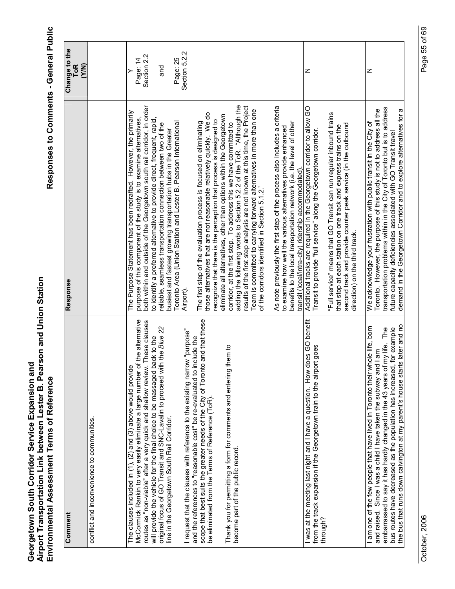| Comment                                                                                                                                                                                                                                                                                                                                                                                                                                                                                                                                                                                                                                                                                                                                                                                                                                      | Response                                                                                                                                                                                                                                                                                                                                                                                                                                                                                                                                                                                                                                                                                                                                                                                                                                                                                                                                                                                                                                                                                                                                                          | Change to the<br>(N/N)<br><b>ToR</b>                             |
|----------------------------------------------------------------------------------------------------------------------------------------------------------------------------------------------------------------------------------------------------------------------------------------------------------------------------------------------------------------------------------------------------------------------------------------------------------------------------------------------------------------------------------------------------------------------------------------------------------------------------------------------------------------------------------------------------------------------------------------------------------------------------------------------------------------------------------------------|-------------------------------------------------------------------------------------------------------------------------------------------------------------------------------------------------------------------------------------------------------------------------------------------------------------------------------------------------------------------------------------------------------------------------------------------------------------------------------------------------------------------------------------------------------------------------------------------------------------------------------------------------------------------------------------------------------------------------------------------------------------------------------------------------------------------------------------------------------------------------------------------------------------------------------------------------------------------------------------------------------------------------------------------------------------------------------------------------------------------------------------------------------------------|------------------------------------------------------------------|
| conflict and inconvenience to communities.                                                                                                                                                                                                                                                                                                                                                                                                                                                                                                                                                                                                                                                                                                                                                                                                   |                                                                                                                                                                                                                                                                                                                                                                                                                                                                                                                                                                                                                                                                                                                                                                                                                                                                                                                                                                                                                                                                                                                                                                   |                                                                  |
| and that these<br>McCormick Rankin to very easily eliminate a large number of the alternative<br>These clauses<br>original focus of GO Transit and SNC-Lavalin to proceed with the Blue 22<br>request that the clauses with reference to the existing narrow "purpose"<br>will provide the vehicle for the final choice to be massaged back to the<br>and the references to "reasonable cost" be re-evaluated to include the<br>Thank you for permitting a form for comments and entering them to<br>The clauses included in (1), (2) and (3) above would provide<br>routes as "non-viable" after a very quick and shallow review.<br>scope that best suits the greater needs of the City of Toronto<br>be eliminated from the Terms of Reference (ToR).<br>line in the Georgetown South Rail Corridor.<br>become part of the public record. | corridor, at the first step. To address this we have committed to<br>adding the following words to Section 5.2.2 of the ToR. "Although the<br>results of the first step analysis are not known at this time, the Project<br>both within and outside of the Georgetown south rail corridor, in order<br>Team is committed to carrying forward alternatives in more than one<br>The Purpose Statement has been redrafted. However, the primarily<br>those alternatives that are not reasonable relatively quickly. We do<br>eliminate all alternatives, other than options within the Georgetown<br>purpose of this component of the study is to examine alternatives,<br>to identify a preferred alternative to provide direct, frequent, rapid,<br>recognize that there is the perception that process is designed to<br>The first step of the evaluation process is focused on eliminating<br>Toronto Area (Union Station and Lester B. Pearson International<br>reliable, seamless transportation connection between two of the<br>busiest and fastest growing transportation hubs in the Greater<br>of the corridors identified in Section 5.1.2."<br>Airport) | Section 5.2.2<br>Section 2.2<br>Page: 25<br>Page: 14<br>and<br>≻ |
|                                                                                                                                                                                                                                                                                                                                                                                                                                                                                                                                                                                                                                                                                                                                                                                                                                              | As note previously the first step of the process also includes a criteria<br>benefits to the local transportation network (i.e. the level of other<br>to examine how well the various alternatives provide enhanced<br>transit (local/intra-city) ridership accommodated).                                                                                                                                                                                                                                                                                                                                                                                                                                                                                                                                                                                                                                                                                                                                                                                                                                                                                        |                                                                  |
| was at the meeting last night and I have a question. How does GO benefit<br>from the track expansion if the Georgetown train to the airport goes<br>through?                                                                                                                                                                                                                                                                                                                                                                                                                                                                                                                                                                                                                                                                                 | Additional tracks are required in the Georgetown corridor to allow GO<br>"Full service" means that GO Transit can run regular inbound trains<br>second track and provide counter peak service (in the outbound<br>that stop at each station on one track and express trains on the<br>Transit to provide "full service" along the Georgetown corridor.<br>direction) on the third track.                                                                                                                                                                                                                                                                                                                                                                                                                                                                                                                                                                                                                                                                                                                                                                          | z                                                                |
| the bus that runs down calvington at my parent's house starts later and no<br>am one of the few people that have lived in Toronto their whole life, born<br>bus routes have decreased as the population has increased, for example<br>embarrassed to say it has hardly changed in the 43 years of my life. The<br>Since I was a child I have taken the subway and I am<br>and raised.                                                                                                                                                                                                                                                                                                                                                                                                                                                        | transportation problems within in the City of Toronto but is to address<br>However, the purpose of this study is not to address all the<br>demand in the Georgetown Corridor and to explore alternatives for a<br>We acknowledge your frustration with public transit in the City of<br>future capacity deficiencies associated with GO Transit travel<br>Toronto.                                                                                                                                                                                                                                                                                                                                                                                                                                                                                                                                                                                                                                                                                                                                                                                                | z                                                                |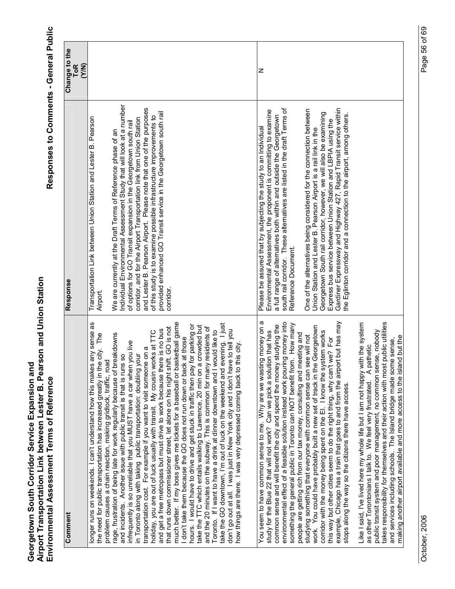| Comment                                                                                                                                                                                                                                                                                                                                                                                                                                                                                                                                                                                                     | Response                                                                                                                                                                                                                                                                                                                                                                                                                                                                                                        | Change to the<br>ToR<br>(Y/N) |
|-------------------------------------------------------------------------------------------------------------------------------------------------------------------------------------------------------------------------------------------------------------------------------------------------------------------------------------------------------------------------------------------------------------------------------------------------------------------------------------------------------------------------------------------------------------------------------------------------------------|-----------------------------------------------------------------------------------------------------------------------------------------------------------------------------------------------------------------------------------------------------------------------------------------------------------------------------------------------------------------------------------------------------------------------------------------------------------------------------------------------------------------|-------------------------------|
| any sense as<br>the need for public transportation has increased greatly in the city. The<br>problem causes a chain reaction, making gridlock, traffic, road<br>longer runs on weekends. I can't understand how this makes                                                                                                                                                                                                                                                                                                                                                                                  | Transportation Link between Union Station and Lester B. Pearson<br>Airport.                                                                                                                                                                                                                                                                                                                                                                                                                                     |                               |
| that runs down commissioner street, let alone on his night shift. GO is not<br>and get a free metropass but must drive to work because there is no bus<br>holiday, you are out of luck usually with transit. My cousin works at TTC<br>rage, frustration of being late for work regularly because of breakdowns<br>infrequently is so unreliable that you MUST have a car when you live<br>transportation cost. For example if you want to visit someone on a<br>in Toronto along with taking public transportation: doubling your<br>S<br>and incidents. Another issue with public transit is that is runs | ndividual Environmental Assessment Study that will look at a number<br>and Lester B. Pearson Airport. Please note that one of the purposes<br>provided enhanced GO Transit service in the Georgetown south rail<br>of this study is to examine possible infrastructure improvements to<br>corridor, and for the Airport Transportation link from Union Station<br>of options for GO Transit expansion in the Georgetown south rail<br>We are currently at the Draft Terms of Reference phase of an<br>corridor. |                               |
| much better. If my boss gives me tickets for a baseball or basketball game<br>hours. I would have to drive and get stuck in traffic then pay for parking or<br>crowded but<br>residents of<br>Toronto. If I want to have a drink at dinner downtown and I would like to<br>I don't take them because the GO does not run down or back at those<br>take the TTC which entails walking to Lawrence, 20 min on a<br>and the 20 minutes on the subway. This is common for many                                                                                                                                  |                                                                                                                                                                                                                                                                                                                                                                                                                                                                                                                 |                               |
| take the GO downtown, I'm out of luck on the weekend and evening. I just<br>don't go out at all. I was just in New York city and I don't have to tell you<br>this city<br>how things are there. I was very depressed coming back to t                                                                                                                                                                                                                                                                                                                                                                       |                                                                                                                                                                                                                                                                                                                                                                                                                                                                                                                 |                               |
| σ<br>environmental effect of a feasible solution instead work pouring money into<br>something the general public in Toronto can NOT benefit from. How many<br>common sense and will benefit the city and spend the money studying the<br>You seem to have common sense to me. Why are we wasting money on<br>study for the Blue 22 that will not work? Can we pick a solution that has                                                                                                                                                                                                                      | south rail corridor. These alternatives are listed in the draft Terms of<br>Environmental Assessment, the proponent is committing to examine<br>a full range of alternatives both within and outside the Georgetown<br>Please be assured that by subjecting the study to an Individual<br>Reference Document.                                                                                                                                                                                                   | z                             |
| example, Chicago has a train that goes to and from the airport but has may<br>work. You could have probably built a new set of track in the Georgetown<br>corridor with the money being spent on the El. I know the system works<br>people are getting rich from our tax money, consulting and meeting and<br>studying something that everyone with common sense can see will not<br>this way but other cities seem to do the right thing, why can't we? For<br>stops along the way so the citizens there have access.                                                                                      | Gardiner Expressway and Highway 427, Rapid Transit service within<br>One of the alternatives being considered for the connection between<br>Georgetown South rail corridor, however, we will also be examining<br>the Eglinton corridor and a connection to the airport, among others.<br>Express bus service between Union Station and LBPIA using the<br>Union Station and Lester B. Pearson Airport is a rail link in the                                                                                    |                               |
| takes responsibility for themselves and their action with most public utilities<br>Like I said, I've lived here my whole life but I am not happy with the system<br>public transit system and poor management, no common sense, nobody<br>making another airport available and more access to the island but the<br>le sense,<br>A pathetic<br>and services including schools. The Island bridge made som<br>as other Torontonians I talk to. We feel very frustrated.                                                                                                                                      |                                                                                                                                                                                                                                                                                                                                                                                                                                                                                                                 |                               |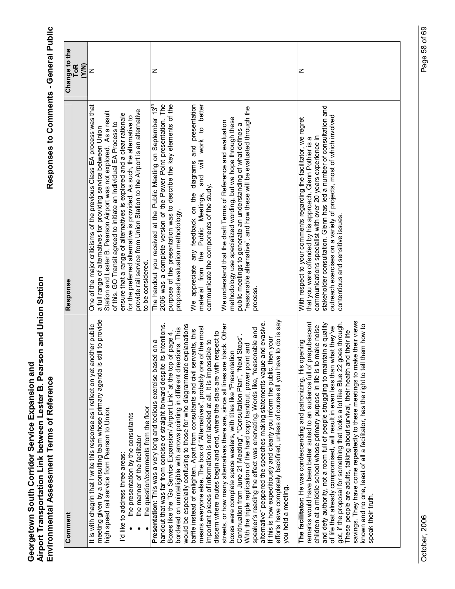| Comment                                                                                                                                                                                                                                                                                                                                                                                                                                                                                                                                                                                                                                                                                                                                                   | Response                                                                                                                                                                                                                                                                                                                                                                           | Change to the       |
|-----------------------------------------------------------------------------------------------------------------------------------------------------------------------------------------------------------------------------------------------------------------------------------------------------------------------------------------------------------------------------------------------------------------------------------------------------------------------------------------------------------------------------------------------------------------------------------------------------------------------------------------------------------------------------------------------------------------------------------------------------------|------------------------------------------------------------------------------------------------------------------------------------------------------------------------------------------------------------------------------------------------------------------------------------------------------------------------------------------------------------------------------------|---------------------|
|                                                                                                                                                                                                                                                                                                                                                                                                                                                                                                                                                                                                                                                                                                                                                           |                                                                                                                                                                                                                                                                                                                                                                                    | (Y/N)<br><b>ToR</b> |
| s still to provide<br>another public<br>meeting given by a consulting team whose primary agenda<br>It is with chagrin that I write this response as I reflect on yet<br>high speed rail service from Pearson to Union.                                                                                                                                                                                                                                                                                                                                                                                                                                                                                                                                    | One of the major criticisms of the previous Class EA process was that<br>Station and Lester B. Pearson Airport was not explored. As a result<br>of this, GO Transit agreed to initiate an Individual EA Process to<br>a full range of alternatives for providing service between Union                                                                                             | z                   |
| the presentation by the consultants<br>"d like to address three areas:                                                                                                                                                                                                                                                                                                                                                                                                                                                                                                                                                                                                                                                                                    | ensure that a range of alternatives is explored and a clear rationale<br>for the preferred alternative is provided. As such, the alternative to                                                                                                                                                                                                                                    |                     |
| the question/comments from the floor<br>the manner of the facilitator                                                                                                                                                                                                                                                                                                                                                                                                                                                                                                                                                                                                                                                                                     | provide rail service from Union Station to the Airport is an alternative<br>to be considered.                                                                                                                                                                                                                                                                                      |                     |
| handout that was far from concise or straight forward despite its intentions.<br>would be especially confusing to those for who diagrammatic explanations<br>bordered on unintelligible with arrows pointing in different directions. This<br>Boxes like the "Go Service Expansion/ Airport Link" at the top of page 4,<br>Presentation: This was a very long and tedious exercise based on a                                                                                                                                                                                                                                                                                                                                                             | 2006 was a complete version of the Power Point presentation. The<br>purpose of the presentation was to describe the key elements of the<br>The handout you received at the Public Meeting on September 13 <sup>th</sup><br>proposed evaluation methodology.                                                                                                                        | z                   |
| means everyone else. The box of "Alternatives", probably one of the most<br>baffle instead of enlighten. Apart from consultants and civil servants, this<br>discern where routes begin and end, where the stars are with respect to<br>important pieces of information is not labeled at all. It is impossible to                                                                                                                                                                                                                                                                                                                                                                                                                                         | and will work to better<br>and presentation<br>We appreciate any feedback on the diagrams<br>communicate the components of the study.<br>Public Meetings,<br>material from the                                                                                                                                                                                                     |                     |
| efforts have completely backfired, unless of course all you have to do is say<br>alternative" peppered the speeches making statements vague and evasive<br>streets, or how many alternatives there are, since all lines are black. Other<br>speaker's reading the effect was enervating. Words like, "reasonable and<br>If this is how expeditiously and clearly you inform the public, then your<br>Continuation from June 21 Meeting", "Consultation Plan", "Next Steps"<br>With the triple replication of the hard copy handout, power point and<br>boxes were complete space wasters, with titles like "Presentation<br>you held a meeting.                                                                                                           | "reasonable alternative", and how these will be evaluated through the<br>methodology use specialized wording, but we hope through these<br>We understand that the draft Terms of Reference and evaluation<br>public meetings to generate an understanding of what defines a<br>process.                                                                                            |                     |
| savings. They have come repeatedly to these meetings to make their views<br>remarks would have been better suited to an audience full of prepubescent<br>got, if the proposal for something that looks a lot like Blue 22 goes through.<br>and defy authority, not a room full of people struggling to maintain a quality<br>known and no one, least of all a facilitator, has the right to tell them how to<br>children at a middle school whose primary purpose in life is to make noise<br>of life that already compromised, will result in even less than what they've<br>These people are adults, talking about survival, their health and their life<br>opening<br>The facilitator: He was condescending and patronizing. His<br>speak their truth. | stakeholder consultation. Glenn has led a number of consultation and<br>outreach exercises on a variety of projects, most of which involved<br>With respect to your comments regarding the facilitator, we regret<br>communications specialist with over 20 years experience in<br>that you were offended by his approach. Glenn Pothier is a<br>contentious and sensitive issues. | z                   |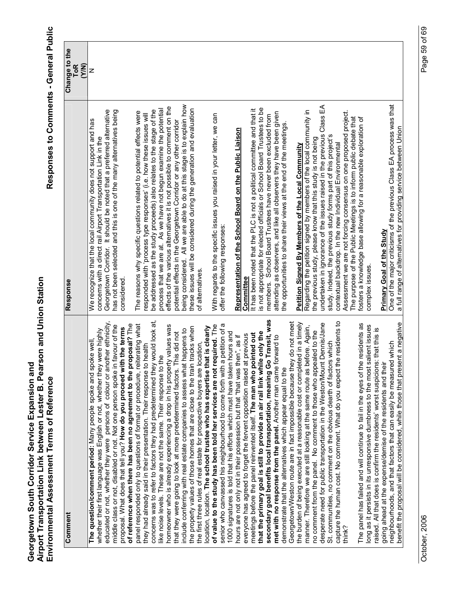| Comment                                                                                                                                               | Response                                                                                                                               | Change to the<br><b>ToR</b> |
|-------------------------------------------------------------------------------------------------------------------------------------------------------|----------------------------------------------------------------------------------------------------------------------------------------|-----------------------------|
|                                                                                                                                                       |                                                                                                                                        | (Y/N)                       |
| The question/comment period: Many people spoke and spoke well,                                                                                        | We recognize that the local community does not support and has                                                                         | z                           |
| whether their first language was English or not, whether they were highly                                                                             | concerns with a direct rail Airport Transportation Link in the                                                                         |                             |
| educated or not, whether they were persons of colour or another ethnicity,                                                                            | Georgetown Corridor. It should be noted that a preferred alternative                                                                   |                             |
| middle class or not, disabled or not. Not one person spoke in favour of the                                                                           | has not been selected and this is one of the many alternatives being                                                                   |                             |
| of reference when there has been no agreement to the proposal? The<br>proposal. What does that tell you? How do you proceed with the terms            | considered.                                                                                                                            |                             |
| panel responded only to questions of format or procedure, reiterating what                                                                            | The reasons why specific questions related to potential effects were                                                                   |                             |
| they had already said in their presentation. Their response to health                                                                                 | responded with 'process type responses' (i.e. how these issues will                                                                    |                             |
| concerns was to refer to factors they had predetermined they would look at,                                                                           | be addressed as the study proceeds) also relates to the stage of the                                                                   |                             |
| like noise levels. These are not the same. Their response to the                                                                                      | process that we are at. As we have not begun examine the potential                                                                     |                             |
| homeowner who is already experiencing a drop in his property values was                                                                               | effects of the various alternatives it is not possible to comment on the                                                               |                             |
| that they were going to look at more predetermined factors. This did not                                                                              | potential effects in the Georgetown Corridor or any other corridor                                                                     |                             |
| include conferring with real estate companies to assess what happens to                                                                               | being considered. All we are able to do at this stage is to explain how                                                                |                             |
| the property values of those homes that are close to the train tracks when                                                                            | these issues will be considered during the generation and evaluation                                                                   |                             |
| location, location. The school trustee who has expertise that is clearly<br>the first three rules of real estate for prospective buyers are location, | of alternatives.                                                                                                                       |                             |
| of value to the study has been told her services are not required. The                                                                                | With regards to the specific issues you raised in your letter, we can                                                                  |                             |
| senior who canvassed his neighbourhood to come forth with a petition of a                                                                             | offer the following responses:                                                                                                         |                             |
| 1000 signatures is told that his efforts which must have taken hours and                                                                              |                                                                                                                                        |                             |
| hours are not only not in their possession but that "that was then", as if                                                                            | Representation of the School Board on the Public Liaison                                                                               |                             |
| everyone has agreed to forget the fervent opposition raised at previous                                                                               | Committee                                                                                                                              |                             |
| meetings before the panel reinvented itself. The man who pointed out                                                                                  | It has been noted that the PLC is not a political committee and that it                                                                |                             |
| that the primary goal is still to provide an air rail link while only the                                                                             | is not appropriate for elected officials or School Board Trustees to be                                                                |                             |
| secondary goal benefits local transportation, meaning Go Transit, was                                                                                 | members. School Board Trustees have never been excluded from                                                                           |                             |
| met with no response from the panel. Another man came forward to                                                                                      | attending as observers, and like all observers they have been given                                                                    |                             |
| demonstrate that the alternatives which appear equal to the                                                                                           | the opportunities to share their views at the end of the meetings                                                                      |                             |
| do not meet<br>Georgetown/Weston route are in fact impossible because they                                                                            |                                                                                                                                        |                             |
| the burden of being executed at a reasonable cost or completed in a timely                                                                            | Petition Signed By Members of the Local Community                                                                                      |                             |
| manner. Therefore we are still looking at the same route as before. Again,                                                                            | Regarding the petition signed by members of the local community in                                                                     |                             |
| no comment from the panel. No comment to those who appealed to the                                                                                    | the previous study, please know that this study is not being                                                                           |                             |
| desperate need for public transportation in the Weston/Mount Dennis/Jane                                                                              | Class EA<br>undertaken in ignorance of the issues raised in the previous                                                               |                             |
| St. communities, no comment on the obvious dearth of factors which                                                                                    | study. Indeed, the previous study forms part of this project's                                                                         |                             |
| capture the human cost. No comment. What do you expect the residents to                                                                               | contextual backdrop. In the new Individual Environmental                                                                               |                             |
| think?                                                                                                                                                | Assessment we are not forcing consensus on one proposed project.<br>The purpose of the Public Meetings is to inform public debate that |                             |
| residents as<br>The panel has failed and will continue to fail in the eyes of the                                                                     | fosters a knowledge base allowing for a reasonable exploration of                                                                      |                             |
| long as it persists in its unresponsive dumbness to the most salient issues                                                                           | complex issues.                                                                                                                        |                             |
| that this is<br>raised. All that does is confirm the residents' worst suspicions:                                                                     |                                                                                                                                        |                             |
| going ahead at the expense/demise of the residents and their                                                                                          | Primary Goal of the Study                                                                                                              |                             |
| which<br>neighbourhoods, and that factors that can easily be measured                                                                                 | One of the major criticisms of the previous Class EA process was that                                                                  |                             |
| benefit the proposal will be considered, while those that present a negative                                                                          | a full range of alternatives for providing service between Union                                                                       |                             |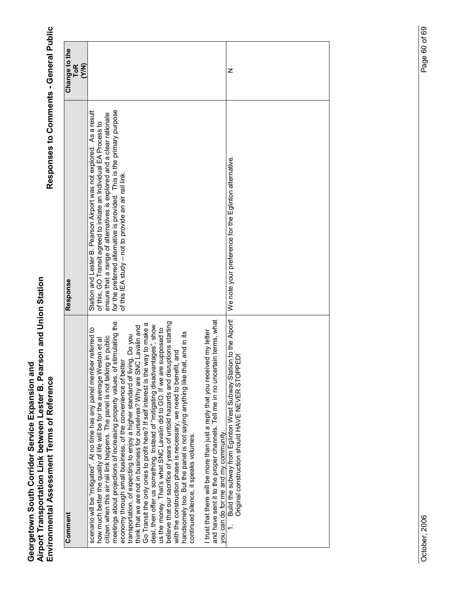| Comment                                                                                                                                                                                                                                                                                                                                                                                                                                                                                                                                                                                                                                                                                                                                                                                                                                                                                                                                                                                                                                                                  | Response                                                                                                                                                                                                                                                                                                                                             | Change to the<br>ToR<br>(Y/N) |
|--------------------------------------------------------------------------------------------------------------------------------------------------------------------------------------------------------------------------------------------------------------------------------------------------------------------------------------------------------------------------------------------------------------------------------------------------------------------------------------------------------------------------------------------------------------------------------------------------------------------------------------------------------------------------------------------------------------------------------------------------------------------------------------------------------------------------------------------------------------------------------------------------------------------------------------------------------------------------------------------------------------------------------------------------------------------------|------------------------------------------------------------------------------------------------------------------------------------------------------------------------------------------------------------------------------------------------------------------------------------------------------------------------------------------------------|-------------------------------|
| stimulating the<br>believe that our sacrifice of years of untold hazards and disruptions starting<br>Go Transit the only ones to profit here? If self interest is the way to make a<br>deal, then offer us something. Instead of "mitigating disadvantages", show<br>think that we are not in business for ourselves? Why are SNC Lavalin and<br>us the money. That's what SNC Lavalin did to GO. If we are supposed to<br>scenario will be "mitigated". At no time has any panel member referred to<br>handsomely too. But the panel is not saying anything like that, and in its<br>transportation, of expecting to enjoy a higher standard of living. Do you<br>citizen when this air rail link happens. The panel is not talking in public<br>how much better the quality of life will be for the average Weston et al<br>with the construction phase is necessary, we need to benefit, and<br>economy through small business, of the convenience of better<br>meetings about projections of increasing property values, of<br>continued silence, it speaks volumes. | for the preferred alternative is provided. This is the primary purpose<br>Station and Lester B. Pearson Airport was not explored. As a result<br>ensure that a range of alternatives is explored and a clear rationale<br>of this, GO Transit agreed to initiate an Individual EA Process to<br>of this IEA study - not to provide an air rail link. |                               |
| and have sent it to the proper channels. Tell me in no uncertain terms, what<br>I trust that there will be more than just a reply that you received my letter<br>you can do for me and my community.                                                                                                                                                                                                                                                                                                                                                                                                                                                                                                                                                                                                                                                                                                                                                                                                                                                                     |                                                                                                                                                                                                                                                                                                                                                      |                               |
| Build the subway from Eglinton West Subway Station to the Alport!<br>Original construction should HAVE NEVER STOPPED!                                                                                                                                                                                                                                                                                                                                                                                                                                                                                                                                                                                                                                                                                                                                                                                                                                                                                                                                                    | We note your preference for the Eglinton alternative                                                                                                                                                                                                                                                                                                 | z                             |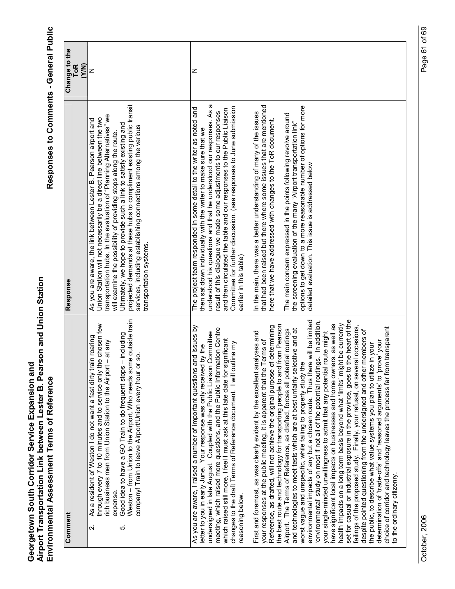| Comment                                                                                                                                                                                                                                                                                                                                                                                                                                                                                                                                                                                                                                                                                                                                                                                                                                                                                                                                                                                                                                                                                                                                                                                                                                                                                                                                                                                                                                                                                                                                                                                                                                                                                                                                                                                                                                                                                                                                                    | Response                                                                                                                                                                                                                                                                                                                                                                                                                                                                                                                                                                                                                                                                                                                                                                                                                                                                                                                                             | Change to the<br><b>ToR</b><br>(Y/N) |
|------------------------------------------------------------------------------------------------------------------------------------------------------------------------------------------------------------------------------------------------------------------------------------------------------------------------------------------------------------------------------------------------------------------------------------------------------------------------------------------------------------------------------------------------------------------------------------------------------------------------------------------------------------------------------------------------------------------------------------------------------------------------------------------------------------------------------------------------------------------------------------------------------------------------------------------------------------------------------------------------------------------------------------------------------------------------------------------------------------------------------------------------------------------------------------------------------------------------------------------------------------------------------------------------------------------------------------------------------------------------------------------------------------------------------------------------------------------------------------------------------------------------------------------------------------------------------------------------------------------------------------------------------------------------------------------------------------------------------------------------------------------------------------------------------------------------------------------------------------------------------------------------------------------------------------------------------------|------------------------------------------------------------------------------------------------------------------------------------------------------------------------------------------------------------------------------------------------------------------------------------------------------------------------------------------------------------------------------------------------------------------------------------------------------------------------------------------------------------------------------------------------------------------------------------------------------------------------------------------------------------------------------------------------------------------------------------------------------------------------------------------------------------------------------------------------------------------------------------------------------------------------------------------------------|--------------------------------------|
| Weston - from Union to the Airport. Who needs some outside train<br>through every 7 to 10 minutes and to service only the chosen few<br>Good idea to have a GO Train to do frequent stops - including<br>As a resident of Weston I do not want a fast dirty train roaning<br>rich business men from Union Station to the Airport - at any<br>င္တ<br>company! Train to leave Airport/Union every hour or<br>expense.<br>Νi<br>ທ່                                                                                                                                                                                                                                                                                                                                                                                                                                                                                                                                                                                                                                                                                                                                                                                                                                                                                                                                                                                                                                                                                                                                                                                                                                                                                                                                                                                                                                                                                                                            | projected demands at these hubs to compliment existing public transit<br>transportation hubs. In the evaluation of "Planning Alternatives" we<br>Union Station will not necessarily be a direct line between the two<br>As you are aware, the link between Lester B. Pearson airport and<br>Ultimately, we hope to provide such a link to satisfy existing and<br>services, including establishing connections among the various<br>will examine the possibility of providing stops along the route<br>transportation systems                                                                                                                                                                                                                                                                                                                                                                                                                        | z                                    |
| set for casual or industrial exposure in the province, goes to the heart of the<br>environmental impacts of any but a chosen route. Thus there will be limited<br>environmental' study on most if not all of the potential routings. In addition,<br>health impacts on a long term basis beyond what 'limits' might be currently<br>have significant local impacts on businesses and home owners, as well as<br>the best route and technology for transporting people to and from Pearson<br>determining<br>As you are aware, I raised a number of important questions and issues by<br>failings of the proposed study. Finally, your refusal, on several occasions,<br>choice of corridor and technology leaves the process far from transparent<br>meeting, which raised more questions, and the Public Information Centre<br>and technologies to meet tests which are at best unfairly selective and at<br>Airport. The Terms of Reference, as drafted, forces all potential routings<br>despite pointed questioning from the undersigned and other members of<br>undersigned in late August. Coupled with the Public Liaison Committee<br>your single-minded unwillingness to admit that any potential route might<br>First and foremost, as was clearly evident by the excellent analyses and<br>which raised still more, I feel I must ask at this late date for significant<br>erms of<br>determination of 'trade-offs' and 'reasoned arguments' to 'prove' your<br>changes to the draft Terms of Reference document. I will outline my<br>the public, to describe what value systems you plan to utilize in your<br>letter to you in early June. Your response was only received by the<br>your responses at the public meeting, it is apparent that the T<br>Reference, as drafted, will not achieve the original purpose of<br>worst vague and unspecific, while failing to properly study the<br>to the ordinary citizenry.<br>reasoning below. | understood his questions and that he understood our responses. As a<br>that had been raised but there where some issues that are mentioned<br>options to get down to a more reasonable number of options for more<br>Committee for further discussion. (see responses to June submission<br>The project team responded in some detail to the writer as noted and<br>and then circulated the table and our responses to the Public Liaison<br>result of this dialogue we made some adjustments to our responses<br>In the main, there was a better understanding of many of the issues<br>The main concern expressed in the points following revolve around<br>here that we have addressed with changes to the ToR document.<br>the screening evaluation of the many "Airport transportation link"<br>then sat down individually with the writer to make sure that we<br>detailed evaluation. This issue is addressed below<br>earlier in this table) | z                                    |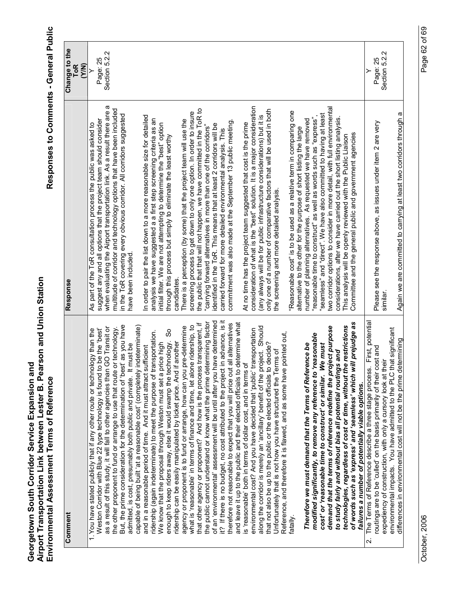Responses to Comments - General Public

| Comment                                                                                                                                                 | <b>Response</b>                                                                                                                                  | Change to the<br>ToR<br>(Y/N) |
|---------------------------------------------------------------------------------------------------------------------------------------------------------|--------------------------------------------------------------------------------------------------------------------------------------------------|-------------------------------|
| 1. You have stated publicly that if any other route or technology than the                                                                              | As part of the ToR consultation process the public was asked to                                                                                  |                               |
| Weston Corridor with Blue 22 type technology is found to be the 'best'                                                                                  | suggest any and all options that the project team should consider                                                                                | Page: 25                      |
| the other proponent to fund or arrange to use that route or technology.<br>as a result of this study, it will fall to other agencies than GO Transit or | when evaluating the Airport transportation link. As a result there are a<br>multitude of corridor and technology options that have been included | Section 5.2.2                 |
| as you have<br>But, the prime consideration for the determination of 'best'                                                                             | in the ToR covering every obvious corridor. All corridors suggested                                                                              |                               |
| admitted, is cost, presumably both public and private. It must be                                                                                       | have been included                                                                                                                               |                               |
| capable of being built 'at a reasonable cost' (completely indeterminate)                                                                                |                                                                                                                                                  |                               |
| ridership (again indeterminate) to meet the purpose of transportation.<br>and in a reasonable period of time. And it must attract sufficient            | In order to pair the list down to a more reasonable size for detailed<br>analysis we have suggested a a first step screening criteria as an      |                               |
| We know that the proposal through Weston must set a price high                                                                                          | initial filter. We are not attempting to determine the "best" option                                                                             |                               |
| တိ<br>enough to keep riders away, else it would swamp the technology.<br>ridership can be easily manipulated by ticket price. And if another            | through this process but simply to eliminate the least worthy<br>candidates.                                                                     |                               |
| agency or proponent is to fund or arrange, how can you pre-determine                                                                                    | There is a perception (by some) that the project team will use the                                                                               |                               |
| what is 'reasonable' in terms of finance and time, let alone ridership, to                                                                              | screening process to get down to only one option. In order to insure                                                                             |                               |
| that other agency or proponent? And how is the process transparent, if                                                                                  | the public that that will not happen, we have committed in the ToR to                                                                            |                               |
| of an 'environmental' assessment will be until after you have determined<br>the public cannot understand or know what the prime determining factor      | identified in the ToR. This means that at least 2 corridors will be<br>"carrying forward alternatives in more than one of the corridors"         |                               |
| advance, is it<br>it? If there is no budget, no cost attributed to the project in                                                                       | carried forward for more detailed environmental analysis. This                                                                                   |                               |
| therefore not reasonable to expect that you will price out all alternatives                                                                             | commitment was also made at the September 13 public meeting                                                                                      |                               |
| and leave it up to the public and their elected officials to determine what                                                                             |                                                                                                                                                  |                               |
| is 'reasonable' both in terms of dollar cost, and in terms of                                                                                           | At no time has the project team suggested that cost is the prime                                                                                 |                               |
| environmental cost? And you have decided that 'public' transportation                                                                                   | consideration of what is the "best" solution. It is a major consideration                                                                        |                               |
| along the corridor is merely an 'ancillary' benefit of the project. Should                                                                              | only one of a number of comparative factors that will be used in both<br>(any always will be for public infrastructure considerations) but it is |                               |
| that not also be up to the public or the elected officials to decide?<br>Unfortunately that is not how you have structured the Terms of                 | the screening and more detailed analysis.                                                                                                        |                               |
| Reference, and therefore it is flawed, and as some have pointed out,                                                                                    |                                                                                                                                                  |                               |
| fatally.                                                                                                                                                | "Reasonable cost" is to be used as a relative term in comparing one                                                                              |                               |
|                                                                                                                                                         | alternative to the other for the purpose of short listing the large                                                                              |                               |
| Therefore we must demand that the Terms of Reference be                                                                                                 | number of planning alternatives. As requested we have removed                                                                                    |                               |
| modified significantly, to remove any reference to 'reasonable<br>cost' or 'reasonable time to construct' or similar. We must                           | "seamless" and "direct". We have also committed to having at least<br>"reasonable time to construct" as well as words such as "express",         |                               |
| demand that the terms of reference redefine the project purpose                                                                                         | two corridor options to consider in more detail, with full environmental                                                                         |                               |
| to study fairly and without bias all potential routings and                                                                                             | considerations, after we have carried out the short listing analysis.                                                                            |                               |
| prejudge as<br>restrictions<br>of words such as 'express' and 'seamless' which will<br>technologies, regardless of cost or time, without the            | Committee and the general public and government agencies<br>This analysis will be openly reviewed with the Public Liaison                        |                               |
| The Terms of Reference describe a three stage process.<br>failures a number of potentially viable options.<br>$\overline{\mathbf{v}}$                   |                                                                                                                                                  | ≻                             |
| First, potential<br>routings are to be 'culled' on the basis primarily of their cost and                                                                | Please see the response above, as issues under item 2 are very                                                                                   | Page: 25                      |
| expediency of construction, with only a cursory look at their                                                                                           | similar.                                                                                                                                         | Ν<br>Section 5.2.             |
| environmental impacts. You have admitted to the PLC that significant<br>differences in environmental cost will not be the prime determining             | Again we are committed to carrying at least two corridors through a                                                                              |                               |
|                                                                                                                                                         |                                                                                                                                                  |                               |

October, 2006

Page 62 of 69 October, 2006 Page 62 of 69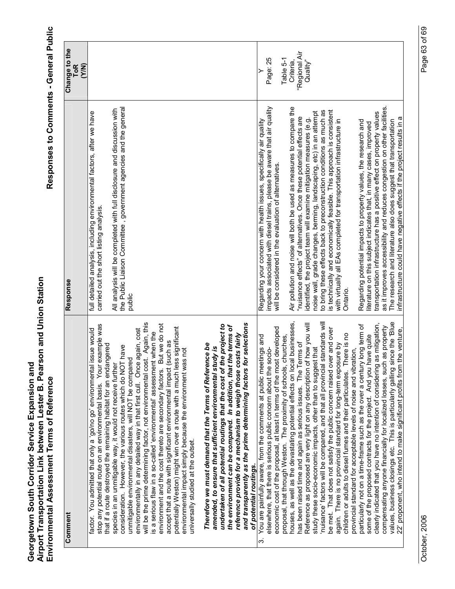| Comment                                                                                                                                                                                                                                                                                                                                                                                                                                                                                                                                                                                                                                                                                                                                                       | Response                                                                                                                                                                                                                                                                                                                                                                                                                                    | Change to the<br><b>ToR</b><br>(Y/N) |
|---------------------------------------------------------------------------------------------------------------------------------------------------------------------------------------------------------------------------------------------------------------------------------------------------------------------------------------------------------------------------------------------------------------------------------------------------------------------------------------------------------------------------------------------------------------------------------------------------------------------------------------------------------------------------------------------------------------------------------------------------------------|---------------------------------------------------------------------------------------------------------------------------------------------------------------------------------------------------------------------------------------------------------------------------------------------------------------------------------------------------------------------------------------------------------------------------------------------|--------------------------------------|
| example was<br>issue would<br>that if a route destroyed the remaining habitat for an endangered<br>factor. You admitted that only a 'go/no go' environmental<br>stop any potential route on an environmental basis. Your                                                                                                                                                                                                                                                                                                                                                                                                                                                                                                                                      | full detailed analysis, including environmental factors, after we have<br>carried out the short listing analysis.                                                                                                                                                                                                                                                                                                                           |                                      |
| will be the prime determining factor, not environmental cost. Again, this<br>But we do not<br>potentially Weston) might win over a route with a much less significant<br>environmentally in any detailed way in that first cull. Once again, cost<br>is a serious flaw in a so-called 'environmental' assessment when the<br>(such as<br>consideration. However, the various routes which do NOT have<br>environmental impact simply because the environment was not<br>unmitigable environmental disasters, will NOT be compared<br>species in an unmitigable way, it would not receive furthe<br>accept that a route with significant environmental impact<br>environment and the cost thereto are secondary factors.<br>universally studied at the outset. | the Public Liaison Committee, government agencies and the general<br>All analysis will be completed with full disclosure and discussion with<br>public                                                                                                                                                                                                                                                                                      |                                      |
| for selections<br>undertaken of all potential routings that the cost of the project to<br>the environment can be compared. In addition, that the terms of<br>reference provide for a mechanism to weigh those costs fairly<br>Therefore we must demand that the Terms of Reference be<br>amended, to ensure that sufficient environmental study is<br>and transparently as the prime determining factors<br>of potential routings.                                                                                                                                                                                                                                                                                                                            |                                                                                                                                                                                                                                                                                                                                                                                                                                             |                                      |
| economic cost of the proposal, at least in terms of the most developed<br>proposal, that through Weston. The proximity of schools, churches,<br>You are painfully aware, from the comments at public meetings and<br>elsewhere, that there is serious public concern about the socio-<br>က်                                                                                                                                                                                                                                                                                                                                                                                                                                                                   | impacts associated with diesel trains, please be aware that air quality<br>Regarding your concern with health issues, specifically air quality<br>will be considered in the evaluation of alternatives                                                                                                                                                                                                                                      | Page: 25<br>Table 5-1                |
| houses, as well as the devastating potential effects on local businesses,<br>Terms of<br>has been raised time and again as serious issues. The T                                                                                                                                                                                                                                                                                                                                                                                                                                                                                                                                                                                                              | Air pollution and noise will both be used as measures to compare the<br>"nuisance effects" of alternatives. Once these potential effects are                                                                                                                                                                                                                                                                                                | "Regional Air<br>Criteria,           |
| nuisance' factors will be compared, and that all provincial standards will<br>Reference as proposed are very light on any description of how you will<br>study these socio-economic impacts, other than to suggest that                                                                                                                                                                                                                                                                                                                                                                                                                                                                                                                                       | to bring these effects back to preconstruction conditions as much as<br>noise wall, grade changes, berming, landscaping, etc) in an attempt<br>identified, the project team will examine mitigation measures (e.g.                                                                                                                                                                                                                          | Quality"                             |
| be met. That does not satisfy the public concern raised over and over<br>There is no<br>again. There is no provincial standard for long-term exposure by<br>provincial standard for acceptable levels of noise and vibration,<br>children or adults to diesel fumes and their particulates.                                                                                                                                                                                                                                                                                                                                                                                                                                                                   | is technically and economically feasible. This approach is consistent<br>with virtually all EAs completed for transportation infrastructure in<br>Ontario.                                                                                                                                                                                                                                                                                  |                                      |
| since the 'Blue<br>clearly indicated that you have no intention of considering as mitigation,<br>particularly not on a time-frame such as the over a century long term of<br>compensating anyone financially for localized losses, such as property<br>22' proponent, who intend to make significant profits from the venture,<br>some of the proposed contracts for the project. And you have quite<br>values, business closings etc. This is particularly galling                                                                                                                                                                                                                                                                                           | as it improves accessibility and reduces congestion on other facilities.<br>transportation infrastructure has a positive effect on property values<br>infrastructure could have negative effects if the project results in a<br>The research and literature also does suggest that transportation<br>Regarding potential impacts to property values, the research and<br>literature on this subject indicates that, in many cases, improved |                                      |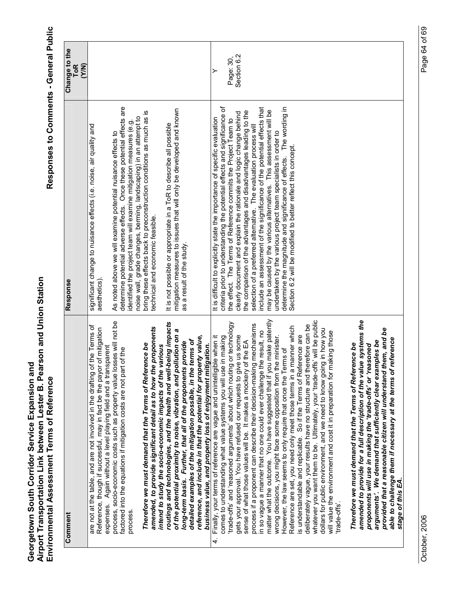| Comment                                                                                                                                                                                                                                                                                                                                                                                                                                                                                                                                                                                                                                                                                                                                                                                                                                                                                                                                                                                                                                                                                                                                                                                                                                                                   | Response                                                                                                                                                                                                                                                                                                                                                                                                                                                                                                                                                                                                                                                                                                                                                                                           | Change to the                 |
|---------------------------------------------------------------------------------------------------------------------------------------------------------------------------------------------------------------------------------------------------------------------------------------------------------------------------------------------------------------------------------------------------------------------------------------------------------------------------------------------------------------------------------------------------------------------------------------------------------------------------------------------------------------------------------------------------------------------------------------------------------------------------------------------------------------------------------------------------------------------------------------------------------------------------------------------------------------------------------------------------------------------------------------------------------------------------------------------------------------------------------------------------------------------------------------------------------------------------------------------------------------------------|----------------------------------------------------------------------------------------------------------------------------------------------------------------------------------------------------------------------------------------------------------------------------------------------------------------------------------------------------------------------------------------------------------------------------------------------------------------------------------------------------------------------------------------------------------------------------------------------------------------------------------------------------------------------------------------------------------------------------------------------------------------------------------------------------|-------------------------------|
|                                                                                                                                                                                                                                                                                                                                                                                                                                                                                                                                                                                                                                                                                                                                                                                                                                                                                                                                                                                                                                                                                                                                                                                                                                                                           |                                                                                                                                                                                                                                                                                                                                                                                                                                                                                                                                                                                                                                                                                                                                                                                                    | <b>ToR</b><br>(Y/N)           |
| are not at the table, and are not involved in the drafting of the Terms of<br>of mitigation<br>expenses. Again without a level playing field and a transparent<br>Reference, though if successful, may in fact be the payor                                                                                                                                                                                                                                                                                                                                                                                                                                                                                                                                                                                                                                                                                                                                                                                                                                                                                                                                                                                                                                               | significant change to nuisance effects (i.e. noise, air quality and<br>aesthetics)                                                                                                                                                                                                                                                                                                                                                                                                                                                                                                                                                                                                                                                                                                                 |                               |
| process, socio-economic costs such as property value losses will not be<br>of the<br>factored into the equations if mitigation costs are not part<br>process.                                                                                                                                                                                                                                                                                                                                                                                                                                                                                                                                                                                                                                                                                                                                                                                                                                                                                                                                                                                                                                                                                                             | determine potential adverse effects. Once these potential effects are<br>identified the project team will examine mitigation measures (e.g.<br>As noted above we will examine potential nuisance effects to                                                                                                                                                                                                                                                                                                                                                                                                                                                                                                                                                                                        |                               |
| amended, to provide significant detail as to how the proponents<br>Therefore we must demand that the Terms of Reference be<br>intend to study the socio-economic impacts of the various                                                                                                                                                                                                                                                                                                                                                                                                                                                                                                                                                                                                                                                                                                                                                                                                                                                                                                                                                                                                                                                                                   | bring these effects back to preconstruction conditions as much as is<br>noise wall, grade changes, berming, landscaping) in an attempt to<br>technical and economic feasible.                                                                                                                                                                                                                                                                                                                                                                                                                                                                                                                                                                                                                      |                               |
| routings and technologies, and the health and well-being impacts<br>of the potential proximity to noise, vibration, and pollution on a<br>long-term basis. Further, that all of the proponents provide                                                                                                                                                                                                                                                                                                                                                                                                                                                                                                                                                                                                                                                                                                                                                                                                                                                                                                                                                                                                                                                                    | mitigation measures to issues that will only be developed and known<br>It is not possible or appropriate in a ToR to describe all possible<br>as a result of the study.                                                                                                                                                                                                                                                                                                                                                                                                                                                                                                                                                                                                                            |                               |
| reference, and include in that the potential for property value,<br>detailed examples of the mitigation possible, in the terms of<br>business value, and property loss of enjoyment mitigation.                                                                                                                                                                                                                                                                                                                                                                                                                                                                                                                                                                                                                                                                                                                                                                                                                                                                                                                                                                                                                                                                           |                                                                                                                                                                                                                                                                                                                                                                                                                                                                                                                                                                                                                                                                                                                                                                                                    |                               |
| matter what the outcome. You have suggested that if you make patently<br>whatever you want them to be. Ultimately, your 'trade-offs' will be public<br>trade-offs' and 'reasoned arguments' about which routing or technology<br>process if a proponent can describe their decision-making mechanisms<br>deliberately vague, your results have no structure and therefore can be<br>Reference are set, you need only meet those terms in a manner which<br>dollars for public environment, and we need to know going in how you<br>in so vague a manner that no one could ever challenge the result, no<br>aking those<br>is understandable and replicable. So if the Terms of Reference are<br>gets your approval. You have refused our requests to give us some<br>Finally, your terms of reference are vague and unintelligible when it<br>wrong decisions, you might face some opposition from the minister.<br>comes to understanding what value systems you will use in making<br>sense of what those values will be. It makes a mockery of the EA<br>Therefore we must demand that the Terms of Reference be<br>However, the law seems to only require that once the Terms of<br>will value the environment and cost it in preparation for m<br>trade-offs'.<br>4. | determine the magnitude and significance of effects. The wording in<br>criteria prior to understanding the potential effects and significance of<br>include an assessment of the significance of the potential effects that<br>may be caused by the various alternatives. This assessment will be<br>the comparison of the advantages and disadvantages leading to the<br>clearly document and explain the rationale and logic change behind<br>It is difficult to explicitly state the importance of specific evaluation<br>the effect. The Terms of Reference commits the Project Team to<br>selection of a preferred alternative. The evaluation process will<br>undertaken by the various project team specialists in order to<br>Section 6.2 will be modified to better reflect this concept. | Section 6.2<br>Page: 30,<br>≻ |
| amended to provide for a full description of the value systems the<br>provided that a reasonable citizen will understand them, and be<br>eference<br>arguments'. We demand that sufficiently clear examples be<br>proponents will use in making the 'trade-offs' or 'reasoned<br>able to challenge them if necessary at the terms of i<br>stage of this EA.                                                                                                                                                                                                                                                                                                                                                                                                                                                                                                                                                                                                                                                                                                                                                                                                                                                                                                               |                                                                                                                                                                                                                                                                                                                                                                                                                                                                                                                                                                                                                                                                                                                                                                                                    |                               |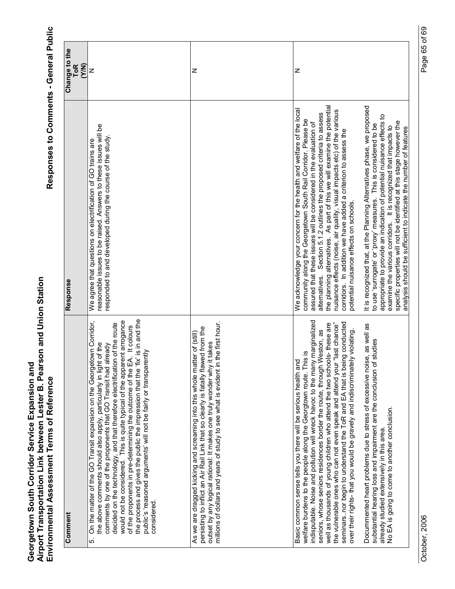Responses to Comments - General Public

| Comment                                                                                                                                                                                                                                                                                                                                                                                                                                                                                                                                                                                                                            | Response                                                                                                                                                                                                                                                                                                                                                                                                                                                                                                                                                 | Change to the<br>(Y/N)<br>ToR |
|------------------------------------------------------------------------------------------------------------------------------------------------------------------------------------------------------------------------------------------------------------------------------------------------------------------------------------------------------------------------------------------------------------------------------------------------------------------------------------------------------------------------------------------------------------------------------------------------------------------------------------|----------------------------------------------------------------------------------------------------------------------------------------------------------------------------------------------------------------------------------------------------------------------------------------------------------------------------------------------------------------------------------------------------------------------------------------------------------------------------------------------------------------------------------------------------------|-------------------------------|
| fix' is in and the<br>On the matter of the GO Transit expansion on the Georgetown Corridor,<br>decided on the technology, and that therefore electrification of the route<br>would not be considered. This is quite typical of the apparent arrogance<br>of the proponents in pre-determining the outcome of the EA. It colours<br>the above comments should also apply, particularly in light of the<br>already<br>public's 'reasoned arguments' will not be fairly or transparently<br>the process and gives the public the impression that the 'I<br>comments by one of the proponents that GO Transit had<br>considered<br>ιó. | reasonable issues to be raised. Answers to these issues will be<br>responded to and developed during the course of the study.<br>We agree that questions on electrification of GO trains are                                                                                                                                                                                                                                                                                                                                                             | z                             |
| millions of dollars and years of study to see what is evident in the first hour.<br>persisting to inflict an Air Rail Link that so clearly is fatally flawed from the<br>As we are dragged kicking and screaming into this whole matter of (still)<br>outset by any logical rational: It makes one truly wonder why it takes                                                                                                                                                                                                                                                                                                       |                                                                                                                                                                                                                                                                                                                                                                                                                                                                                                                                                          | z                             |
| indisputable. Noise and pollution will wreck havoc to the many marginalized<br>seminarsnor begin to understand the ToR and EA that is being conducted<br>the vulnerable ones who can not even speak and attend your "last chance"<br>well as thousands of young children who attend the two schools- these are<br>seniors, whose seniors residences border the route, through Weston, as<br>over their rights- that you would be gravely and indiscriminately violating.<br>welfare burdens to the people along the Georgtown route. This is<br>Basic common sense tells you there will be serious health and                      | the planning alternatives. As part of this we will examine the potential<br>We acknowledge your concern for the health and welfare of the local<br>nuisance effects (noise, air quality, visual impacts etc) of the various<br>Section 5.1.2 outlines the proposed criteria to assess<br>community along the Georgetown South Rail Corridor. Please be<br>assured that these issues will be considered in the evaluation of<br>corridors. In addition we have added a criterion to assess the<br>potential nuisance effects on schools.<br>alternatives. | z                             |
| Docummented heart problems due to stress of excessive noise, as well as<br>substantial hearing loss and impairment are the conclusion of studies<br>No EA is going to come to another conclusion.<br>already studied extensively in this area                                                                                                                                                                                                                                                                                                                                                                                      | It is recognized that, at the Planning Alternatives phase, we proposed<br>appropriate to provide an indication of potential nuisance effects to<br>specific properties will not be identified at this stage however the<br>to use 'surrogate' or 'proxy' measures. This is considered to be<br>examine the various corridors. It is recognized that impacts to<br>analysis should be sufficient to indicate the number of features                                                                                                                       |                               |

October, 2006

Page 65 of 69 October, 2006 Page 65 of 69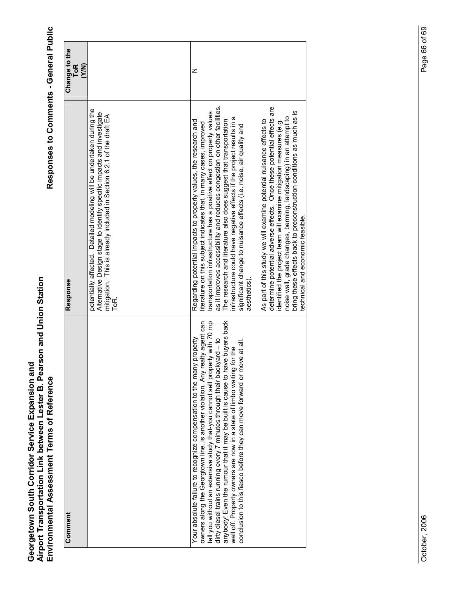| Comment                                                                                                                                                                                                                                                                                                                                                                                                                                                                                                                                         | Response                                                                                                                                                                                                                                                                                                                                                                                                                                                                                                                                                                                                                                                                                                                                                                                                                                                                                                                                  | Change to the<br><b>ToR</b><br>(YN) |
|-------------------------------------------------------------------------------------------------------------------------------------------------------------------------------------------------------------------------------------------------------------------------------------------------------------------------------------------------------------------------------------------------------------------------------------------------------------------------------------------------------------------------------------------------|-------------------------------------------------------------------------------------------------------------------------------------------------------------------------------------------------------------------------------------------------------------------------------------------------------------------------------------------------------------------------------------------------------------------------------------------------------------------------------------------------------------------------------------------------------------------------------------------------------------------------------------------------------------------------------------------------------------------------------------------------------------------------------------------------------------------------------------------------------------------------------------------------------------------------------------------|-------------------------------------|
|                                                                                                                                                                                                                                                                                                                                                                                                                                                                                                                                                 | potentially affected. Detailed modeling will be undertaken during the<br>Alternative Design stage to identify specific impacts and investigate<br>mitigation. This is already included in Section 6.2.1 of the draft EA<br>ToR.                                                                                                                                                                                                                                                                                                                                                                                                                                                                                                                                                                                                                                                                                                           |                                     |
| tell you without an extensive study that-you cannot sell property with 70 mp<br>anybody! Even the rumour that it may be built is cause to have buyers back<br>owners along the Georgtown line. is another violation. Any realty agent can<br>Your absolute failure to recognize compensation to the many property<br>dirty diesel trains running every 7 minutes through their backyard - to<br>conclusion to this fiasco before they can move forward or move at all.<br>well off. Property owners are now in a state of limbo waiting for the | as it improves accessibility and reduces congestion on other facilities.<br>determine potential adverse effects. Once these potential effects are<br>bring these effects back to preconstruction conditions as much as is<br>transportation infrastructure has a positive effect on property values<br>infrastructure could have negative effects if the project results in a<br>noise wall, grade changes, berming, landscaping) in an attempt to<br>As part of this study we will examine potential nuisance effects to<br>identified the project team will examine mitigation measures (e.g.<br>Regarding potential impacts to property values, the research and<br>The research and literature also does suggest that transportation<br>literature on this subject indicates that, in many cases, improved<br>significant change to nuisance effects (i.e. noise, air quality and<br>technical and economic feasible.<br>aesthetics). | Z                                   |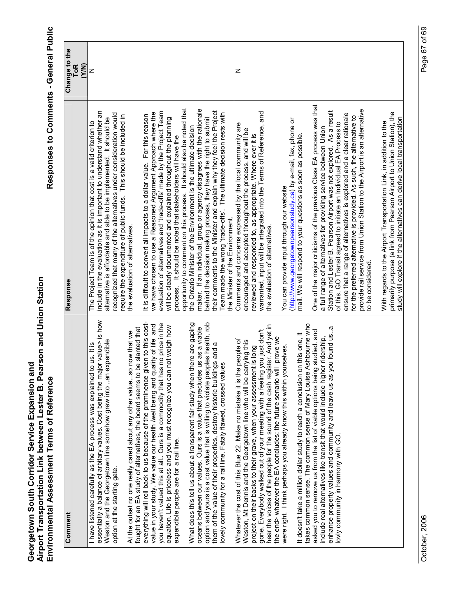| Comment                                                                                                                                                                                                                                                                                                                                                                                                                                                                                                                                                                                                                                                                                                                                                                                                                                                                                                                                                               | Response                                                                                                                                                                                                                                                                                                                                                                                                                                                                                                                                                                                                                                                                                                                                                                                                                                                                                                                                                                                                                          | Change to the<br><b>ToR</b><br>(N/N) |
|-----------------------------------------------------------------------------------------------------------------------------------------------------------------------------------------------------------------------------------------------------------------------------------------------------------------------------------------------------------------------------------------------------------------------------------------------------------------------------------------------------------------------------------------------------------------------------------------------------------------------------------------------------------------------------------------------------------------------------------------------------------------------------------------------------------------------------------------------------------------------------------------------------------------------------------------------------------------------|-----------------------------------------------------------------------------------------------------------------------------------------------------------------------------------------------------------------------------------------------------------------------------------------------------------------------------------------------------------------------------------------------------------------------------------------------------------------------------------------------------------------------------------------------------------------------------------------------------------------------------------------------------------------------------------------------------------------------------------------------------------------------------------------------------------------------------------------------------------------------------------------------------------------------------------------------------------------------------------------------------------------------------------|--------------------------------------|
| essentially a balance of arbitary values. Cost being the major value> is how<br>Weston and the Georgetown line somehow grew into an expendible<br>I have listened carefully as the EA process was explained to us. It is<br>option at the starting gate.                                                                                                                                                                                                                                                                                                                                                                                                                                                                                                                                                                                                                                                                                                              | include in the evaluation as it is important to understand whether an<br>recognized that many of the alternatives under consideration would<br>require the expenditure of public funds. This should be included in<br>alternative is affordable and able to be implemented. It should be<br>The Project Team is of the opinion that cost is a valid criterion to                                                                                                                                                                                                                                                                                                                                                                                                                                                                                                                                                                                                                                                                  | z                                    |
| everything will roll back to us because of the prominence given to this cost-<br>What does this tell us about a transparent fair study when there are gaping<br>option and yours is a cost value that is willing to violate peoples health, rob<br>you haven't valued this at all Ours is a commodity that has no price in the<br>value in your study. We value our health /well being and quality of life and<br>equation. Life is priceless and you must recognize you can not weigh how<br>oceans between our values. Ours is a value that precludes us as a viable<br>fought for an EA study of alternatives, the board seems to be slanted that<br>At the outset no one really cared about any other valueso now that we<br>expendible people are for a rail line.                                                                                                                                                                                               | opportunity to comment on this process. It should also be noted that<br>maker. If an individual, group or agency disagrees with the rationale<br>evaluation of alternatives and 'trade-offs' made by the Project Team<br>we have chosen to use a Reasoned Argument Approach where the<br>It is difficult to convert all impacts to a dollar value. For this reason<br>behind the decision making process, they have the right to submit<br>will be clearly documented and explained throughout the planning<br>the Ontario Minister of the Environment is the ultimate decision<br>process. It should be noted that stakeholders will have the<br>the evaluation of alternatives.                                                                                                                                                                                                                                                                                                                                                 |                                      |
| them of the value of their properties, destroy historic buildings and a<br>ovely community for a rail line. Fataly flawed, crossed values                                                                                                                                                                                                                                                                                                                                                                                                                                                                                                                                                                                                                                                                                                                                                                                                                             | their comments to the Minister and explain why they feel the Project<br>Team made the wrong 'trade-offs'. The ultimate decision rests with<br>the Minister of the Environment.                                                                                                                                                                                                                                                                                                                                                                                                                                                                                                                                                                                                                                                                                                                                                                                                                                                    |                                      |
| takes common sense. The common sense of Mary Louise Ashbourne who<br>hear the voices of the people for the sound of the cash register. And yet in<br>enhance property values and community and leave us as you found usa<br>gone. Everybody walked out of your meeting with a feeling you just don't<br>asked you to remove us from the list of viable options being studied. and<br>It doesn't take a million dollar study to reach a conclusion on this one, it<br>include real alternatives like transit that would include higher ridership,<br>prove we<br>Whatever the cost of this Blue 22, Make no mistake it is the people of<br>Weston, Mt Dennis and the Georgetown line who will be carrying this<br>were right. I think perhaps you already know this within yourselves.<br>is long<br>project on their backs to their grave, when your assessment<br>the end> whatever the EA concludes: the future senario will<br>lovly community in harmony with GO. | One of the major criticisms of the previous Class EA process was that<br>provide rail service from Union Station to the Airport is an alternative<br>Station and Lester B. Pearson Airport was not explored. As a result<br>warranted, input will be integrated into the Terms of Reference, and<br>ensure that a range of alternatives is explored and a clear rationale<br>for the preferred alternative is provided. As such, the alternative to<br>(http://www.georgetownpearsonstudy.ca) by e-mail, fax, phone or<br>of this, GO Transit agreed to initiate an Individual EA Process to<br>Comments and concerns expressed by the local community are<br>a full range of alternatives for providing service between Union<br>encouraged and accepted throughout the process, and will be<br>reviewed and responded to, as appropriate. Where ever it is<br>mail. We will respond to your questions as soon as possible.<br>You can provide input through our website<br>the evaluation of alternatives.<br>to be considered. | Z                                    |
|                                                                                                                                                                                                                                                                                                                                                                                                                                                                                                                                                                                                                                                                                                                                                                                                                                                                                                                                                                       | primarily purpose (a link from Pearson Airport to Union Station), the<br>study will explore if the alternatives can derive local transportation<br>With regards to the Airport Transportation Link, in addition to the                                                                                                                                                                                                                                                                                                                                                                                                                                                                                                                                                                                                                                                                                                                                                                                                            |                                      |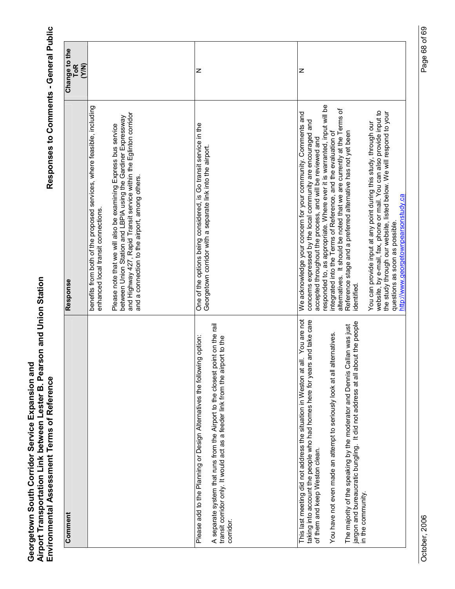| Comment                                                                                                                                                                                                                                                                                                                                                                                                                                                       | Response                                                                                                                                                                                                                                                                                                                                                                                                                                                                                                                                                                                                                                                                                                                                                                                      | Change to the<br>(Y/N)<br><b>ToR</b> |
|---------------------------------------------------------------------------------------------------------------------------------------------------------------------------------------------------------------------------------------------------------------------------------------------------------------------------------------------------------------------------------------------------------------------------------------------------------------|-----------------------------------------------------------------------------------------------------------------------------------------------------------------------------------------------------------------------------------------------------------------------------------------------------------------------------------------------------------------------------------------------------------------------------------------------------------------------------------------------------------------------------------------------------------------------------------------------------------------------------------------------------------------------------------------------------------------------------------------------------------------------------------------------|--------------------------------------|
|                                                                                                                                                                                                                                                                                                                                                                                                                                                               | benefits from both of the proposed services, where feasible, including<br>and Highway 427, Rapid Transit service within the Eglinton corridor<br>between Union Station and LBPIA using the Gardiner Expressway<br>Please note that we will also be examining Express bus service<br>and a connection to the airport, among others.<br>enhanced local transit connections.                                                                                                                                                                                                                                                                                                                                                                                                                     |                                      |
| A separate system that runs from the Airport to the closest point on the rail<br>Please add to the Planning or Design Alternatives the following option:<br>transit corridor only. It would act as a feeder link from the airport to the<br>corridor.                                                                                                                                                                                                         | One of the options being considered, is Go transit service in the<br>Georgetown corridor with a separate link into the airport.                                                                                                                                                                                                                                                                                                                                                                                                                                                                                                                                                                                                                                                               | z                                    |
| This last meeting did not address the situation in Weston at all. You are not<br>s and take care<br>jargon and bureaucratic bungling. It did not address at all about the people<br>The majority of the speaking by the moderator and Dennis Callan was just<br>You have not even made an attempt to seriously look at all alternatives.<br>taking into account the people who had homes here for year<br>of them and keep Weston clean.<br>in the community. | responded to, as appropriate. Where ever it is warranted, input will be<br>alternatives. It should be noted that we are currently at the Terms of<br>website, by e-mail, fax, phone or mail. You can also provide input to<br>the study through our website, listed below. We will respond to your<br>We acknowledge your concern for your community. Comments and<br>concerns expressed by the local community are encouraged and<br>You can provide input at any point during this study, through our<br>Reference stage and a preferred alternative has not yet been<br>integrated into the Terms of Reference, and the evaluation of<br>accepted throughout the process, and will be reviewed and<br>http://www.georgetownpearsonstudy.ca<br>questions as soon as possible.<br>identified | Z                                    |